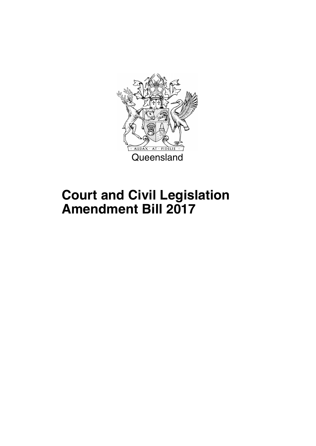

# **Court and Civil Legislation Amendment Bill 2017**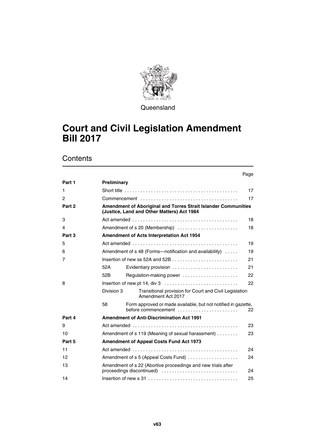

**Queensland** 

# **Court and Civil Legislation Amendment Bill 2017**

|        |             |                                                                                                                                       | Page |
|--------|-------------|---------------------------------------------------------------------------------------------------------------------------------------|------|
| Part 1 | Preliminary |                                                                                                                                       |      |
| 1      |             |                                                                                                                                       | 17   |
| 2      |             |                                                                                                                                       | 17   |
| Part 2 |             | <b>Amendment of Aboriginal and Torres Strait Islander Communities</b><br>(Justice, Land and Other Matters) Act 1984                   |      |
| 3      |             |                                                                                                                                       | 18   |
| 4      |             | Amendment of s 20 (Membership)                                                                                                        | 18   |
| Part 3 |             | <b>Amendment of Acts Interpretation Act 1954</b>                                                                                      |      |
| 5      |             |                                                                                                                                       | 19   |
| 6      |             | Amendment of $s$ 48 (Forms—notification and availability) $\dots$                                                                     | 19   |
| 7      |             |                                                                                                                                       | 21   |
|        | 52A         | Evidentiary provision                                                                                                                 | 21   |
|        | 52B         | Regulation-making power                                                                                                               | 22   |
| 8      |             |                                                                                                                                       | 22   |
|        | Division 3  | Transitional provision for Court and Civil Legislation<br>Amendment Act 2017                                                          |      |
|        | 58          | Form approved or made available, but not notified in gazette,<br>before commencement $\ldots, \ldots, \ldots, \ldots, \ldots, \ldots$ | 22   |
| Part 4 |             | <b>Amendment of Anti-Discrimination Act 1991</b>                                                                                      |      |
| 9      |             | Act amended $\ldots \ldots \ldots \ldots \ldots \ldots \ldots \ldots \ldots \ldots \ldots \ldots$                                     | 23   |
| 10     |             | Amendment of s 119 (Meaning of sexual harassment)                                                                                     | 23   |
| Part 5 |             | <b>Amendment of Appeal Costs Fund Act 1973</b>                                                                                        |      |
| 11     |             |                                                                                                                                       | 24   |
| 12     |             | Amendment of s 5 (Appeal Costs Fund)                                                                                                  | 24   |
| 13     |             | Amendment of s 22 (Abortive proceedings and new trials after<br>proceedings discontinued)                                             | 24   |
| 14     |             |                                                                                                                                       | 25   |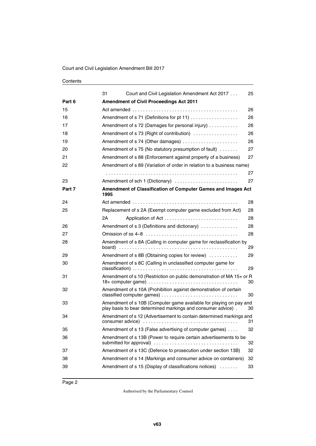|        | 31<br>Court and Civil Legislation Amendment Act 2017                                                                               | 25 |
|--------|------------------------------------------------------------------------------------------------------------------------------------|----|
| Part 6 | <b>Amendment of Civil Proceedings Act 2011</b>                                                                                     |    |
| 15     |                                                                                                                                    | 26 |
| 16     | Amendment of s 71 (Definitions for pt 11)                                                                                          | 26 |
| 17     | Amendment of s 72 (Damages for personal injury)                                                                                    | 26 |
| 18     | Amendment of s 73 (Right of contribution)                                                                                          | 26 |
| 19     | Amendment of s 74 (Other damages)                                                                                                  | 26 |
| 20     | Amendment of s 75 (No statutory presumption of fault)                                                                              | 27 |
| 21     | Amendment of s 88 (Enforcement against property of a business)                                                                     | 27 |
| 22     | Amendment of s 89 (Variation of order in relation to a business name)                                                              |    |
|        |                                                                                                                                    | 27 |
| 23     | Amendment of sch 1 (Dictionary)                                                                                                    | 27 |
| Part 7 | Amendment of Classification of Computer Games and Images Act<br>1995                                                               |    |
| 24     |                                                                                                                                    | 28 |
| 25     | Replacement of s 2A (Exempt computer game excluded from Act)                                                                       | 28 |
|        | 2A                                                                                                                                 | 28 |
| 26     | Amendment of s 3 (Definitions and dictionary)                                                                                      | 28 |
| 27     |                                                                                                                                    | 28 |
| 28     | Amendment of s 8A (Calling in computer game for reclassification by                                                                | 29 |
| 29     | Amendment of s 8B (Obtaining copies for review)                                                                                    | 29 |
| 30     | Amendment of s 8C (Calling in unclassified computer game for                                                                       | 29 |
| 31     | Amendment of s 10 (Restriction on public demonstration of MA 15+ or R                                                              | 30 |
| 32     | Amendment of s 10A (Prohibition against demonstration of certain<br>classified computer games)                                     | 30 |
| 33     | Amendment of s 10B (Computer game available for playing on pay and<br>play basis to bear determined markings and consumer advice). | 30 |
| 34     | Amendment of s 12 (Advertisement to contain determined markings and                                                                | 31 |
| 35     | Amendment of s 13 (False advertising of computer games)                                                                            | 32 |
| 36     | Amendment of s 13B (Power to require certain advertisements to be                                                                  | 32 |
| 37     | Amendment of s 13C (Defence to prosecution under section 13B)                                                                      | 32 |
| 38     | Amendment of s 14 (Markings and consumer advice on containers)                                                                     | 32 |
| 39     | Amendment of s 15 (Display of classifications notices)                                                                             | 33 |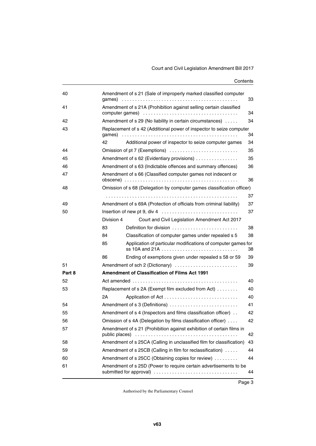| 40     |                | Amendment of s 21 (Sale of improperly marked classified computer       | 33 |
|--------|----------------|------------------------------------------------------------------------|----|
| 41     |                | Amendment of s 21A (Prohibition against selling certain classified     | 34 |
| 42     |                | Amendment of s 29 (No liability in certain circumstances)              | 34 |
| 43     |                | Replacement of s 42 (Additional power of inspector to seize computer   | 34 |
|        | 42             | Additional power of inspector to seize computer games                  | 34 |
| 44     |                | Omission of pt 7 (Exemptions)                                          | 35 |
| 45     |                | Amendment of s 62 (Evidentiary provisions)                             | 35 |
| 46     |                | Amendment of s 63 (Indictable offences and summary offences)           | 36 |
| 47     |                | Amendment of s 66 (Classified computer games not indecent or           | 36 |
| 48     |                | Omission of s 68 (Delegation by computer games classification officer) |    |
|        |                |                                                                        | 37 |
| 49     |                | Amendment of s 69A (Protection of officials from criminal liability)   | 37 |
| 50     |                | Insertion of new pt 9, div 4                                           | 37 |
|        | Division 4     | Court and Civil Legislation Amendment Act 2017                         |    |
|        | 83             | Definition for division                                                | 38 |
|        | 84             | Classification of computer games under repealed s 5                    | 38 |
|        | 85             | Application of particular modifications of computer games for          | 38 |
|        | 86             | Ending of exemptions given under repealed s 58 or 59                   | 39 |
| 51     |                | Amendment of sch 2 (Dictionary)                                        | 39 |
| Part 8 |                | Amendment of Classification of Films Act 1991                          |    |
| 52     |                |                                                                        | 40 |
| 53     |                | Replacement of s 2A (Exempt film excluded from Act)                    | 40 |
|        | 2Α             |                                                                        | 40 |
| 54     |                | Amendment of s 3 (Definitions)                                         | 41 |
| 55     |                | Amendment of s 4 (Inspectors and films classification officer)         | 42 |
| 56     |                | Omission of s 4A (Delegation by films classification officer)          | 42 |
| 57     | public places) | Amendment of s 21 (Prohibition against exhibition of certain films in  | 42 |
| 58     |                | Amendment of s 25CA (Calling in unclassified film for classification)  | 43 |
| 59     |                | Amendment of s 25CB (Calling in film for reclassification)             | 44 |
| 60     |                | Amendment of s 25CC (Obtaining copies for review)                      | 44 |
| 61     |                | Amendment of s 25D (Power to require certain advertisements to be      | 44 |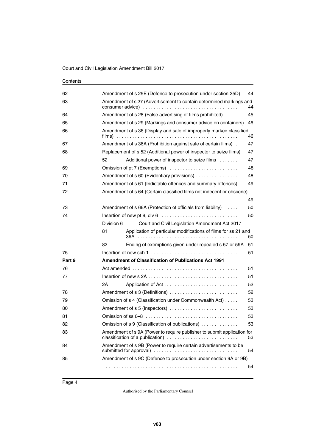| Contents |
|----------|
|----------|

| 62     | 44<br>Amendment of s 25E (Defence to prosecution under section 25D)                                                      |    |  |
|--------|--------------------------------------------------------------------------------------------------------------------------|----|--|
| 63     | Amendment of s 27 (Advertisement to contain determined markings and                                                      | 44 |  |
| 64     | Amendment of s 28 (False advertising of films prohibited)                                                                | 45 |  |
| 65     | Amendment of s 29 (Markings and consumer advice on containers)                                                           | 46 |  |
| 66     | Amendment of s 36 (Display and sale of improperly marked classified                                                      | 46 |  |
| 67     | Amendment of s 36A (Prohibition against sale of certain films).                                                          | 47 |  |
| 68     | Replacement of s 52 (Additional power of inspector to seize films)                                                       | 47 |  |
|        | 52<br>Additional power of inspector to seize films                                                                       | 47 |  |
| 69     | Omission of pt 7 (Exemptions)                                                                                            | 48 |  |
| 70     | Amendment of s 60 (Evidentiary provisions)                                                                               | 48 |  |
| 71     | Amendment of s 61 (Indictable offences and summary offences)                                                             | 49 |  |
| 72     | Amendment of s 64 (Certain classified films not indecent or obscene)                                                     |    |  |
|        |                                                                                                                          | 49 |  |
| 73     | Amendment of s 66A (Protection of officials from liability)                                                              | 50 |  |
| 74     |                                                                                                                          | 50 |  |
|        | Division 6<br>Court and Civil Legislation Amendment Act 2017                                                             |    |  |
|        | Application of particular modifications of films for ss 21 and<br>81<br>36A                                              | 50 |  |
|        | Ending of exemptions given under repealed s 57 or 59A<br>82                                                              | 51 |  |
| 75     | Insertion of new sch 1 $\dots$ , $\dots$ , $\dots$ , $\dots$ , $\dots$ , $\dots$ , $\dots$ , $\dots$ , $\dots$ , $\dots$ | 51 |  |
| Part 9 | <b>Amendment of Classification of Publications Act 1991</b>                                                              |    |  |
| 76     |                                                                                                                          | 51 |  |
| 77     |                                                                                                                          | 51 |  |
|        | 2Α                                                                                                                       | 52 |  |
| 78     | Amendment of s 3 (Definitions)                                                                                           | 52 |  |
| 79     | Omission of s 4 (Classification under Commonwealth Act)                                                                  | 53 |  |
| 80     | Amendment of s 5 (Inspectors)                                                                                            | 53 |  |
| 81     |                                                                                                                          | 53 |  |
| 82     | Omission of s 9 (Classification of publications)                                                                         | 53 |  |
| 83     | Amendment of s 9A (Power to require publisher to submit application for                                                  | 53 |  |
| 84     | Amendment of s 9B (Power to require certain advertisements to be<br>submitted for approval)                              | 54 |  |
| 85     | Amendment of s 9C (Defence to prosecution under section 9A or 9B)                                                        |    |  |
|        |                                                                                                                          | 54 |  |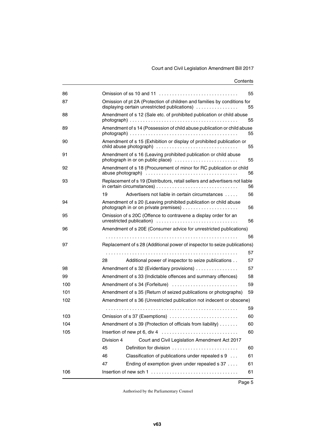# Court and Civil Legislation Amendment Bill 2017

| 86  |            |                                                                                                                           | 55 |
|-----|------------|---------------------------------------------------------------------------------------------------------------------------|----|
| 87  |            | Omission of pt 2A (Protection of children and families by conditions for<br>displaying certain unrestricted publications) | 55 |
| 88  |            | Amendment of s 12 (Sale etc. of prohibited publication or child abuse                                                     | 55 |
| 89  |            | Amendment of s 14 (Possession of child abuse publication or child abuse                                                   | 55 |
| 90  |            | Amendment of s 15 (Exhibition or display of prohibited publication or                                                     | 55 |
| 91  |            | Amendment of s 16 (Leaving prohibited publication or child abuse<br>photograph in or on public place)                     | 55 |
| 92  |            | Amendment of s 18 (Procurement of minor for RC publication or child                                                       | 56 |
| 93  |            | Replacement of s 19 (Distributors, retail sellers and advertisers not liable                                              | 56 |
|     | 19         | Advertisers not liable in certain circumstances                                                                           | 56 |
| 94  |            | Amendment of s 20 (Leaving prohibited publication or child abuse                                                          | 56 |
| 95  |            | Omission of s 20C (Offence to contravene a display order for an                                                           | 56 |
| 96  |            | Amendment of s 20E (Consumer advice for unrestricted publications)                                                        |    |
|     |            |                                                                                                                           | 56 |
| 97  |            | Replacement of s 28 (Additional power of inspector to seize publications)                                                 |    |
|     |            |                                                                                                                           | 57 |
|     | 28         | Additional power of inspector to seize publications                                                                       | 57 |
| 98  |            | Amendment of s 32 (Evidentiary provisions)                                                                                | 57 |
| 99  |            | Amendment of s 33 (Indictable offences and summary offences)                                                              | 58 |
| 100 |            | Amendment of s 34 (Forfeiture)                                                                                            | 59 |
| 101 |            | Amendment of s 35 (Return of seized publications or photographs)                                                          | 59 |
| 102 |            | Amendment of s 36 (Unrestricted publication not indecent or obscene)                                                      |    |
|     |            |                                                                                                                           | 59 |
| 103 |            | Omission of s 37 (Exemptions)                                                                                             | 60 |
| 104 |            | Amendment of s 39 (Protection of officials from liability)                                                                | 60 |
| 105 |            |                                                                                                                           | 60 |
|     | Division 4 | Court and Civil Legislation Amendment Act 2017                                                                            |    |
|     | 45         | Definition for division                                                                                                   | 60 |
|     | 46         | Classification of publications under repealed s 9                                                                         | 61 |
|     | 47         | Ending of exemption given under repealed s 37                                                                             | 61 |
| 106 |            | Insertion of new sch $1, \ldots, \ldots, \ldots, \ldots, \ldots, \ldots, \ldots, \ldots, \ldots$                          | 61 |
|     |            |                                                                                                                           |    |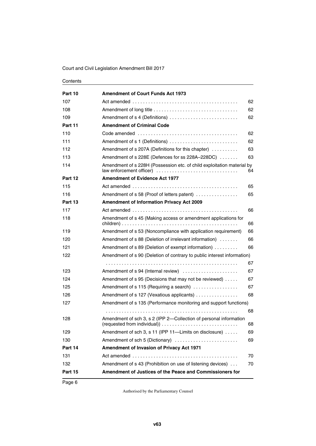| Part 10 | <b>Amendment of Court Funds Act 1973</b>                                                           |    |
|---------|----------------------------------------------------------------------------------------------------|----|
| 107     |                                                                                                    | 62 |
| 108     |                                                                                                    | 62 |
| 109     | Amendment of s 4 (Definitions)                                                                     | 62 |
| Part 11 | <b>Amendment of Criminal Code</b>                                                                  |    |
| 110     |                                                                                                    | 62 |
| 111     | Amendment of s 1 (Definitions)                                                                     | 62 |
| 112     | Amendment of s 207A (Definitions for this chapter)                                                 | 63 |
| 113     | Amendment of s 228E (Defences for ss 228A-228DC)                                                   | 63 |
| 114     | Amendment of s 228H (Possession etc. of child exploitation material by<br>law enforcement officer) | 64 |
| Part 12 | <b>Amendment of Evidence Act 1977</b>                                                              |    |
| 115     |                                                                                                    | 65 |
| 116     | Amendment of s 58 (Proof of letters patent)                                                        | 65 |
| Part 13 | <b>Amendment of Information Privacy Act 2009</b>                                                   |    |
| 117     |                                                                                                    | 66 |
| 118     | Amendment of s 45 (Making access or amendment applications for                                     | 66 |
| 119     | Amendment of s 53 (Noncompliance with application requirement)                                     | 66 |
| 120     | Amendment of s 88 (Deletion of irrelevant information)                                             | 66 |
| 121     | Amendment of s 89 (Deletion of exempt information)                                                 | 66 |
| 122     | Amendment of s 90 (Deletion of contrary to public interest information)                            |    |
|         |                                                                                                    | 67 |
| 123     | Amendment of s 94 (Internal review)                                                                | 67 |
| 124     | Amendment of s 95 (Decisions that may not be reviewed)                                             | 67 |
| 125     | Amendment of s 115 (Requiring a search)                                                            | 67 |
| 126     | Amendment of s 127 (Vexatious applicants)                                                          | 68 |
| 127     | Amendment of s 135 (Performance monitoring and support functions)                                  |    |
|         |                                                                                                    | 68 |
| 128     | Amendment of sch 3, s 2 (IPP 2-Collection of personal information                                  | 68 |
| 129     | Amendment of sch 3, s 11 (IPP 11-Limits on disclosure)                                             | 69 |
| 130     | Amendment of sch 5 (Dictionary)                                                                    | 69 |
| Part 14 | Amendment of Invasion of Privacy Act 1971                                                          |    |
| 131     |                                                                                                    | 70 |
| 132     | Amendment of s 43 (Prohibition on use of listening devices)                                        | 70 |
| Part 15 | Amendment of Justices of the Peace and Commissioners for                                           |    |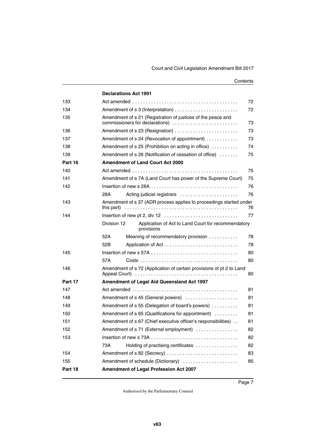|         | <b>Declarations Act 1991</b>                                                                                            |    |
|---------|-------------------------------------------------------------------------------------------------------------------------|----|
| 133     |                                                                                                                         | 72 |
| 134     |                                                                                                                         | 72 |
| 135     | Amendment of s 21 (Registration of justices of the peace and<br>commissioners for declarations)                         | 73 |
| 136     | Amendment of s 23 (Resignation)                                                                                         | 73 |
| 137     | Amendment of s 24 (Revocation of appointment)                                                                           | 73 |
| 138     | Amendment of s $25$ (Prohibition on acting in office) $\ldots \ldots \ldots$                                            | 74 |
| 139     | Amendment of s 26 (Notification of cessation of office)                                                                 | 75 |
| Part 16 | <b>Amendment of Land Court Act 2000</b>                                                                                 |    |
| 140     |                                                                                                                         | 75 |
| 141     | Amendment of s 7A (Land Court has power of the Supreme Court)                                                           | 75 |
| 142     |                                                                                                                         | 76 |
|         | 28A<br>Acting judicial registrars                                                                                       | 76 |
| 143     | Amendment of s 37 (ADR process applies to proceedings started under<br>this part)                                       | 76 |
| 144     |                                                                                                                         | 77 |
|         | Division 12<br>Application of Act to Land Court for recommendatory<br>provisions                                        |    |
|         | 52A<br>Meaning of recommendatory provision                                                                              | 78 |
|         | 52B                                                                                                                     | 78 |
| 145     | Insertion of new s 57A $\ldots$ , $\ldots$ , $\ldots$ , $\ldots$ , $\ldots$ , $\ldots$ , $\ldots$ , $\ldots$ , $\ldots$ | 80 |
|         | 57A                                                                                                                     | 80 |
| 146     | Amendment of s 72 (Application of certain provisions of pt 2 to Land                                                    | 80 |
| Part 17 | Amendment of Legal Aid Queensland Act 1997                                                                              |    |
| 147     |                                                                                                                         | 81 |
| 148     | Amendment of s 45 (General powers)                                                                                      | 81 |
| 149     | Amendment of s 55 (Delegation of board's powers)                                                                        | 81 |
| 150     | Amendment of s 65 (Qualifications for appointment)                                                                      | 81 |
| 151     | Amendment of s 67 (Chief executive officer's responsibilities)                                                          | 81 |
| 152     | Amendment of s 71 (External employment)                                                                                 | 82 |
| 153     |                                                                                                                         | 82 |
|         | Holding of practising certificates<br>73A                                                                               | 82 |
| 154     | Amendment of s 82 (Secrecy)                                                                                             | 83 |
| 155     | Amendment of schedule (Dictionary)                                                                                      | 85 |
| Part 18 | Amendment of Legal Profession Act 2007                                                                                  |    |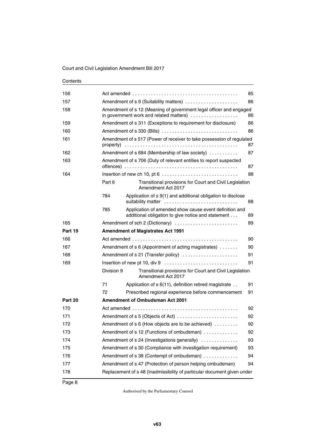| 156     |            |                                                                                                                                                                      | 85 |
|---------|------------|----------------------------------------------------------------------------------------------------------------------------------------------------------------------|----|
| 157     |            | Amendment of s 9 (Suitability matters)                                                                                                                               | 86 |
| 158     |            | Amendment of s 12 (Meaning of government legal officer and engaged<br>in government work and related matters)                                                        | 86 |
| 159     |            | Amendment of s 311 (Exceptions to requirement for disclosure)                                                                                                        | 86 |
| 160     |            | Amendment of s 330 (Bills)                                                                                                                                           | 86 |
| 161     |            | Amendment of s 517 (Power of receiver to take possession of regulated                                                                                                | 87 |
| 162     |            | Amendment of s 684 (Membership of law society)                                                                                                                       | 87 |
| 163     |            | Amendment of s 706 (Duty of relevant entities to report suspected<br>offences) $\ldots \ldots \ldots \ldots \ldots \ldots \ldots \ldots \ldots \ldots \ldots \ldots$ | 87 |
| 164     |            |                                                                                                                                                                      | 88 |
|         | Part 6     | Transitional provisions for Court and Civil Legislation<br>Amendment Act 2017                                                                                        |    |
|         | 784        | Application of s 9(1) and additional obligation to disclose<br>suitability matter                                                                                    | 88 |
|         | 785        | Application of amended show cause event definition and<br>additional obligation to give notice and statement                                                         | 89 |
| 165     |            | Amendment of sch 2 (Dictionary)                                                                                                                                      | 89 |
| Part 19 |            | <b>Amendment of Magistrates Act 1991</b>                                                                                                                             |    |
| 166     |            |                                                                                                                                                                      | 90 |
| 167     |            | Amendment of s 6 (Appointment of acting magistrates)                                                                                                                 | 90 |
| 168     |            | Amendment of s 21 (Transfer policy)                                                                                                                                  | 91 |
| 169     |            |                                                                                                                                                                      | 91 |
|         | Division 9 | Transitional provisions for Court and Civil Legislation<br>Amendment Act 2017                                                                                        |    |
|         | 71         | Application of s 6(11), definition retired magistrate                                                                                                                | 91 |
|         | 72         | Prescribed regional experience before commencement                                                                                                                   | 91 |
| Part 20 |            | <b>Amendment of Ombudsman Act 2001</b>                                                                                                                               |    |
| 170     |            |                                                                                                                                                                      | 92 |
| 171     |            | Amendment of s 5 (Objects of Act)                                                                                                                                    | 92 |
| 172     |            | Amendment of s 6 (How objects are to be achieved)                                                                                                                    | 92 |
| 173     |            | Amendment of s 12 (Functions of ombudsman)                                                                                                                           | 92 |
| 174     |            | Amendment of s 24 (Investigations generally)                                                                                                                         | 93 |
| 175     |            | Amendment of s 30 (Compliance with investigation requirement)                                                                                                        | 93 |
| 176     |            | Amendment of s 38 (Contempt of ombudsman)                                                                                                                            | 94 |
| 177     |            | Amendment of s 47 (Protection of person helping ombudsman)                                                                                                           | 94 |
| 178     |            | Replacement of s 48 (Inadmissibility of particular document given under                                                                                              |    |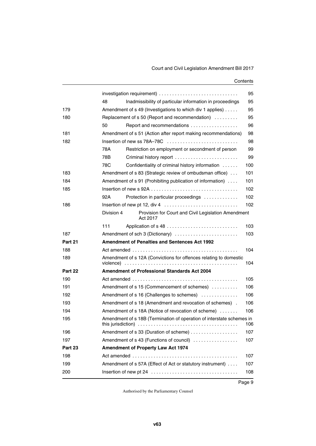|         |                                                                                | 95  |
|---------|--------------------------------------------------------------------------------|-----|
|         | Inadmissibility of particular information in proceedings<br>48                 | 95  |
| 179     | Amendment of s 49 (Investigations to which div 1 applies)                      | 95  |
| 180     | Replacement of s 50 (Report and recommendation)                                | 95  |
|         | Report and recommendations<br>50                                               | 96  |
| 181     | Amendment of s 51 (Action after report making recommendations)                 | 98  |
| 182     |                                                                                | 98  |
|         | 78A<br>Restriction on employment or secondment of person                       | 99  |
|         | 78B<br>Criminal history report                                                 | 99  |
|         | 78C<br>Confidentiality of criminal history information                         | 100 |
| 183     | Amendment of s 83 (Strategic review of ombudsman office)                       | 101 |
| 184     | Amendment of s 91 (Prohibiting publication of information)                     | 101 |
| 185     |                                                                                | 102 |
|         | 92A<br>Protection in particular proceedings                                    | 102 |
| 186     |                                                                                | 102 |
|         | Division 4<br>Provision for Court and Civil Legislation Amendment<br>Act 2017  |     |
|         | 111                                                                            | 103 |
| 187     | Amendment of sch 3 (Dictionary)                                                | 103 |
| Part 21 | Amendment of Penalties and Sentences Act 1992                                  |     |
| 188     |                                                                                | 104 |
| 189     | Amendment of s 12A (Convictions for offences relating to domestic<br>violence) | 104 |
| Part 22 | <b>Amendment of Professional Standards Act 2004</b>                            |     |
| 190     |                                                                                | 105 |
| 191     | Amendment of s 15 (Commencement of schemes)                                    | 106 |
| 192     | Amendment of s 16 (Challenges to schemes)                                      | 106 |
| 193     | Amendment of s 18 (Amendment and revocation of schemes).                       | 106 |
| 194     | Amendment of s 18A (Notice of revocation of scheme)                            | 106 |
| 195     | Amendment of s 18B (Termination of operation of interstate schemes in          | 106 |
| 196     | Amendment of s 33 (Duration of scheme)                                         | 107 |
| 197     | Amendment of s 43 (Functions of council)                                       | 107 |
| Part 23 | <b>Amendment of Property Law Act 1974</b>                                      |     |
| 198     |                                                                                | 107 |
| 199     | Amendment of s 57A (Effect of Act or statutory instrument)                     | 107 |
| 200     |                                                                                | 108 |
|         |                                                                                |     |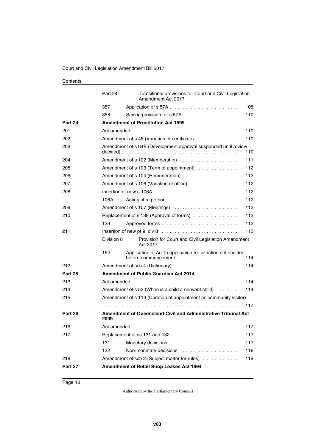|                | Part 24    | Transitional provisions for Court and Civil Legislation<br>Amendment Act 2017                                                         |     |
|----------------|------------|---------------------------------------------------------------------------------------------------------------------------------------|-----|
|                | 357        |                                                                                                                                       | 108 |
|                | 358        |                                                                                                                                       | 110 |
| Part 24        |            | <b>Amendment of Prostitution Act 1999</b>                                                                                             |     |
| 201            |            |                                                                                                                                       | 110 |
| 202            |            | Amendment of s 46 (Variation of certificate)                                                                                          | 110 |
| 203            |            | Amendment of s 64E (Development approval suspended until review                                                                       | 110 |
| 204            |            | Amendment of s 102 (Membership)                                                                                                       | 111 |
| 205            |            | Amendment of s 103 (Term of appointment)                                                                                              | 112 |
| 206            |            | Amendment of s 104 (Remuneration)                                                                                                     | 112 |
| 207            |            | Amendment of s 106 (Vacation of office)                                                                                               | 112 |
| 208            |            |                                                                                                                                       | 112 |
|                | 106A       |                                                                                                                                       | 112 |
| 209            |            | Amendment of s 107 (Meetings)                                                                                                         | 113 |
| 210            |            | Replacement of s 139 (Approval of forms)                                                                                              | 113 |
|                | 139        |                                                                                                                                       | 113 |
| 211            |            |                                                                                                                                       | 113 |
|                | Division 8 | Provision for Court and Civil Legislation Amendment<br>Act 2017                                                                       |     |
|                | 164        | Application of Act to application for variation not decided<br>before commencement $\ldots \ldots \ldots \ldots \ldots \ldots \ldots$ | 114 |
| 212            |            | Amendment of sch 4 (Dictionary)                                                                                                       | 114 |
| <b>Part 25</b> |            | <b>Amendment of Public Guardian Act 2014</b>                                                                                          |     |
| 213            |            |                                                                                                                                       | 114 |
| 214            |            | Amendment of $s$ 52 (When is a child a relevant child) $\dots\dots$                                                                   | 114 |
| 215            |            | Amendment of s 113 (Duration of appointment as community visitor)                                                                     |     |
|                |            |                                                                                                                                       | 117 |
| Part 26        | 2009       | <b>Amendment of Queensland Civil and Administrative Tribunal Act</b>                                                                  |     |
| 216            |            | Act amended                                                                                                                           | 117 |
| 217            |            | Replacement of ss 131 and 132                                                                                                         | 117 |
|                | 131        | Monetary decisions                                                                                                                    | 117 |
|                | 132        | Non-monetary decisions                                                                                                                | 118 |
| 218            |            | Amendment of sch 2 (Subject matter for rules)                                                                                         | 119 |
| Part 27        |            | Amendment of Retail Shop Leases Act 1994                                                                                              |     |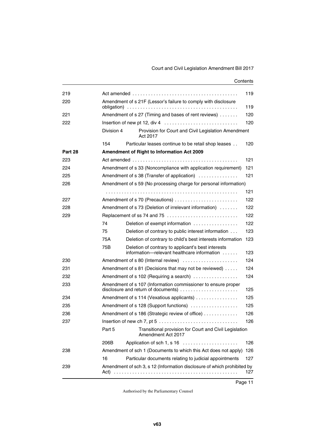| 219     | 119        |                                                                                                      |     |  |
|---------|------------|------------------------------------------------------------------------------------------------------|-----|--|
| 220     |            | Amendment of s 21F (Lessor's failure to comply with disclosure                                       |     |  |
|         | 119        |                                                                                                      |     |  |
| 221     |            | Amendment of s 27 (Timing and bases of rent reviews)                                                 | 120 |  |
| 222     |            |                                                                                                      | 120 |  |
|         | Division 4 | Provision for Court and Civil Legislation Amendment<br>Act 2017                                      |     |  |
|         | 154        | Particular leases continue to be retail shop leases                                                  | 120 |  |
| Part 28 |            | Amendment of Right to Information Act 2009                                                           |     |  |
| 223     |            |                                                                                                      | 121 |  |
| 224     |            | Amendment of s 33 (Noncompliance with application requirement)                                       | 121 |  |
| 225     |            | Amendment of s 38 (Transfer of application)                                                          | 121 |  |
| 226     |            | Amendment of s 59 (No processing charge for personal information)                                    |     |  |
|         |            |                                                                                                      | 121 |  |
| 227     |            | Amendment of s 70 (Precautions)                                                                      | 122 |  |
| 228     |            | Amendment of s 73 (Deletion of irrelevant information)                                               | 122 |  |
| 229     |            | Replacement of ss 74 and 75                                                                          | 122 |  |
|         | 74         | Deletion of exempt information                                                                       | 122 |  |
|         | 75         | Deletion of contrary to public interest information                                                  | 123 |  |
|         | 75A        | Deletion of contrary to child's best interests information                                           | 123 |  |
|         | 75B        | Deletion of contrary to applicant's best interests<br>information-relevant healthcare information    | 123 |  |
| 230     |            | Amendment of s 80 (Internal review)                                                                  | 124 |  |
| 231     |            | Amendment of s 81 (Decisions that may not be reviewed)                                               | 124 |  |
| 232     |            | Amendment of s 102 (Requiring a search)                                                              | 124 |  |
| 233     |            | Amendment of s 107 (Information commissioner to ensure proper<br>disclosure and return of documents) | 125 |  |
| 234     |            | Amendment of s 114 (Vexatious applicants)                                                            | 125 |  |
| 235     |            | Amendment of s 128 (Support functions)                                                               | 125 |  |
| 236     |            | Amendment of s 186 (Strategic review of office)                                                      | 126 |  |
| 237     |            | Insertion of new ch 7, pt 5 $\dots \dots \dots \dots \dots \dots \dots \dots \dots \dots$            | 126 |  |
|         | Part 5     | Transitional provision for Court and Civil Legislation<br>Amendment Act 2017                         |     |  |
|         | 206B       | Application of sch 1, s 16                                                                           | 126 |  |
| 238     |            | Amendment of sch 1 (Documents to which this Act does not apply)                                      | 126 |  |
|         | 16         | Particular documents relating to judicial appointments                                               | 127 |  |
| 239     |            | Amendment of sch 3, s 12 (Information disclosure of which prohibited by                              |     |  |
|         | Act)       |                                                                                                      | 127 |  |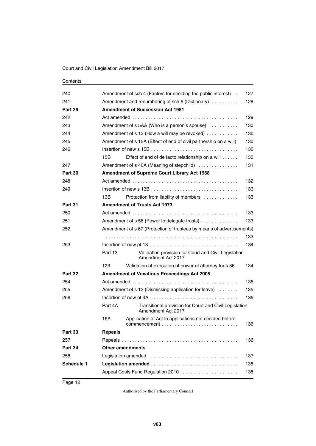| 240               | Amendment of sch 4 (Factors for deciding the public interest).                          | 127 |
|-------------------|-----------------------------------------------------------------------------------------|-----|
| 241               | Amendment and renumbering of sch 6 (Dictionary)                                         | 128 |
| Part 29           | <b>Amendment of Succession Act 1981</b>                                                 |     |
| 242               |                                                                                         | 129 |
| 243               | Amendment of s 5AA (Who is a person's spouse)                                           | 130 |
| 244               | Amendment of s 13 (How a will may be revoked)                                           | 130 |
| 245               | Amendment of s 15A (Effect of end of civil partnership on a will)                       | 130 |
| 246               |                                                                                         | 130 |
|                   | Effect of end of de facto relationship on a will<br>15B                                 | 130 |
| 247               | Amendment of s 40A (Meaning of stepchild)                                               | 131 |
| Part 30           | <b>Amendment of Supreme Court Library Act 1968</b>                                      |     |
| 248               |                                                                                         | 132 |
| 249               |                                                                                         | 133 |
|                   | 13B<br>Protection from liability of members                                             | 133 |
| Part 31           | <b>Amendment of Trusts Act 1973</b>                                                     |     |
| 250               |                                                                                         | 133 |
| 251               | Amendment of s 56 (Power to delegate trusts)                                            | 133 |
| 252               | Amendment of s 67 (Protection of trustees by means of advertisements)                   |     |
|                   |                                                                                         | 133 |
| 253               |                                                                                         | 134 |
|                   | Validation provision for Court and Civil Legislation<br>Part 13<br>Amendment Act 2017   |     |
|                   | 123<br>Validation of execution of power of attorney for s 56                            | 134 |
| Part 32           | <b>Amendment of Vexatious Proceedings Act 2005</b>                                      |     |
| 254               |                                                                                         | 135 |
| 255               | Amendment of s 12 (Dismissing application for leave)                                    | 135 |
| 256               |                                                                                         | 135 |
|                   | Part 4A<br>Transitional provision for Court and Civil Legislation<br>Amendment Act 2017 |     |
|                   | 16A<br>Application of Act to applications not decided before<br>commencement            | 136 |
| <b>Part 33</b>    | <b>Repeals</b>                                                                          |     |
| 257               |                                                                                         | 136 |
| Part 34           | <b>Other amendments</b>                                                                 |     |
| 258               |                                                                                         | 137 |
| <b>Schedule 1</b> |                                                                                         | 138 |
|                   |                                                                                         | 138 |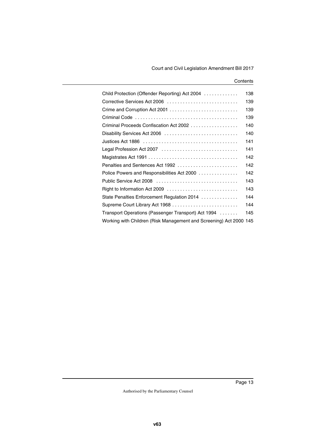| Child Protection (Offender Reporting) Act 2004                     | 138 |
|--------------------------------------------------------------------|-----|
| Corrective Services Act 2006                                       | 139 |
|                                                                    | 139 |
|                                                                    | 139 |
| Criminal Proceeds Confiscation Act 2002                            | 140 |
| Disability Services Act 2006                                       | 140 |
|                                                                    | 141 |
| Legal Profession Act 2007                                          | 141 |
|                                                                    | 142 |
| Penalties and Sentences Act 1992                                   | 142 |
| Police Powers and Responsibilities Act 2000                        | 142 |
| Public Service Act 2008                                            | 143 |
| Right to Information Act 2009                                      | 143 |
| State Penalties Enforcement Regulation 2014                        | 144 |
|                                                                    | 144 |
| Transport Operations (Passenger Transport) Act 1994                | 145 |
| Working with Children (Risk Management and Screening) Act 2000 145 |     |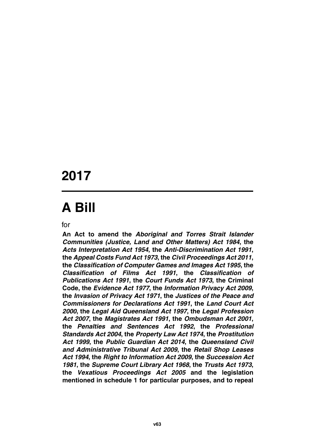# **2017**

# **A Bill**

for

**An Act to amend the** *Aboriginal and Torres Strait Islander Communities (Justice, Land and Other Matters) Act 1984***, the** *Acts Interpretation Act 1954***, the** *Anti-Discrimination Act 1991***, the** *Appeal Costs Fund Act 1973***, the** *Civil Proceedings Act 2011***, the** *Classification of Computer Games and Images Act 1995***, the** *Classification of Films Act 1991***, the** *Classification of Publications Act 1991***, the** *Court Funds Act 1973***, the Criminal Code, the** *Evidence Act 1977***, the** *Information Privacy Act 2009***, the** *Invasion of Privacy Act 1971***, the** *Justices of the Peace and Commissioners for Declarations Act 1991***, the** *Land Court Act 2000***, the** *Legal Aid Queensland Act 1997***, the** *Legal Profession Act 2007***, the** *Magistrates Act 1991***, the** *Ombudsman Act 2001***, the** *Penalties and Sentences Act 1992***, the** *Professional Standards Act 2004***, the** *Property Law Act 1974***, the** *Prostitution Act 1999***, the** *Public Guardian Act 2014***, the** *Queensland Civil and Administrative Tribunal Act 2009***, the** *Retail Shop Leases Act 1994***, the** *Right to Information Act 2009***, the** *Succession Act 1981***, the** *Supreme Court Library Act 1968***, the** *Trusts Act 1973***, the** *Vexatious Proceedings Act 2005* **and the legislation mentioned in schedule 1 for particular purposes, and to repeal**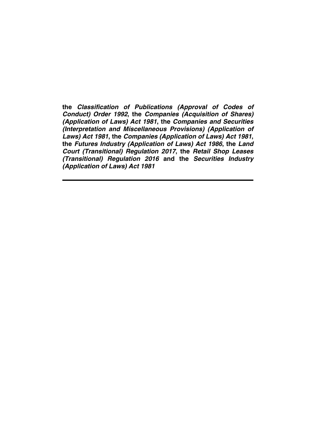**the** *Classification of Publications (Approval of Codes of Conduct) Order 1992***, the** *Companies (Acquisition of Shares) (Application of Laws) Act 1981***, the** *Companies and Securities (Interpretation and Miscellaneous Provisions) (Application of Laws) Act 1981***, the** *Companies (Application of Laws) Act 1981***, the** *Futures Industry (Application of Laws) Act 1986***, the** *Land Court (Transitional) Regulation 2017***, the** *Retail Shop Leases (Transitional) Regulation 2016* **and the** *Securities Industry (Application of Laws) Act 1981*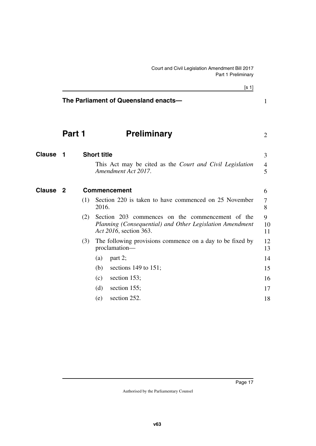<span id="page-18-5"></span><span id="page-18-4"></span><span id="page-18-3"></span><span id="page-18-2"></span><span id="page-18-1"></span><span id="page-18-0"></span>

|                     |                |     | [s 1]                                                                                                                                  |               |
|---------------------|----------------|-----|----------------------------------------------------------------------------------------------------------------------------------------|---------------|
|                     |                |     | The Parliament of Queensland enacts-                                                                                                   | $\mathbf{1}$  |
|                     | Part 1         |     | <b>Preliminary</b>                                                                                                                     | 2             |
| <b>Clause</b>       | $\blacksquare$ |     | <b>Short title</b>                                                                                                                     | 3             |
|                     |                |     | This Act may be cited as the <i>Court and Civil Legislation</i><br>Amendment Act 2017.                                                 | 4<br>5        |
| Clause <sub>2</sub> |                |     | <b>Commencement</b>                                                                                                                    | 6             |
|                     |                | (1) | Section 220 is taken to have commenced on 25 November<br>2016.                                                                         | 7<br>8        |
|                     |                | (2) | Section 203 commences on the commencement of the<br>Planning (Consequential) and Other Legislation Amendment<br>Act 2016, section 363. | 9<br>10<br>11 |
|                     |                | (3) | The following provisions commence on a day to be fixed by<br>proclamation-                                                             | 12<br>13      |
|                     |                |     | (a)<br>part 2;                                                                                                                         | 14            |
|                     |                |     | sections 149 to 151;<br>(b)                                                                                                            | 15            |
|                     |                |     | section 153;<br>(c)                                                                                                                    | 16            |
|                     |                |     | (d)<br>section 155;                                                                                                                    | 17            |
|                     |                |     | section 252.<br>(e)                                                                                                                    | 18            |
|                     |                |     |                                                                                                                                        |               |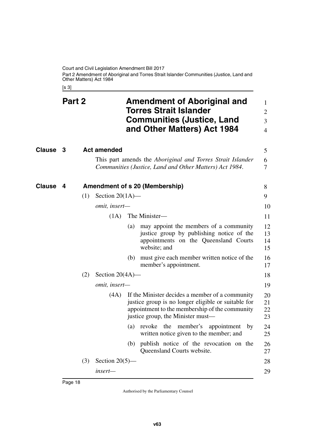Court and Civil Legislation Amendment Bill 2017 Part 2 Amendment of Aboriginal and Torres Strait Islander Communities (Justice, Land and Other Matters) Act 1984

<span id="page-19-5"></span><span id="page-19-3"></span><span id="page-19-1"></span><span id="page-19-0"></span>[s 3]

<span id="page-19-4"></span><span id="page-19-2"></span>

| Clause<br><b>Act amended</b><br>3<br>This part amends the <i>Aboriginal and Torres Strait Islander</i><br>Communities (Justice, Land and Other Matters) Act 1984.<br>Clause<br>Amendment of s 20 (Membership)<br>4<br>Section $20(1A)$ —<br>(1)<br>omit, insert-<br>The Minister-<br>(1A)<br>(a) may appoint the members of a community<br>justice group by publishing notice of the<br>appointments on the Queensland Courts<br>website; and<br>(b) must give each member written notice of the<br>member's appointment.<br>Section $20(4A)$ —<br>(2)<br>omit, insert-<br>If the Minister decides a member of a community<br>(4A)<br>justice group is no longer eligible or suitable for<br>appointment to the membership of the community<br>justice group, the Minister must—<br>(a) revoke the member's<br>appointment<br>by<br>written notice given to the member; and<br>(b) publish notice of the revocation on the<br>Queensland Courts website.<br>Section $20(5)$ —<br>(3)<br>insert- | Part 2 |  | <b>Amendment of Aboriginal and</b><br><b>Torres Strait Islander</b><br><b>Communities (Justice, Land</b><br>and Other Matters) Act 1984 | 1<br>$\overline{2}$<br>3<br>$\overline{4}$ |
|-------------------------------------------------------------------------------------------------------------------------------------------------------------------------------------------------------------------------------------------------------------------------------------------------------------------------------------------------------------------------------------------------------------------------------------------------------------------------------------------------------------------------------------------------------------------------------------------------------------------------------------------------------------------------------------------------------------------------------------------------------------------------------------------------------------------------------------------------------------------------------------------------------------------------------------------------------------------------------------------------|--------|--|-----------------------------------------------------------------------------------------------------------------------------------------|--------------------------------------------|
|                                                                                                                                                                                                                                                                                                                                                                                                                                                                                                                                                                                                                                                                                                                                                                                                                                                                                                                                                                                                 |        |  |                                                                                                                                         | 5                                          |
|                                                                                                                                                                                                                                                                                                                                                                                                                                                                                                                                                                                                                                                                                                                                                                                                                                                                                                                                                                                                 |        |  |                                                                                                                                         | 6<br>7                                     |
|                                                                                                                                                                                                                                                                                                                                                                                                                                                                                                                                                                                                                                                                                                                                                                                                                                                                                                                                                                                                 |        |  |                                                                                                                                         | 8                                          |
|                                                                                                                                                                                                                                                                                                                                                                                                                                                                                                                                                                                                                                                                                                                                                                                                                                                                                                                                                                                                 |        |  |                                                                                                                                         | 9                                          |
|                                                                                                                                                                                                                                                                                                                                                                                                                                                                                                                                                                                                                                                                                                                                                                                                                                                                                                                                                                                                 |        |  |                                                                                                                                         | 10                                         |
|                                                                                                                                                                                                                                                                                                                                                                                                                                                                                                                                                                                                                                                                                                                                                                                                                                                                                                                                                                                                 |        |  |                                                                                                                                         | 11                                         |
|                                                                                                                                                                                                                                                                                                                                                                                                                                                                                                                                                                                                                                                                                                                                                                                                                                                                                                                                                                                                 |        |  |                                                                                                                                         | 12<br>13<br>14<br>15                       |
|                                                                                                                                                                                                                                                                                                                                                                                                                                                                                                                                                                                                                                                                                                                                                                                                                                                                                                                                                                                                 |        |  |                                                                                                                                         | 16<br>17                                   |
|                                                                                                                                                                                                                                                                                                                                                                                                                                                                                                                                                                                                                                                                                                                                                                                                                                                                                                                                                                                                 |        |  |                                                                                                                                         | 18                                         |
|                                                                                                                                                                                                                                                                                                                                                                                                                                                                                                                                                                                                                                                                                                                                                                                                                                                                                                                                                                                                 |        |  |                                                                                                                                         | 19                                         |
|                                                                                                                                                                                                                                                                                                                                                                                                                                                                                                                                                                                                                                                                                                                                                                                                                                                                                                                                                                                                 |        |  |                                                                                                                                         | 20<br>21<br>22<br>23                       |
|                                                                                                                                                                                                                                                                                                                                                                                                                                                                                                                                                                                                                                                                                                                                                                                                                                                                                                                                                                                                 |        |  |                                                                                                                                         | 24<br>25                                   |
|                                                                                                                                                                                                                                                                                                                                                                                                                                                                                                                                                                                                                                                                                                                                                                                                                                                                                                                                                                                                 |        |  |                                                                                                                                         | 26<br>27                                   |
|                                                                                                                                                                                                                                                                                                                                                                                                                                                                                                                                                                                                                                                                                                                                                                                                                                                                                                                                                                                                 |        |  |                                                                                                                                         | 28                                         |
|                                                                                                                                                                                                                                                                                                                                                                                                                                                                                                                                                                                                                                                                                                                                                                                                                                                                                                                                                                                                 |        |  |                                                                                                                                         | 29                                         |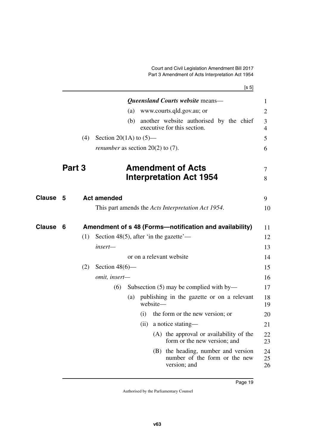<span id="page-20-1"></span>[s 5] *Queensland Courts website* means— (a) www.courts.qld.gov.au; or

1 2

<span id="page-20-5"></span><span id="page-20-4"></span><span id="page-20-3"></span><span id="page-20-2"></span><span id="page-20-0"></span>

|               |        |     |                                            | (b) |      |          | another website authorised by the chief<br>executive for this section.               | 3<br>4         |
|---------------|--------|-----|--------------------------------------------|-----|------|----------|--------------------------------------------------------------------------------------|----------------|
|               |        | (4) | Section 20(1A) to $(5)$ —                  |     |      |          |                                                                                      | 5              |
|               |        |     | <i>renumber</i> as section $20(2)$ to (7). |     |      |          |                                                                                      | 6              |
|               | Part 3 |     |                                            |     |      |          | <b>Amendment of Acts</b><br><b>Interpretation Act 1954</b>                           | 7<br>8         |
| <b>Clause</b> | - 5    |     | <b>Act amended</b>                         |     |      |          |                                                                                      | 9              |
|               |        |     |                                            |     |      |          | This part amends the <i>Acts Interpretation Act 1954</i> .                           | 10             |
| <b>Clause</b> | 6      |     |                                            |     |      |          | Amendment of s 48 (Forms-notification and availability)                              | 11             |
|               |        | (1) | Section 48(5), after 'in the gazette'—     |     |      |          |                                                                                      | 12             |
|               |        |     | insert-                                    |     |      |          |                                                                                      | 13             |
|               |        |     |                                            |     |      |          | or on a relevant website                                                             | 14             |
|               |        | (2) | Section $48(6)$ —                          |     |      |          |                                                                                      | 15             |
|               |        |     | omit, insert-                              |     |      |          |                                                                                      | 16             |
|               |        |     | (6)                                        |     |      |          | Subsection $(5)$ may be complied with by—                                            | 17             |
|               |        |     |                                            | (a) |      | website- | publishing in the gazette or on a relevant                                           | 18<br>19       |
|               |        |     |                                            |     | (i)  |          | the form or the new version; or                                                      | 20             |
|               |        |     |                                            |     | (ii) |          | a notice stating—                                                                    | 21             |
|               |        |     |                                            |     |      |          | (A) the approval or availability of the<br>form or the new version; and              | 22<br>23       |
|               |        |     |                                            |     |      |          | (B) the heading, number and version<br>number of the form or the new<br>version; and | 24<br>25<br>26 |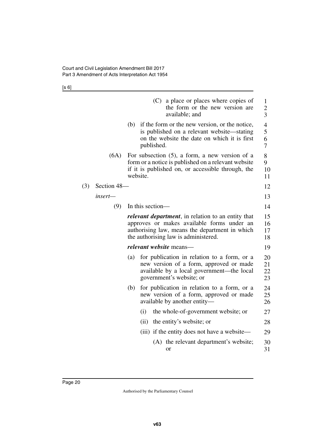[s 6]

|     |             |     | a place or places where copies of<br>(C)<br>the form or the new version are<br>available; and                                                                                                      | $\mathbf{1}$<br>2<br>3 |
|-----|-------------|-----|----------------------------------------------------------------------------------------------------------------------------------------------------------------------------------------------------|------------------------|
|     |             |     | (b) if the form or the new version, or the notice,<br>is published on a relevant website—stating<br>on the website the date on which it is first<br>published.                                     | 4<br>5<br>6<br>7       |
|     | (6A)        |     | For subsection $(5)$ , a form, a new version of a<br>form or a notice is published on a relevant website<br>if it is published on, or accessible through, the<br>website.                          | 8<br>9<br>10<br>11     |
| (3) | Section 48- |     |                                                                                                                                                                                                    | 12                     |
|     | insert—     |     |                                                                                                                                                                                                    | 13                     |
|     | (9)         |     | In this section-                                                                                                                                                                                   | 14                     |
|     |             |     | <i>relevant department</i> , in relation to an entity that<br>approves or makes available forms under an<br>authorising law, means the department in which<br>the authorising law is administered. | 15<br>16<br>17<br>18   |
|     |             |     | <i>relevant</i> website means—                                                                                                                                                                     | 19                     |
|     |             | (a) | for publication in relation to a form, or a<br>new version of a form, approved or made<br>available by a local government—the local<br>government's website; or                                    | 20<br>21<br>22<br>23   |
|     |             | (b) | for publication in relation to a form, or a<br>new version of a form, approved or made<br>available by another entity—                                                                             | 24<br>25<br>26         |
|     |             |     | (i)<br>the whole-of-government website; or                                                                                                                                                         | 27                     |
|     |             |     | the entity's website; or<br>(ii)                                                                                                                                                                   | 28                     |
|     |             |     | (iii) if the entity does not have a website—                                                                                                                                                       | 29                     |
|     |             |     | (A) the relevant department's website;<br>or                                                                                                                                                       | 30<br>31               |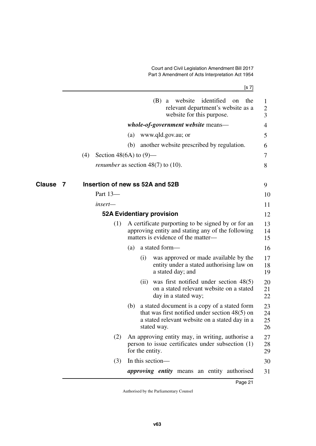Court and Civil Legislation Amendment Bill 2017 Part 3 Amendment of Acts Interpretation Act 1954

<span id="page-22-3"></span><span id="page-22-2"></span><span id="page-22-1"></span><span id="page-22-0"></span>

|             | [s 7]                                                                                                                                                                    |                                     |
|-------------|--------------------------------------------------------------------------------------------------------------------------------------------------------------------------|-------------------------------------|
|             | (B)<br>website<br>identified<br>the<br>a<br>on<br>relevant department's website as a<br>website for this purpose.                                                        | $\mathbf{1}$<br>$\overline{c}$<br>3 |
|             | <i>whole-of-government website means—</i>                                                                                                                                | 4                                   |
|             | www.qld.gov.au; or<br>(a)                                                                                                                                                | 5                                   |
|             | another website prescribed by regulation.<br>(b)                                                                                                                         | 6                                   |
|             | (4)<br>Section 48(6A) to $(9)$ —                                                                                                                                         | 7                                   |
|             | <i>renumber</i> as section 48(7) to (10).                                                                                                                                | 8                                   |
| Clause<br>7 | Insertion of new ss 52A and 52B                                                                                                                                          | 9                                   |
|             | Part 13-                                                                                                                                                                 | 10                                  |
|             | insert—                                                                                                                                                                  | 11                                  |
|             | <b>52A Evidentiary provision</b>                                                                                                                                         | 12                                  |
|             | A certificate purporting to be signed by or for an<br>(1)<br>approving entity and stating any of the following<br>matters is evidence of the matter—                     | 13<br>14<br>15                      |
|             | a stated form-<br>(a)                                                                                                                                                    | 16                                  |
|             | was approved or made available by the<br>(i)<br>entity under a stated authorising law on<br>a stated day; and                                                            | 17<br>18<br>19                      |
|             | was first notified under section $48(5)$<br>(11)<br>on a stated relevant website on a stated<br>day in a stated way;                                                     | 20<br>21<br>22                      |
|             | a stated document is a copy of a stated form<br>(b)<br>that was first notified under section $48(5)$ on<br>a stated relevant website on a stated day in a<br>stated way. | 23<br>24<br>25<br>26                |
|             | An approving entity may, in writing, authorise a<br>(2)<br>person to issue certificates under subsection (1)<br>for the entity.                                          | 27<br>28<br>29                      |
|             | In this section-<br>(3)                                                                                                                                                  | 30                                  |
|             | <i>approving entity</i> means an entity authorised                                                                                                                       | 31                                  |
|             |                                                                                                                                                                          |                                     |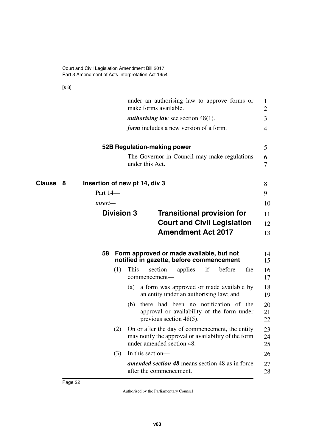<span id="page-23-7"></span><span id="page-23-5"></span><span id="page-23-4"></span><span id="page-23-1"></span><span id="page-23-0"></span>[s 8]

<span id="page-23-6"></span><span id="page-23-3"></span><span id="page-23-2"></span>

|             |                   | under an authorising law to approve forms or<br>make forms available.                                                               | 1<br>$\overline{2}$ |
|-------------|-------------------|-------------------------------------------------------------------------------------------------------------------------------------|---------------------|
|             |                   | <i>authorising law</i> see section $48(1)$ .                                                                                        | 3                   |
|             |                   | <i>form</i> includes a new version of a form.                                                                                       | 4                   |
|             |                   | 52B Regulation-making power                                                                                                         | 5                   |
|             |                   | The Governor in Council may make regulations<br>under this Act.                                                                     | 6<br>7              |
| Clause<br>8 |                   | Insertion of new pt 14, div 3                                                                                                       | 8                   |
|             | Part 14-          |                                                                                                                                     | 9                   |
|             | insert—           |                                                                                                                                     | 10                  |
|             | <b>Division 3</b> | <b>Transitional provision for</b>                                                                                                   | 11                  |
|             |                   | <b>Court and Civil Legislation</b>                                                                                                  | 12                  |
|             |                   | <b>Amendment Act 2017</b>                                                                                                           | 13                  |
|             | 58                | Form approved or made available, but not<br>notified in gazette, before commencement                                                | 14<br>15            |
|             | (1)               | This<br>if<br>before<br>the<br>section<br>applies<br>commencement—                                                                  | 16<br>17            |
|             |                   | a form was approved or made available by<br>(a)<br>an entity under an authorising law; and                                          | 18<br>19            |
|             |                   | (b) there had been no notification of the<br>approval or availability of the form under<br>previous section $48(5)$ .               | 20<br>21<br>22      |
|             | (2)               | On or after the day of commencement, the entity<br>may notify the approval or availability of the form<br>under amended section 48. | 23<br>24<br>25      |
|             | (3)               | In this section-                                                                                                                    | 26                  |
|             |                   | <b>amended section 48</b> means section 48 as in force<br>after the commencement.                                                   | 27<br>28            |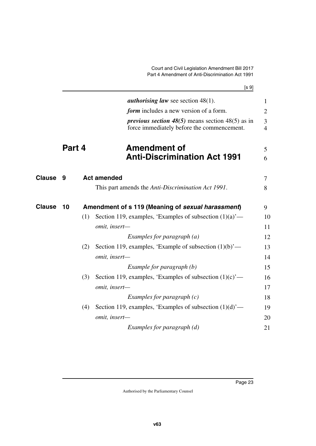<span id="page-24-1"></span>Court and Civil Legislation Amendment Bill 2017 Part 4 Amendment of Anti-Discrimination Act 1991

<span id="page-24-5"></span><span id="page-24-4"></span><span id="page-24-3"></span><span id="page-24-2"></span><span id="page-24-0"></span>

|               |        |     | [s 9]                                                                                                 |                                  |
|---------------|--------|-----|-------------------------------------------------------------------------------------------------------|----------------------------------|
|               |        |     | <i>authorising law</i> see section $48(1)$ .                                                          | $\mathbf{1}$                     |
|               |        |     | form includes a new version of a form.                                                                | $\overline{2}$                   |
|               |        |     | <i>previous section</i> 48(5) means section 48(5) as in<br>force immediately before the commencement. | $\overline{3}$<br>$\overline{4}$ |
|               | Part 4 |     | <b>Amendment of</b><br><b>Anti-Discrimination Act 1991</b>                                            | 5<br>6                           |
| <b>Clause</b> | 9      |     | <b>Act amended</b>                                                                                    | $\tau$                           |
|               |        |     | This part amends the Anti-Discrimination Act 1991.                                                    | 8                                |
| <b>Clause</b> | 10     |     | Amendment of s 119 (Meaning of sexual harassment)                                                     | 9                                |
|               |        | (1) | Section 119, examples, 'Examples of subsection $(1)(a)$ '—                                            | 10                               |
|               |        |     | omit, insert-                                                                                         | 11                               |
|               |        |     | Examples for paragraph $(a)$                                                                          | 12                               |
|               |        | (2) | Section 119, examples, 'Example of subsection $(1)(b)$ '—                                             | 13                               |
|               |        |     | omit, insert-                                                                                         | 14                               |
|               |        |     | Example for paragraph (b)                                                                             | 15                               |
|               |        | (3) | Section 119, examples, 'Examples of subsection $(1)(c)$ '—                                            | 16                               |
|               |        |     | omit, insert-                                                                                         | 17                               |
|               |        |     | Examples for paragraph $(c)$                                                                          | 18                               |
|               |        | (4) | Section 119, examples, 'Examples of subsection $(1)(d)$ '—                                            | 19                               |
|               |        |     | omit, insert-                                                                                         | 20                               |
|               |        |     | Examples for paragraph (d)                                                                            | 21                               |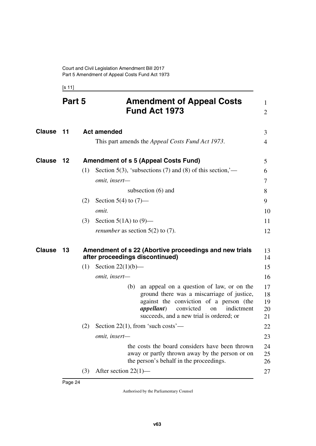<span id="page-25-5"></span><span id="page-25-3"></span><span id="page-25-2"></span><span id="page-25-1"></span><span id="page-25-0"></span>[s 11]

<span id="page-25-7"></span><span id="page-25-6"></span><span id="page-25-4"></span>

|        | Part 5 |     | <b>Amendment of Appeal Costs</b><br><b>Fund Act 1973</b>                                                                                                                                                                                     | 1<br>2                     |
|--------|--------|-----|----------------------------------------------------------------------------------------------------------------------------------------------------------------------------------------------------------------------------------------------|----------------------------|
| Clause | 11     |     | <b>Act amended</b>                                                                                                                                                                                                                           | 3                          |
|        |        |     | This part amends the <i>Appeal Costs Fund Act 1973</i> .                                                                                                                                                                                     | $\overline{4}$             |
| Clause | $12$   |     | <b>Amendment of s 5 (Appeal Costs Fund)</b>                                                                                                                                                                                                  | 5                          |
|        |        | (1) | Section 5(3), 'subsections (7) and (8) of this section,'—                                                                                                                                                                                    | 6                          |
|        |        |     | omit, insert-                                                                                                                                                                                                                                | 7                          |
|        |        |     | subsection $(6)$ and                                                                                                                                                                                                                         | 8                          |
|        |        | (2) | Section 5(4) to $(7)$ —                                                                                                                                                                                                                      | 9                          |
|        |        |     | omit.                                                                                                                                                                                                                                        | 10                         |
|        |        | (3) | Section 5(1A) to $(9)$ —                                                                                                                                                                                                                     | 11                         |
|        |        |     | <i>renumber</i> as section $5(2)$ to $(7)$ .                                                                                                                                                                                                 | 12                         |
| Clause | 13     |     | Amendment of s 22 (Abortive proceedings and new trials<br>after proceedings discontinued)                                                                                                                                                    | 13<br>14                   |
|        |        | (1) | Section $22(1)(b)$ —                                                                                                                                                                                                                         | 15                         |
|        |        |     | omit, insert-                                                                                                                                                                                                                                | 16                         |
|        |        |     | an appeal on a question of law, or on the<br>(b)<br>ground there was a miscarriage of justice,<br>against the conviction of a person (the<br><i>appellant</i> )<br>convicted<br>indictment<br>on<br>succeeds, and a new trial is ordered; or | 17<br>18<br>19<br>20<br>21 |
|        |        | (2) | Section 22(1), from 'such costs'—                                                                                                                                                                                                            | 22                         |
|        |        |     | omit, insert-                                                                                                                                                                                                                                | 23                         |
|        |        |     | the costs the board considers have been thrown<br>away or partly thrown away by the person or on<br>the person's behalf in the proceedings.                                                                                                  | 24<br>25<br>26             |
|        |        | (3) | After section $22(1)$ —                                                                                                                                                                                                                      | 27                         |
|        |        |     |                                                                                                                                                                                                                                              |                            |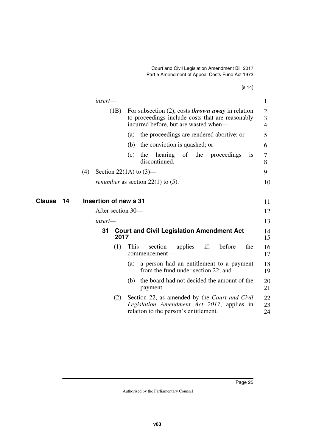| ł |  |
|---|--|
|   |  |

<span id="page-26-3"></span><span id="page-26-2"></span><span id="page-26-1"></span><span id="page-26-0"></span>

|              | insert—               |                                                                                                                                                                  | 1                                                  |
|--------------|-----------------------|------------------------------------------------------------------------------------------------------------------------------------------------------------------|----------------------------------------------------|
|              |                       | (1B)<br>For subsection $(2)$ , costs <i>thrown away</i> in relation<br>to proceedings include costs that are reasonably<br>incurred before, but are wasted when— | $\overline{2}$<br>$\mathfrak{Z}$<br>$\overline{4}$ |
|              |                       | the proceedings are rendered abortive; or<br>(a)                                                                                                                 | 5                                                  |
|              |                       | the conviction is quashed; or<br>(b)                                                                                                                             | 6                                                  |
|              |                       | hearing<br>of<br>the<br>the proceedings<br>(c)<br><b>1S</b><br>discontinued.                                                                                     | 7<br>8                                             |
|              | (4)                   | Section 22(1A) to $(3)$ —                                                                                                                                        | 9                                                  |
|              |                       | <i>renumber</i> as section $22(1)$ to (5).                                                                                                                       | 10                                                 |
|              |                       |                                                                                                                                                                  |                                                    |
| Clause<br>14 | Insertion of new s 31 |                                                                                                                                                                  | 11                                                 |
|              |                       | After section 30—                                                                                                                                                | 12                                                 |
|              | insert—               |                                                                                                                                                                  | 13                                                 |
|              | 31                    | <b>Court and Civil Legislation Amendment Act</b><br>2017                                                                                                         | 14<br>15                                           |
|              |                       | This<br>if,<br>before<br>(1)<br>section<br>applies<br>the<br>commencement-                                                                                       | 16<br>17                                           |
|              |                       | a person had an entitlement to a payment<br>(a)<br>from the fund under section 22; and                                                                           | 18<br>19                                           |
|              |                       | the board had not decided the amount of the<br>(b)<br>payment.                                                                                                   | 20<br>21                                           |
|              |                       | (2)<br>Section 22, as amended by the <i>Court and Civil</i><br>Legislation Amendment Act 2017, applies in<br>relation to the person's entitlement.               | 22<br>23<br>24                                     |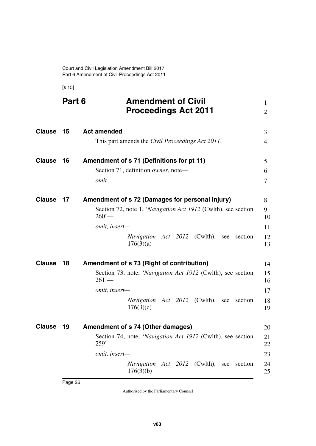<span id="page-27-7"></span><span id="page-27-5"></span><span id="page-27-3"></span><span id="page-27-2"></span><span id="page-27-1"></span><span id="page-27-0"></span>[s 15]

<span id="page-27-11"></span><span id="page-27-10"></span><span id="page-27-9"></span><span id="page-27-8"></span><span id="page-27-6"></span><span id="page-27-4"></span>

|               | Part 6 | <b>Amendment of Civil</b><br><b>Proceedings Act 2011</b>                                                                                                                                                         | 1<br>$\overline{2}$              |
|---------------|--------|------------------------------------------------------------------------------------------------------------------------------------------------------------------------------------------------------------------|----------------------------------|
| <b>Clause</b> | 15     | <b>Act amended</b><br>This part amends the Civil Proceedings Act 2011.                                                                                                                                           | 3<br>4                           |
| <b>Clause</b> | 16     | Amendment of s 71 (Definitions for pt 11)<br>Section 71, definition owner, note-<br>omit.                                                                                                                        | $5\overline{)}$<br>6<br>7        |
| <b>Clause</b> | 17     | Amendment of s 72 (Damages for personal injury)<br>Section 72, note 1, 'Navigation Act 1912 (Cwlth), see section<br>$260'$ —<br>omit, insert-<br><i>Navigation Act 2012</i> (Cwlth), see<br>section<br>176(3)(a) | 8<br>9<br>10<br>11<br>12<br>13   |
| <b>Clause</b> | 18     | Amendment of s 73 (Right of contribution)<br>Section 73, note, 'Navigation Act 1912 (Cwlth), see section<br>261'<br>omit, insert-<br><i>Navigation Act 2012</i> (Cwlth), see<br>section<br>176(3)(c)             | 14<br>15<br>16<br>17<br>18<br>19 |
| <b>Clause</b> | 19     | Amendment of s 74 (Other damages)<br>Section 74, note, 'Navigation Act 1912 (Cwlth), see section<br>$259'$ —<br>omit, insert-<br>Navigation Act 2012 (Cwlth),<br>section<br>see<br>176(3)(b)                     | 20<br>21<br>22<br>23<br>24<br>25 |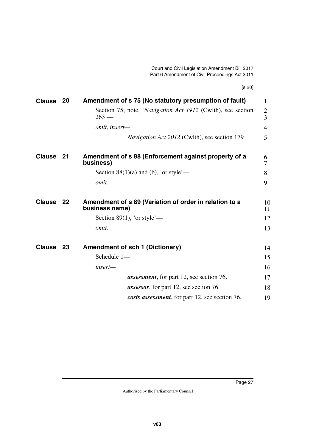[s 20]

<span id="page-28-7"></span><span id="page-28-6"></span><span id="page-28-5"></span><span id="page-28-4"></span><span id="page-28-3"></span><span id="page-28-2"></span><span id="page-28-1"></span><span id="page-28-0"></span>

| <b>Clause</b> | 20 | Amendment of s 75 (No statutory presumption of fault)                    | 1                                |
|---------------|----|--------------------------------------------------------------------------|----------------------------------|
|               |    | Section 75, note, 'Navigation Act 1912 (Cwlth), see section<br>263'      | $\overline{2}$<br>$\overline{3}$ |
|               |    | omit, insert-                                                            | $\overline{4}$                   |
|               |    | <i>Navigation Act 2012</i> (Cwlth), see section 179                      | 5                                |
| <b>Clause</b> | 21 | Amendment of s 88 (Enforcement against property of a<br>business)        | 6<br>7                           |
|               |    | Section 88(1)(a) and (b), 'or style'—                                    | 8                                |
|               |    | omit.                                                                    | 9                                |
| <b>Clause</b> | 22 | Amendment of s 89 (Variation of order in relation to a<br>business name) | 10<br>11                         |
|               |    | Section 89(1), 'or style'—                                               | 12                               |
|               |    | omit.                                                                    | 13                               |
| <b>Clause</b> | 23 | <b>Amendment of sch 1 (Dictionary)</b>                                   | 14                               |
|               |    | Schedule 1-                                                              | 15                               |
|               |    | insert-                                                                  | 16                               |
|               |    | <b>assessment</b> , for part 12, see section 76.                         | 17                               |
|               |    | <i>assessor</i> , for part 12, see section 76.                           | 18                               |
|               |    | costs assessment, for part 12, see section 76.                           | 19                               |
|               |    |                                                                          |                                  |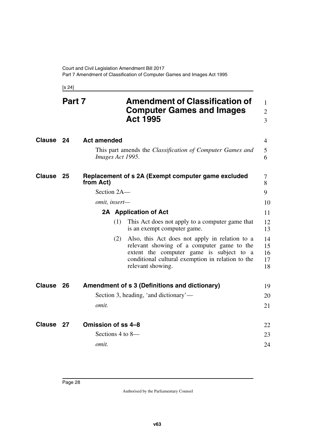<span id="page-29-7"></span><span id="page-29-6"></span><span id="page-29-5"></span><span id="page-29-3"></span><span id="page-29-1"></span><span id="page-29-0"></span>[s 24]

<span id="page-29-11"></span><span id="page-29-10"></span><span id="page-29-9"></span><span id="page-29-8"></span><span id="page-29-4"></span><span id="page-29-2"></span>

|           | Part 7 | <b>Amendment of Classification of</b><br><b>Computer Games and Images</b><br><b>Act 1995</b>                                                                                                                              | $\mathbf{1}$<br>$\overline{2}$<br>$\overline{3}$ |
|-----------|--------|---------------------------------------------------------------------------------------------------------------------------------------------------------------------------------------------------------------------------|--------------------------------------------------|
| Clause    | 24     | <b>Act amended</b>                                                                                                                                                                                                        | $\overline{4}$                                   |
|           |        | This part amends the <i>Classification of Computer Games and</i><br>Images Act 1995.                                                                                                                                      | 5<br>6                                           |
| Clause    | 25     | Replacement of s 2A (Exempt computer game excluded<br>from Act)                                                                                                                                                           | 7<br>8                                           |
|           |        | Section 2A-                                                                                                                                                                                                               | 9                                                |
|           |        | omit, insert-                                                                                                                                                                                                             | 10                                               |
|           |        | 2A Application of Act                                                                                                                                                                                                     | 11                                               |
|           |        | (1)<br>This Act does not apply to a computer game that<br>is an exempt computer game.                                                                                                                                     | 12<br>13                                         |
|           |        | Also, this Act does not apply in relation to a<br>(2)<br>relevant showing of a computer game to the<br>extent the computer game is subject to a<br>conditional cultural exemption in relation to the<br>relevant showing. | 14<br>15<br>16<br>17<br>18                       |
| Clause    | 26     | Amendment of s 3 (Definitions and dictionary)                                                                                                                                                                             | 19                                               |
|           |        | Section 3, heading, 'and dictionary'—                                                                                                                                                                                     | 20                                               |
|           |        | omit.                                                                                                                                                                                                                     | 21                                               |
| Clause 27 |        | <b>Omission of ss 4-8</b>                                                                                                                                                                                                 | 22                                               |
|           |        | Sections 4 to $8-$                                                                                                                                                                                                        | 23                                               |
|           |        | omit.                                                                                                                                                                                                                     | 24                                               |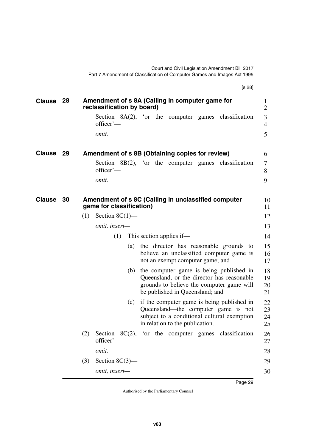<span id="page-30-5"></span><span id="page-30-4"></span><span id="page-30-3"></span><span id="page-30-2"></span><span id="page-30-1"></span><span id="page-30-0"></span>

|               |     | [s 28]                                                                                                                                                                       |                            |
|---------------|-----|------------------------------------------------------------------------------------------------------------------------------------------------------------------------------|----------------------------|
| <b>Clause</b> | 28  | Amendment of s 8A (Calling in computer game for<br>reclassification by board)                                                                                                | $\bf{l}$<br>$\overline{2}$ |
|               |     | Section $8A(2)$ , 'or the computer games classification<br>officer'-                                                                                                         | 3<br>4                     |
|               |     | omit.                                                                                                                                                                        | 5                          |
| <b>Clause</b> | -29 | Amendment of s 8B (Obtaining copies for review)                                                                                                                              | 6                          |
|               |     | Section $8B(2)$ , 'or the computer games classification<br>officer'-                                                                                                         | 7<br>8                     |
|               |     | <i>omit.</i>                                                                                                                                                                 | 9                          |
| <b>Clause</b> | -30 | Amendment of s 8C (Calling in unclassified computer<br>game for classification)                                                                                              | 10<br>11                   |
|               |     | Section $8C(1)$ —<br>(1)                                                                                                                                                     | 12                         |
|               |     | omit, insert-                                                                                                                                                                | 13                         |
|               |     | (1)<br>This section applies if—                                                                                                                                              | 14                         |
|               |     | the director has reasonable grounds to<br>(a)<br>believe an unclassified computer game is<br>not an exempt computer game; and                                                | 15<br>16<br>17             |
|               |     | the computer game is being published in<br>(b)<br>Queensland, or the director has reasonable<br>grounds to believe the computer game will<br>be published in Queensland; and | 18<br>19<br>20<br>21       |
|               |     | if the computer game is being published in<br>(c)<br>Queensland—the computer game is not<br>subject to a conditional cultural exemption<br>in relation to the publication.   | 22<br>23<br>24<br>25       |
|               |     | Section $8C(2)$ , 'or the computer games classification<br>(2)<br>officer'-                                                                                                  | 26<br>27                   |
|               |     | omit.                                                                                                                                                                        | 28                         |
|               |     | Section $8C(3)$ —<br>(3)                                                                                                                                                     | 29                         |
|               |     | omit, insert-                                                                                                                                                                | 30                         |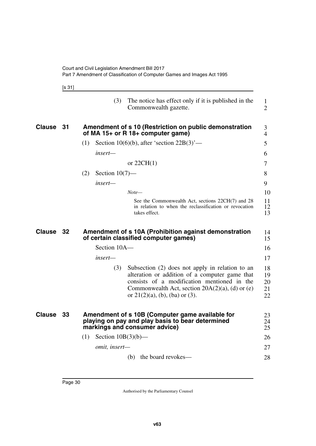<span id="page-31-1"></span><span id="page-31-0"></span>

|--|--|--|

<span id="page-31-5"></span><span id="page-31-4"></span><span id="page-31-3"></span><span id="page-31-2"></span>

|               |    | (3)<br>The notice has effect only if it is published in the<br>Commonwealth gazette.                                                                                                                                                               | 1<br>$\overline{2}$        |
|---------------|----|----------------------------------------------------------------------------------------------------------------------------------------------------------------------------------------------------------------------------------------------------|----------------------------|
| <b>Clause</b> | 31 | Amendment of s 10 (Restriction on public demonstration<br>of MA 15+ or R 18+ computer game)                                                                                                                                                        | 3<br>4                     |
|               |    | (1)<br>Section 10(6)(b), after 'section $22B(3)$ '—                                                                                                                                                                                                | 5                          |
|               |    | insert—                                                                                                                                                                                                                                            | 6                          |
|               |    | or $22CH(1)$                                                                                                                                                                                                                                       | 7                          |
|               |    | (2)<br>Section $10(7)$ —                                                                                                                                                                                                                           | 8                          |
|               |    | insert—                                                                                                                                                                                                                                            | 9                          |
|               |    | $Note-$                                                                                                                                                                                                                                            | 10                         |
|               |    | See the Commonwealth Act, sections 22CH(7) and 28<br>in relation to when the reclassification or revocation<br>takes effect.                                                                                                                       | 11<br>12<br>13             |
| Clause        | 32 | Amendment of s 10A (Prohibition against demonstration<br>of certain classified computer games)                                                                                                                                                     | 14<br>15                   |
|               |    | Section 10A-                                                                                                                                                                                                                                       | 16                         |
|               |    | insert—                                                                                                                                                                                                                                            | 17                         |
|               |    | (3)<br>Subsection (2) does not apply in relation to an<br>alteration or addition of a computer game that<br>consists of a modification mentioned in the<br>Commonwealth Act, section $20A(2)(a)$ , (d) or (e)<br>or $21(2)(a)$ , (b), (ba) or (3). | 18<br>19<br>20<br>21<br>22 |
| <b>Clause</b> | 33 | Amendment of s 10B (Computer game available for<br>playing on pay and play basis to bear determined<br>markings and consumer advice)                                                                                                               | 23<br>24<br>25             |
|               |    | Section $10B(3)(b)$ —<br>(1)                                                                                                                                                                                                                       | 26                         |
|               |    | omit, insert-                                                                                                                                                                                                                                      | 27                         |
|               |    |                                                                                                                                                                                                                                                    |                            |
|               |    | the board revokes—<br>(b)                                                                                                                                                                                                                          | 28                         |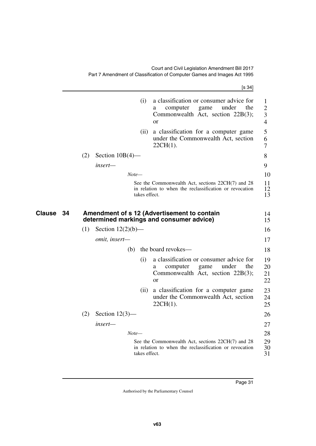<span id="page-32-1"></span><span id="page-32-0"></span>

|                     |                             |               | [s 34]                                                                                                                                 |
|---------------------|-----------------------------|---------------|----------------------------------------------------------------------------------------------------------------------------------------|
|                     |                             | (i)           | a classification or consumer advice for<br>game<br>under<br>computer<br>the<br>a<br>Commonwealth Act, section 22B(3);<br><sub>or</sub> |
|                     |                             | (ii)          | a classification for a computer game<br>under the Commonwealth Act, section<br>$22CH(1)$ .                                             |
|                     | Section $10B(4)$ —<br>(2)   |               |                                                                                                                                        |
|                     | insert—                     |               |                                                                                                                                        |
|                     |                             | $Note-$       |                                                                                                                                        |
|                     |                             | takes effect. | See the Commonwealth Act, sections 22CH(7) and 28<br>in relation to when the reclassification or revocation                            |
| <b>Clause</b><br>34 |                             |               | Amendment of s 12 (Advertisement to contain<br>determined markings and consumer advice)                                                |
|                     | (1)<br>Section $12(2)(b)$ — |               |                                                                                                                                        |
|                     | omit, insert-               |               |                                                                                                                                        |
|                     |                             | (b)           | the board revokes-                                                                                                                     |
|                     |                             | (i)           | a classification or consumer advice for<br>under<br>the<br>computer<br>game<br>a<br>Commonwealth Act, section 22B(3);<br><sub>or</sub> |
|                     |                             | (ii)          | a classification for a computer game<br>under the Commonwealth Act, section<br>$22CH(1)$ .                                             |
|                     | (2)<br>Section $12(3)$ —    |               |                                                                                                                                        |
|                     | insert-                     |               |                                                                                                                                        |
|                     |                             | $Note-$       |                                                                                                                                        |
|                     |                             | takes effect. | See the Commonwealth Act, sections 22CH(7) and 28<br>in relation to when the reclassification or revocation                            |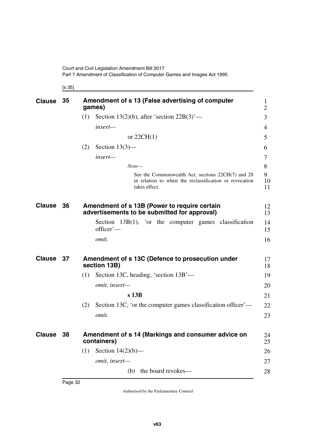<span id="page-33-1"></span><span id="page-33-0"></span>[s 35]

<span id="page-33-7"></span><span id="page-33-6"></span><span id="page-33-5"></span><span id="page-33-4"></span><span id="page-33-3"></span><span id="page-33-2"></span>

| <b>Clause</b> | 35   | Amendment of s 13 (False advertising of computer<br>games)                                                                   | 1<br>$\overline{2}$ |
|---------------|------|------------------------------------------------------------------------------------------------------------------------------|---------------------|
|               |      | Section 13(2)(b), after 'section $22B(3)$ '—<br>(1)                                                                          | 3                   |
|               |      | insert-                                                                                                                      | 4                   |
|               |      | or $22CH(1)$                                                                                                                 | 5                   |
|               |      | Section $13(3)$ —<br>(2)                                                                                                     | 6                   |
|               |      | insert-                                                                                                                      | 7                   |
|               |      | $Note-$                                                                                                                      | 8                   |
|               |      | See the Commonwealth Act, sections 22CH(7) and 28<br>in relation to when the reclassification or revocation<br>takes effect. | 9<br>10<br>11       |
| <b>Clause</b> | - 36 | Amendment of s 13B (Power to require certain<br>advertisements to be submitted for approval)                                 | 12<br>13            |
|               |      | Section $13B(1)$ , 'or the computer games classification<br>officer'-                                                        | 14<br>15            |
|               |      | omit.                                                                                                                        | 16                  |
| Clause 37     |      | Amendment of s 13C (Defence to prosecution under<br>section 13B)                                                             | 17<br>18            |
|               |      | Section 13C, heading, 'section 13B'—<br>(1)                                                                                  | 19                  |
|               |      | omit, insert-                                                                                                                | 20                  |
|               |      | $s$ 13B                                                                                                                      | 21                  |
|               |      | Section 13C, 'or the computer games classification officer'—<br>(2)                                                          | 22                  |
|               |      | omit.                                                                                                                        | 23                  |
| <b>Clause</b> | 38   | Amendment of s 14 (Markings and consumer advice on<br>containers)                                                            | 24<br>25            |
|               |      | Section $14(2)(b)$ —<br>(1)                                                                                                  | 26                  |
|               |      | omit, insert-                                                                                                                | 27                  |
|               |      | the board revokes-<br>(b)                                                                                                    | 28                  |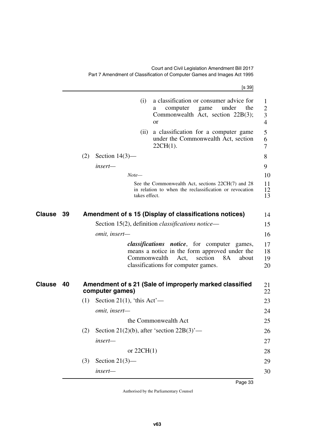<span id="page-34-3"></span><span id="page-34-2"></span><span id="page-34-1"></span><span id="page-34-0"></span>

|        |    |     |                            |               | [s 39]                                                                                                                                                                               |                      |
|--------|----|-----|----------------------------|---------------|--------------------------------------------------------------------------------------------------------------------------------------------------------------------------------------|----------------------|
|        |    |     |                            | (i)           | a classification or consumer advice for<br>the<br>under<br>computer<br>game<br>a<br>Commonwealth Act, section 22B(3);<br><b>or</b>                                                   | 1<br>2<br>3<br>4     |
|        |    |     |                            | (ii)          | a classification for a computer game<br>under the Commonwealth Act, section<br>$22CH(1)$ .                                                                                           | 5<br>6<br>7          |
|        |    | (2) | Section $14(3)$ —          |               |                                                                                                                                                                                      | 8                    |
|        |    |     | insert—                    |               |                                                                                                                                                                                      | 9                    |
|        |    |     |                            | $Note-$       |                                                                                                                                                                                      | 10                   |
|        |    |     |                            | takes effect. | See the Commonwealth Act, sections 22CH(7) and 28<br>in relation to when the reclassification or revocation                                                                          | 11<br>12<br>13       |
| Clause | 39 |     |                            |               | Amendment of s 15 (Display of classifications notices)                                                                                                                               | 14                   |
|        |    |     |                            |               | Section 15(2), definition <i>classifications notice</i> —                                                                                                                            | 15                   |
|        |    |     | omit, insert-              |               |                                                                                                                                                                                      | 16                   |
|        |    |     |                            | Commonwealth  | <i>classifications notice</i> , for computer games,<br>means a notice in the form approved under the<br>section<br><b>8A</b><br>Act,<br>about<br>classifications for computer games. | 17<br>18<br>19<br>20 |
| Clause | 40 |     | computer games)            |               | Amendment of s 21 (Sale of improperly marked classified                                                                                                                              | 21<br>22             |
|        |    | (1) | Section 21(1), 'this Act'— |               |                                                                                                                                                                                      | 23                   |
|        |    |     | omit, insert-              |               |                                                                                                                                                                                      | 24                   |
|        |    |     |                            |               | the Commonwealth Act                                                                                                                                                                 | 25                   |
|        |    | (2) |                            |               | Section 21(2)(b), after 'section $22B(3)$ '—                                                                                                                                         | 26                   |
|        |    |     | insert-                    |               |                                                                                                                                                                                      | 27                   |
|        |    |     |                            | or $22CH(1)$  |                                                                                                                                                                                      | 28                   |
|        |    | (3) | Section $21(3)$ —          |               |                                                                                                                                                                                      | 29                   |
|        |    |     | insert-                    |               |                                                                                                                                                                                      | 30                   |
|        |    |     |                            |               |                                                                                                                                                                                      |                      |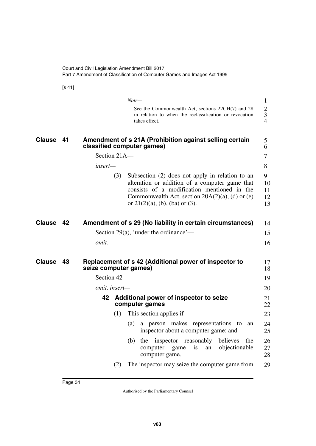<span id="page-35-1"></span>[s 41]

<span id="page-35-7"></span><span id="page-35-6"></span><span id="page-35-5"></span><span id="page-35-4"></span><span id="page-35-3"></span><span id="page-35-2"></span><span id="page-35-0"></span>

|               |    |                       | $Note-$                                                                                                                                                                                                                                     | $\mathbf{1}$                                         |
|---------------|----|-----------------------|---------------------------------------------------------------------------------------------------------------------------------------------------------------------------------------------------------------------------------------------|------------------------------------------------------|
|               |    |                       | See the Commonwealth Act, sections 22CH(7) and 28<br>in relation to when the reclassification or revocation<br>takes effect.                                                                                                                | $\boldsymbol{2}$<br>$\mathfrak{Z}$<br>$\overline{4}$ |
| <b>Clause</b> | 41 |                       | Amendment of s 21A (Prohibition against selling certain<br>classified computer games)                                                                                                                                                       | 5<br>6                                               |
|               |    | Section 21A-          |                                                                                                                                                                                                                                             | $\overline{7}$                                       |
|               |    | insert—               |                                                                                                                                                                                                                                             | 8                                                    |
|               |    | (3)                   | Subsection (2) does not apply in relation to an<br>alteration or addition of a computer game that<br>consists of a modification mentioned in the<br>Commonwealth Act, section $20A(2)(a)$ , (d) or (e)<br>or $21(2)(a)$ , (b), (ba) or (3). | 9<br>10<br>11<br>12<br>13                            |
| Clause        | 42 |                       | Amendment of s 29 (No liability in certain circumstances)                                                                                                                                                                                   | 14                                                   |
|               |    |                       | Section 29(a), 'under the ordinance'—                                                                                                                                                                                                       | 15                                                   |
|               |    | omit.                 |                                                                                                                                                                                                                                             | 16                                                   |
| <b>Clause</b> | 43 | seize computer games) | Replacement of s 42 (Additional power of inspector to                                                                                                                                                                                       | 17<br>18                                             |
|               |    | Section 42-           |                                                                                                                                                                                                                                             | 19                                                   |
|               |    | omit, insert-         |                                                                                                                                                                                                                                             | 20                                                   |
|               |    | 42                    | Additional power of inspector to seize<br>computer games                                                                                                                                                                                    | 21<br>22                                             |
|               |    | (1)                   | This section applies if—                                                                                                                                                                                                                    | 23                                                   |
|               |    |                       | a person makes representations to<br>(a)<br>an<br>inspector about a computer game; and                                                                                                                                                      | 24<br>25                                             |
|               |    |                       | the<br>believes<br>(b)<br>the<br>inspector<br>reasonably<br>objectionable<br>computer<br>game<br><i>is</i><br>an<br>computer game.                                                                                                          | 26<br>27<br>28                                       |
|               |    | (2)                   | The inspector may seize the computer game from                                                                                                                                                                                              | 29                                                   |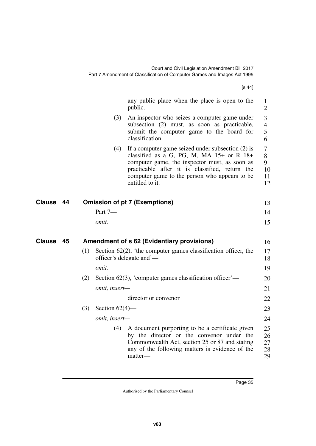|        |    |     |                      | [s 44]                                                                                                                                                                                                                                                                  |                                |
|--------|----|-----|----------------------|-------------------------------------------------------------------------------------------------------------------------------------------------------------------------------------------------------------------------------------------------------------------------|--------------------------------|
|        |    |     |                      | any public place when the place is open to the<br>public.                                                                                                                                                                                                               | $\mathbf{1}$<br>$\overline{2}$ |
|        |    |     | (3)                  | An inspector who seizes a computer game under<br>subsection (2) must, as soon as practicable,<br>submit the computer game to the board for<br>classification.                                                                                                           | 3<br>$\overline{4}$<br>5<br>6  |
|        |    |     | (4)                  | If a computer game seized under subsection $(2)$ is<br>classified as a G, PG, M, MA 15+ or R 18+<br>computer game, the inspector must, as soon as<br>practicable after it is classified, return the<br>computer game to the person who appears to be<br>entitled to it. | 7<br>8<br>9<br>10<br>11<br>12  |
| Clause | 44 |     |                      | <b>Omission of pt 7 (Exemptions)</b>                                                                                                                                                                                                                                    | 13                             |
|        |    |     | Part 7-              |                                                                                                                                                                                                                                                                         | 14                             |
|        |    |     | omit.                |                                                                                                                                                                                                                                                                         | 15                             |
| Clause | 45 |     |                      | Amendment of s 62 (Evidentiary provisions)                                                                                                                                                                                                                              | 16                             |
|        |    | (1) |                      | Section $62(2)$ , 'the computer games classification officer, the<br>officer's delegate and'—                                                                                                                                                                           | 17<br>18                       |
|        |    |     | omit.                |                                                                                                                                                                                                                                                                         | 19                             |
|        |    | (2) |                      | Section $62(3)$ , 'computer games classification officer'—                                                                                                                                                                                                              | 20                             |
|        |    |     | omit, insert-        |                                                                                                                                                                                                                                                                         | 21                             |
|        |    |     |                      | director or convenor                                                                                                                                                                                                                                                    | 22                             |
|        |    | (3) | Section $62(4)$ —    |                                                                                                                                                                                                                                                                         | 23                             |
|        |    |     | <i>omit, insert—</i> |                                                                                                                                                                                                                                                                         | 24                             |
|        |    |     | (4)                  | A document purporting to be a certificate given<br>by the director or the convenor under the<br>Commonwealth Act, section 25 or 87 and stating<br>any of the following matters is evidence of the<br>matter-                                                            | 25<br>26<br>27<br>28<br>29     |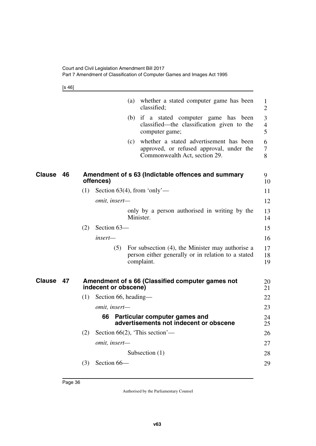[s 46]

|               |    |                             | (a) whether a stated computer game has been<br>classified;                                                                  | $\mathbf{1}$<br>$\overline{2}$ |
|---------------|----|-----------------------------|-----------------------------------------------------------------------------------------------------------------------------|--------------------------------|
|               |    |                             | (b) if a stated computer game has been<br>classified—the classification given to the<br>computer game;                      | 3<br>$\overline{4}$<br>5       |
|               |    |                             | whether a stated advertisement has been<br>(c)<br>approved, or refused approval, under the<br>Commonwealth Act, section 29. | 6<br>$\overline{7}$<br>8       |
| <b>Clause</b> | 46 | offences)                   | Amendment of s 63 (Indictable offences and summary                                                                          | 9<br>10                        |
|               |    | (1)                         | Section $63(4)$ , from 'only'—                                                                                              | 11                             |
|               |    | omit, insert-               |                                                                                                                             | 12                             |
|               |    |                             | only by a person authorised in writing by the<br>Minister.                                                                  | 13<br>14                       |
|               |    | Section 63-<br>(2)          |                                                                                                                             | 15                             |
|               |    | insert—                     |                                                                                                                             | 16                             |
|               |    | (5)                         | For subsection (4), the Minister may authorise a<br>person either generally or in relation to a stated<br>complaint.        | 17<br>18<br>19                 |
| <b>Clause</b> | 47 | indecent or obscene)        | Amendment of s 66 (Classified computer games not                                                                            | 20<br>21                       |
|               |    | (1)<br>Section 66, heading— |                                                                                                                             | 22                             |
|               |    | omit, insert-               |                                                                                                                             | 23                             |
|               |    | 66                          | Particular computer games and<br>advertisements not indecent or obscene                                                     | 24<br>25                       |
|               |    | (2)                         | Section $66(2)$ , 'This section'—                                                                                           | 26                             |
|               |    | omit, insert-               |                                                                                                                             | 27                             |
|               |    |                             | Subsection $(1)$                                                                                                            | 28                             |
|               |    | Section 66-<br>(3)          |                                                                                                                             | 29                             |
|               |    |                             |                                                                                                                             |                                |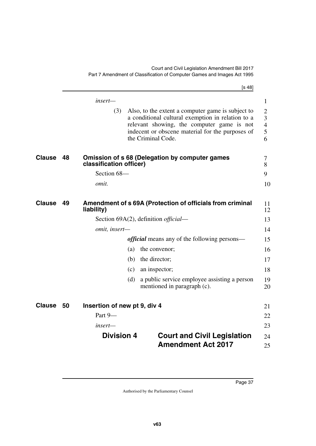|               |    |                              |     | [s 48]                                                                                                                                                                                                                         |                                                 |
|---------------|----|------------------------------|-----|--------------------------------------------------------------------------------------------------------------------------------------------------------------------------------------------------------------------------------|-------------------------------------------------|
|               |    | insert-                      |     |                                                                                                                                                                                                                                | $\mathbf{1}$                                    |
|               |    | (3)                          |     | Also, to the extent a computer game is subject to<br>a conditional cultural exemption in relation to a<br>relevant showing, the computer game is not<br>indecent or obscene material for the purposes of<br>the Criminal Code. | $\overline{2}$<br>3<br>$\overline{4}$<br>5<br>6 |
| <b>Clause</b> | 48 | classification officer)      |     | <b>Omission of s 68 (Delegation by computer games</b>                                                                                                                                                                          | 7<br>8                                          |
|               |    | Section 68-                  |     |                                                                                                                                                                                                                                | 9                                               |
|               |    | omit.                        |     |                                                                                                                                                                                                                                | 10                                              |
| <b>Clause</b> | 49 | liability)                   |     | Amendment of s 69A (Protection of officials from criminal                                                                                                                                                                      | 11<br>12                                        |
|               |    |                              |     | Section 69A(2), definition <i>official</i> —                                                                                                                                                                                   | 13                                              |
|               |    | omit, insert-                |     |                                                                                                                                                                                                                                | 14                                              |
|               |    |                              |     | <i>official</i> means any of the following persons—                                                                                                                                                                            | 15                                              |
|               |    |                              | (a) | the convenor;                                                                                                                                                                                                                  | 16                                              |
|               |    |                              | (b) | the director;                                                                                                                                                                                                                  | 17                                              |
|               |    |                              | (c) | an inspector;                                                                                                                                                                                                                  | 18                                              |
|               |    |                              | (d) | a public service employee assisting a person<br>mentioned in paragraph (c).                                                                                                                                                    | 19<br>20                                        |
| <b>Clause</b> | 50 | Insertion of new pt 9, div 4 |     |                                                                                                                                                                                                                                | 21                                              |
|               |    | Part 9-                      |     |                                                                                                                                                                                                                                | 22                                              |
|               |    | insert—                      |     |                                                                                                                                                                                                                                | 23                                              |
|               |    | <b>Division 4</b>            |     | <b>Court and Civil Legislation</b>                                                                                                                                                                                             | 24                                              |
|               |    |                              |     | <b>Amendment Act 2017</b>                                                                                                                                                                                                      | 25                                              |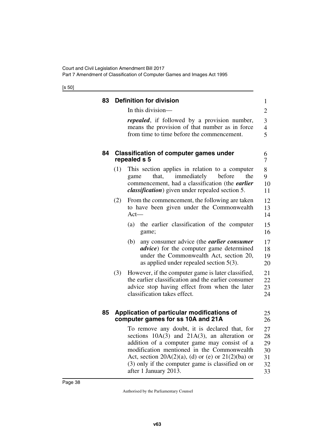[s 50]

| 83 | <b>Definition for division</b>                                                                                                                                                                                                                                                                                   | $\mathbf{1}$                          |
|----|------------------------------------------------------------------------------------------------------------------------------------------------------------------------------------------------------------------------------------------------------------------------------------------------------------------|---------------------------------------|
|    | In this division-                                                                                                                                                                                                                                                                                                | $\overline{2}$                        |
|    | <i>repealed</i> , if followed by a provision number,<br>means the provision of that number as in force<br>from time to time before the commencement.                                                                                                                                                             | $\mathfrak{Z}$<br>$\overline{4}$<br>5 |
| 84 | <b>Classification of computer games under</b><br>repealed s 5                                                                                                                                                                                                                                                    | 6<br>7                                |
|    | (1)<br>This section applies in relation to a computer<br>immediately<br>that,<br>before<br>the<br>game<br>commencement, had a classification (the <i>earlier</i><br><i>classification</i> ) given under repealed section 5.                                                                                      | 8<br>9<br>10<br>11                    |
|    | From the commencement, the following are taken<br>(2)<br>to have been given under the Commonwealth<br>$Act-$                                                                                                                                                                                                     | 12<br>13<br>14                        |
|    | the earlier classification of the computer<br>(a)<br>game;                                                                                                                                                                                                                                                       | 15<br>16                              |
|    | any consumer advice (the <i>earlier consumer</i><br>(b)<br><i>advice</i> ) for the computer game determined<br>under the Commonwealth Act, section 20,<br>as applied under repealed section $5(3)$ .                                                                                                             | 17<br>18<br>19<br>20                  |
|    | (3)<br>However, if the computer game is later classified,<br>the earlier classification and the earlier consumer<br>advice stop having effect from when the later<br>classification takes effect.                                                                                                                | 21<br>22<br>23<br>24                  |
| 85 | Application of particular modifications of<br>computer games for ss 10A and 21A                                                                                                                                                                                                                                  | 25<br>26                              |
|    | To remove any doubt, it is declared that, for<br>sections $10A(3)$ and $21A(3)$ , an alteration or<br>addition of a computer game may consist of a<br>modification mentioned in the Commonwealth<br>Act, section $20A(2)(a)$ , (d) or (e) or $21(2)(ba)$ or<br>(3) only if the computer game is classified on or | 27<br>28<br>29<br>30<br>31<br>32      |

33

after 1 January 2013.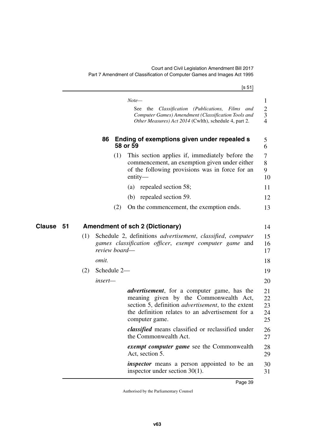|              |     |               | [s 51]                                                                                                                                                                                                                            |
|--------------|-----|---------------|-----------------------------------------------------------------------------------------------------------------------------------------------------------------------------------------------------------------------------------|
|              |     |               | $Note-$                                                                                                                                                                                                                           |
|              |     |               | See the Classification (Publications, Films and<br>Computer Games) Amendment (Classification Tools and<br>Other Measures) Act 2014 (Cwlth), schedule 4, part 2.                                                                   |
|              |     | 86            | Ending of exemptions given under repealed s<br>58 or 59                                                                                                                                                                           |
|              |     |               | This section applies if, immediately before the<br>(1)<br>commencement, an exemption given under either<br>of the following provisions was in force for an<br>$entity-$                                                           |
|              |     |               | repealed section 58;<br>(a)                                                                                                                                                                                                       |
|              |     |               | repealed section 59.<br>(b)                                                                                                                                                                                                       |
|              |     |               | (2)<br>On the commencement, the exemption ends.                                                                                                                                                                                   |
| Clause<br>51 |     |               | <b>Amendment of sch 2 (Dictionary)</b>                                                                                                                                                                                            |
|              | (1) | review board— | Schedule 2, definitions <i>advertisement</i> , <i>classified</i> , <i>computer</i><br>games classification officer, exempt computer game and                                                                                      |
|              |     | <i>omit.</i>  |                                                                                                                                                                                                                                   |
|              | (2) | Schedule 2-   |                                                                                                                                                                                                                                   |
|              |     | insert-       |                                                                                                                                                                                                                                   |
|              |     |               | <i>advertisement</i> , for a computer game, has the<br>meaning given by the Commonwealth Act,<br>section 5, definition <i>advertisement</i> , to the extent<br>the definition relates to an advertisement for a<br>computer game. |
|              |     |               | <i>classified</i> means classified or reclassified under<br>the Commonwealth Act.                                                                                                                                                 |
|              |     |               | <i>exempt computer game</i> see the Commonwealth<br>Act, section 5.                                                                                                                                                               |
|              |     |               | <i>inspector</i> means a person appointed to be an<br>inspector under section $30(1)$ .                                                                                                                                           |
|              |     |               |                                                                                                                                                                                                                                   |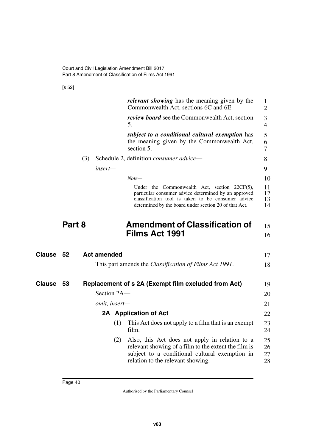[s 52]

|               |        |     |                    | <i>relevant showing</i> has the meaning given by the<br>Commonwealth Act, sections 6C and 6E.                                                                                                                          | 1<br>$\overline{2}$  |
|---------------|--------|-----|--------------------|------------------------------------------------------------------------------------------------------------------------------------------------------------------------------------------------------------------------|----------------------|
|               |        |     |                    | <i>review board</i> see the Commonwealth Act, section<br>5.                                                                                                                                                            | 3<br>$\overline{4}$  |
|               |        |     |                    | subject to a conditional cultural exemption has<br>the meaning given by the Commonwealth Act,<br>section 5.                                                                                                            | 5<br>6<br>7          |
|               |        | (3) |                    | Schedule 2, definition <i>consumer advice</i> —                                                                                                                                                                        | 8                    |
|               |        |     | insert—            |                                                                                                                                                                                                                        | 9                    |
|               |        |     |                    | $Note-$                                                                                                                                                                                                                | 10                   |
|               |        |     |                    | Under the Commonwealth Act, section $22CF(5)$ ,<br>particular consumer advice determined by an approved<br>classification tool is taken to be consumer advice<br>determined by the board under section 20 of that Act. | 11<br>12<br>13<br>14 |
|               | Part 8 |     |                    | <b>Amendment of Classification of</b><br><b>Films Act 1991</b>                                                                                                                                                         | 15<br>16             |
| <b>Clause</b> | 52     |     | <b>Act amended</b> |                                                                                                                                                                                                                        | 17                   |
|               |        |     |                    | This part amends the <i>Classification of Films Act 1991</i> .                                                                                                                                                         | 18                   |
|               |        |     |                    |                                                                                                                                                                                                                        |                      |
| <b>Clause</b> | 53     |     |                    | Replacement of s 2A (Exempt film excluded from Act)                                                                                                                                                                    | 19                   |
|               |        |     | Section 2A-        |                                                                                                                                                                                                                        | 20                   |
|               |        |     | omit, insert-      |                                                                                                                                                                                                                        | 21                   |
|               |        |     |                    | 2A Application of Act                                                                                                                                                                                                  | 22                   |
|               |        |     | (1)                | This Act does not apply to a film that is an exempt<br>film.                                                                                                                                                           | 23<br>24             |
|               |        |     | (2)                | Also, this Act does not apply in relation to a<br>relevant showing of a film to the extent the film is<br>subject to a conditional cultural exemption in<br>relation to the relevant showing.                          | 25<br>26<br>27<br>28 |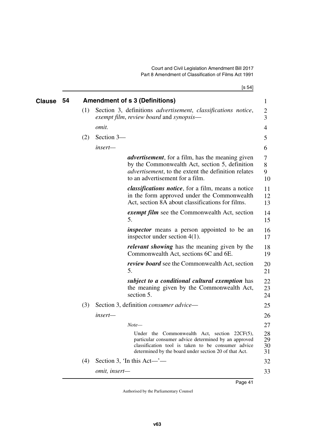| <b>Clause</b> | 54 |     |               | <b>Amendment of s 3 (Definitions)</b>                                                                                                                                                                               | $\mathbf{1}$         |
|---------------|----|-----|---------------|---------------------------------------------------------------------------------------------------------------------------------------------------------------------------------------------------------------------|----------------------|
|               |    | (1) |               | Section 3, definitions <i>advertisement</i> , <i>classifications notice</i> ,<br>exempt film, review board and synopsis—                                                                                            | 2<br>3               |
|               |    |     | omit.         |                                                                                                                                                                                                                     | 4                    |
|               |    | (2) | Section 3-    |                                                                                                                                                                                                                     | 5                    |
|               |    |     | insert-       |                                                                                                                                                                                                                     | 6                    |
|               |    |     |               | <i>advertisement</i> , for a film, has the meaning given<br>by the Commonwealth Act, section 5, definition<br><i>advertisement</i> , to the extent the definition relates<br>to an advertisement for a film.        | 7<br>8<br>9<br>10    |
|               |    |     |               | <i>classifications notice</i> , for a film, means a notice<br>in the form approved under the Commonwealth<br>Act, section 8A about classifications for films.                                                       | 11<br>12<br>13       |
|               |    |     |               | <i>exempt film</i> see the Commonwealth Act, section<br>5.                                                                                                                                                          | 14<br>15             |
|               |    |     |               | <i>inspector</i> means a person appointed to be an<br>inspector under section $4(1)$ .                                                                                                                              | 16<br>17             |
|               |    |     |               | <i>relevant showing</i> has the meaning given by the<br>Commonwealth Act, sections 6C and 6E.                                                                                                                       | 18<br>19             |
|               |    |     |               | <i>review board</i> see the Commonwealth Act, section<br>5.                                                                                                                                                         | 20<br>21             |
|               |    |     |               | subject to a conditional cultural exemption has<br>the meaning given by the Commonwealth Act,<br>section 5.                                                                                                         | 22<br>23<br>24       |
|               |    | (3) |               | Section 3, definition <i>consumer advice</i> —                                                                                                                                                                      | 25                   |
|               |    |     | insert—       |                                                                                                                                                                                                                     | 26                   |
|               |    |     |               | $Note-$                                                                                                                                                                                                             | 27                   |
|               |    |     |               | Under the Commonwealth Act, section 22CF(5),<br>particular consumer advice determined by an approved<br>classification tool is taken to be consumer advice<br>determined by the board under section 20 of that Act. | 28<br>29<br>30<br>31 |
|               |    | (4) |               | Section 3, 'In this Act—'—                                                                                                                                                                                          | 32                   |
|               |    |     | omit, insert- |                                                                                                                                                                                                                     | 33                   |
|               |    |     |               |                                                                                                                                                                                                                     |                      |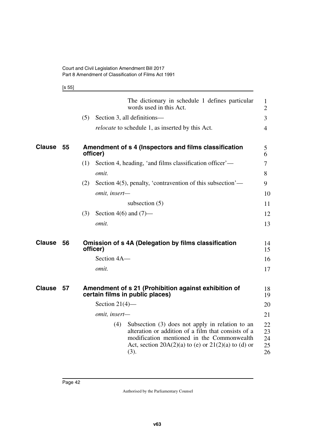[s 55]

|               |    | The dictionary in schedule 1 defines particular<br>1<br>words used in this Act.<br>$\overline{2}$                                                                                                                                |                            |
|---------------|----|----------------------------------------------------------------------------------------------------------------------------------------------------------------------------------------------------------------------------------|----------------------------|
|               |    | (5)<br>Section 3, all definitions—<br>3                                                                                                                                                                                          |                            |
|               |    | <i>relocate</i> to schedule 1, as inserted by this Act.<br>$\overline{4}$                                                                                                                                                        |                            |
| <b>Clause</b> | 55 | Amendment of s 4 (Inspectors and films classification<br>5<br>officer)<br>6                                                                                                                                                      |                            |
|               |    | Section 4, heading, 'and films classification officer'—<br>(1)<br>$\tau$                                                                                                                                                         |                            |
|               |    | omit.<br>8                                                                                                                                                                                                                       |                            |
|               |    | Section 4(5), penalty, 'contravention of this subsection'—<br>(2)<br>9                                                                                                                                                           |                            |
|               |    | omit, insert-                                                                                                                                                                                                                    | 10                         |
|               |    | subsection $(5)$                                                                                                                                                                                                                 | 11                         |
|               |    | Section 4(6) and $(7)$ —<br>(3)                                                                                                                                                                                                  | 12                         |
|               |    | omit.                                                                                                                                                                                                                            | 13                         |
| <b>Clause</b> | 56 | <b>Omission of s 4A (Delegation by films classification</b><br>officer)                                                                                                                                                          | 14<br>15                   |
|               |    | Section 4A-                                                                                                                                                                                                                      | 16                         |
|               |    | omit.                                                                                                                                                                                                                            | 17                         |
| <b>Clause</b> | 57 | Amendment of s 21 (Prohibition against exhibition of<br>certain films in public places)                                                                                                                                          | 18<br>19                   |
|               |    | Section $21(4)$ —                                                                                                                                                                                                                | 20                         |
|               |    | omit, insert-                                                                                                                                                                                                                    | 21                         |
|               |    | Subsection $(3)$ does not apply in relation to an<br>(4)<br>alteration or addition of a film that consists of a<br>modification mentioned in the Commonwealth<br>Act, section $20A(2)(a)$ to (e) or $21(2)(a)$ to (d) or<br>(3). | 22<br>23<br>24<br>25<br>26 |
|               |    |                                                                                                                                                                                                                                  |                            |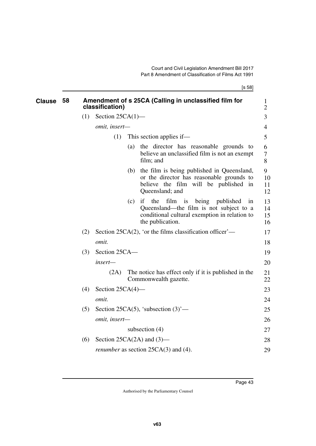[s 58]

| <b>Clause</b> | 58 |     | classification)     |     | Amendment of s 25CA (Calling in unclassified film for                                                                                                            | $\perp$<br>$\overline{2}$ |
|---------------|----|-----|---------------------|-----|------------------------------------------------------------------------------------------------------------------------------------------------------------------|---------------------------|
|               |    | (1) | Section $25CA(1)$ — |     |                                                                                                                                                                  | 3                         |
|               |    |     | omit, insert-       |     |                                                                                                                                                                  | $\overline{4}$            |
|               |    |     | (1)                 |     | This section applies if—                                                                                                                                         | 5                         |
|               |    |     |                     | (a) | the director has reasonable grounds to<br>believe an unclassified film is not an exempt<br>film; and                                                             | 6<br>7<br>8               |
|               |    |     |                     |     | (b) the film is being published in Queensland,<br>or the director has reasonable grounds to<br>believe the film will be published in<br>Queensland; and          | 9<br>10<br>11<br>12       |
|               |    |     |                     | (c) | if<br>the<br>film is<br>being<br>published<br>1n<br>Queensland—the film is not subject to a<br>conditional cultural exemption in relation to<br>the publication. | 13<br>14<br>15<br>16      |
|               |    | (2) |                     |     | Section 25CA $(2)$ , 'or the films classification officer'—                                                                                                      | 17                        |
|               |    |     | omit.               |     |                                                                                                                                                                  | 18                        |
|               |    | (3) | Section 25CA-       |     |                                                                                                                                                                  | 19                        |
|               |    |     | insert-             |     |                                                                                                                                                                  | 20                        |
|               |    |     | (2A)                |     | The notice has effect only if it is published in the<br>Commonwealth gazette.                                                                                    | 21<br>22                  |
|               |    | (4) | Section $25CA(4)$ — |     |                                                                                                                                                                  | 23                        |
|               |    |     | omit.               |     |                                                                                                                                                                  | 24                        |
|               |    | (5) |                     |     | Section 25CA(5), 'subsection $(3)$ '—                                                                                                                            | 25                        |
|               |    |     | omit, insert-       |     |                                                                                                                                                                  | 26                        |
|               |    |     |                     |     | subsection $(4)$                                                                                                                                                 | 27                        |
|               |    | (6) |                     |     | Section 25CA $(2A)$ and $(3)$ —                                                                                                                                  | 28                        |
|               |    |     |                     |     | <i>renumber</i> as section $25CA(3)$ and (4).                                                                                                                    | 29                        |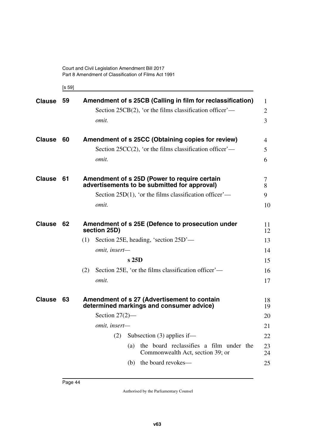[s 59]

| <b>Clause</b> | 59 | Amendment of s 25CB (Calling in film for reclassification)                                   | $\mathbf{1}$   |
|---------------|----|----------------------------------------------------------------------------------------------|----------------|
|               |    | Section 25CB $(2)$ , 'or the films classification officer'—                                  | $\overline{2}$ |
|               |    | omit.                                                                                        | $\overline{3}$ |
| <b>Clause</b> | 60 | Amendment of s 25CC (Obtaining copies for review)                                            | $\overline{4}$ |
|               |    | Section 25CC(2), 'or the films classification officer'—                                      | 5              |
|               |    | omit.                                                                                        | 6              |
| <b>Clause</b> | 61 | Amendment of s 25D (Power to require certain<br>advertisements to be submitted for approval) | 7<br>8         |
|               |    | Section 25D(1), 'or the films classification officer'—                                       | 9              |
|               |    | omit.                                                                                        | 10             |
| <b>Clause</b> | 62 | Amendment of s 25E (Defence to prosecution under<br>section 25D)                             | 11<br>12       |
|               |    | Section 25E, heading, 'section 25D'—<br>(1)                                                  | 13             |
|               |    | omit, insert-                                                                                | 14             |
|               |    | s25D                                                                                         | 15             |
|               |    | Section 25E, 'or the films classification officer'—<br>(2)                                   | 16             |
|               |    | omit.                                                                                        | 17             |
| <b>Clause</b> | 63 | Amendment of s 27 (Advertisement to contain<br>determined markings and consumer advice)      | 18<br>19       |
|               |    | Section $27(2)$ —                                                                            | 20             |
|               |    | omit, insert-                                                                                | 21             |
|               |    | Subsection $(3)$ applies if—<br>(2)                                                          | 22             |
|               |    | the board reclassifies a film under the<br>(a)<br>Commonwealth Act, section 39; or           | 23<br>24       |
|               |    | (b) the board revokes—                                                                       | 25             |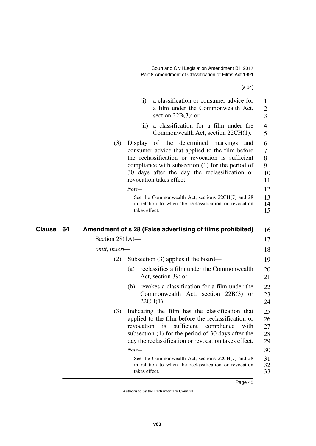|              |                    | [s 64]                                                                                                                                                                                                                                                                               |
|--------------|--------------------|--------------------------------------------------------------------------------------------------------------------------------------------------------------------------------------------------------------------------------------------------------------------------------------|
|              |                    | a classification or consumer advice for<br>(i)<br>a film under the Commonwealth Act,<br>section $22B(3)$ ; or                                                                                                                                                                        |
|              |                    | a classification for a film under the<br>(ii)<br>Commonwealth Act, section 22CH(1).                                                                                                                                                                                                  |
|              | (3)                | of the determined markings<br>Display<br>and<br>consumer advice that applied to the film before<br>the reclassification or revocation is sufficient<br>compliance with subsection (1) for the period of<br>30 days after the day the reclassification or<br>revocation takes effect. |
|              |                    | $Note-$                                                                                                                                                                                                                                                                              |
|              |                    | See the Commonwealth Act, sections 22CH(7) and 28<br>in relation to when the reclassification or revocation<br>takes effect.                                                                                                                                                         |
| Clause<br>64 |                    | Amendment of s 28 (False advertising of films prohibited)                                                                                                                                                                                                                            |
|              | Section $28(1A)$ — |                                                                                                                                                                                                                                                                                      |
|              | omit, insert-      |                                                                                                                                                                                                                                                                                      |
|              | (2)                | Subsection $(3)$ applies if the board—                                                                                                                                                                                                                                               |
|              |                    | reclassifies a film under the Commonwealth<br>(a)<br>Act, section 39; or                                                                                                                                                                                                             |
|              |                    | (b) revokes a classification for a film under the<br>Commonwealth Act, section 22B(3) or<br>22CH(1).                                                                                                                                                                                 |
|              |                    |                                                                                                                                                                                                                                                                                      |
|              | (3)                | Indicating the film has the classification that<br>applied to the film before the reclassification or<br>sufficient<br>compliance<br>with<br><i>is</i><br>revocation<br>subsection (1) for the period of 30 days after the<br>day the reclassification or revocation takes effect.   |
|              |                    | $Note-$                                                                                                                                                                                                                                                                              |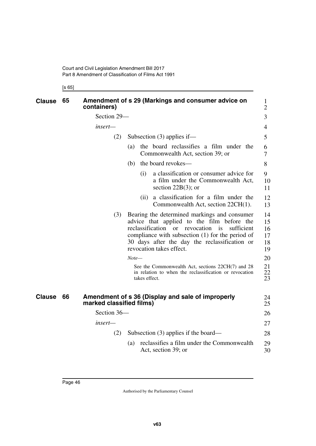[s 65]

| <b>Clause</b> | 65 | containers)              | Amendment of s 29 (Markings and consumer advice on                                                                                                                                                                                                                  | $\mathbf{1}$<br>$\overline{2}$                 |  |  |
|---------------|----|--------------------------|---------------------------------------------------------------------------------------------------------------------------------------------------------------------------------------------------------------------------------------------------------------------|------------------------------------------------|--|--|
|               |    | Section 29-              |                                                                                                                                                                                                                                                                     | 3                                              |  |  |
|               |    | insert—                  |                                                                                                                                                                                                                                                                     | $\overline{4}$                                 |  |  |
|               |    | (2)                      | Subsection $(3)$ applies if—                                                                                                                                                                                                                                        |                                                |  |  |
|               |    |                          | the board reclassifies a film under the<br>(a)<br>Commonwealth Act, section 39; or                                                                                                                                                                                  | 6<br>$\overline{7}$                            |  |  |
|               |    |                          | the board revokes—<br>(b)                                                                                                                                                                                                                                           | 8                                              |  |  |
|               |    |                          | a classification or consumer advice for<br>(i)<br>a film under the Commonwealth Act,<br>section $22B(3)$ ; or                                                                                                                                                       | 9<br>10<br>11                                  |  |  |
|               |    |                          | a classification for a film under the<br>(i)<br>Commonwealth Act, section 22CH(1).                                                                                                                                                                                  | 12<br>13                                       |  |  |
|               |    | (3)                      | Bearing the determined markings and consumer<br>advice that applied to the film before the<br>reclassification<br>or revocation is<br>compliance with subsection (1) for the period of<br>30 days after the day the reclassification or<br>revocation takes effect. | 14<br>15<br>sufficient<br>16<br>17<br>18<br>19 |  |  |
|               |    |                          | $Note-$                                                                                                                                                                                                                                                             | 20                                             |  |  |
|               |    |                          | See the Commonwealth Act, sections 22CH(7) and 28<br>in relation to when the reclassification or revocation<br>takes effect.                                                                                                                                        | 21<br>22<br>23                                 |  |  |
| <b>Clause</b> | 66 | marked classified films) | Amendment of s 36 (Display and sale of improperly                                                                                                                                                                                                                   | 24<br>25                                       |  |  |
|               |    | Section 36-              |                                                                                                                                                                                                                                                                     | 26                                             |  |  |
|               |    | insert—                  |                                                                                                                                                                                                                                                                     | 27                                             |  |  |
|               |    | (2)                      | Subsection $(3)$ applies if the board—                                                                                                                                                                                                                              | 28                                             |  |  |
|               |    |                          | reclassifies a film under the Commonwealth<br>(a)<br>Act, section 39; or                                                                                                                                                                                            | 29<br>30                                       |  |  |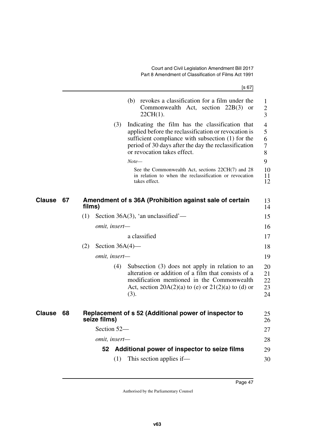|               |    | [s 67]                                                                                                                                                                                                                                                     |                                                 |
|---------------|----|------------------------------------------------------------------------------------------------------------------------------------------------------------------------------------------------------------------------------------------------------------|-------------------------------------------------|
|               |    | (b) revokes a classification for a film under the<br>Commonwealth Act, section $22B(3)$<br><b>or</b><br>$22CH(1)$ .                                                                                                                                        | 1<br>$\mathbf{2}$<br>3                          |
|               |    | Indicating the film has the classification that<br>(3)<br>applied before the reclassification or revocation is<br>sufficient compliance with subsection (1) for the<br>period of 30 days after the day the reclassification<br>or revocation takes effect. | $\overline{4}$<br>5<br>6<br>$\overline{7}$<br>8 |
|               |    | $Note-$                                                                                                                                                                                                                                                    | 9                                               |
|               |    | See the Commonwealth Act, sections 22CH(7) and 28<br>in relation to when the reclassification or revocation<br>takes effect.                                                                                                                               | 10<br>11<br>12                                  |
| Clause        | 67 | Amendment of s 36A (Prohibition against sale of certain<br>films)                                                                                                                                                                                          | 13<br>14                                        |
|               |    | Section 36A $(3)$ , 'an unclassified'—<br>(1)                                                                                                                                                                                                              | 15                                              |
|               |    | omit, insert-                                                                                                                                                                                                                                              | 16                                              |
|               |    | a classified                                                                                                                                                                                                                                               | 17                                              |
|               |    | (2)<br>Section $36A(4)$ —                                                                                                                                                                                                                                  | 18                                              |
|               |    | omit, insert-                                                                                                                                                                                                                                              | 19                                              |
|               |    | (4)<br>Subsection (3) does not apply in relation to an<br>alteration or addition of a film that consists of a<br>modification mentioned in the Commonwealth<br>Act, section $20A(2)(a)$ to (e) or $21(2)(a)$ to (d) or<br>(3).                             | 20<br>21<br>22<br>23<br>24                      |
| <b>Clause</b> | 68 | Replacement of s 52 (Additional power of inspector to<br>seize films)                                                                                                                                                                                      | 25<br>26                                        |
|               |    | Section 52-                                                                                                                                                                                                                                                | 27                                              |
|               |    | omit, insert-                                                                                                                                                                                                                                              | 28                                              |
|               |    | Additional power of inspector to seize films<br>52                                                                                                                                                                                                         | 29                                              |
|               |    | This section applies if—<br>(1)                                                                                                                                                                                                                            | 30                                              |

Page 47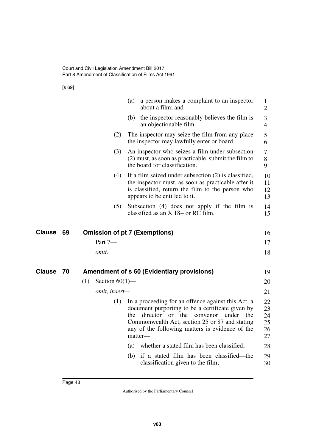[s 69]

|                     |                          | a person makes a complaint to an inspector<br>(a)<br>about a film; and                                                                                                                                                                                                    | $\mathbf{1}$<br>$\overline{2}$   |
|---------------------|--------------------------|---------------------------------------------------------------------------------------------------------------------------------------------------------------------------------------------------------------------------------------------------------------------------|----------------------------------|
|                     |                          | (b) the inspector reasonably believes the film is<br>an objectionable film.                                                                                                                                                                                               | 3<br>$\overline{4}$              |
|                     | (2)                      | The inspector may seize the film from any place<br>the inspector may lawfully enter or board.                                                                                                                                                                             | 5<br>6                           |
|                     | (3)                      | An inspector who seizes a film under subsection<br>(2) must, as soon as practicable, submit the film to<br>the board for classification.                                                                                                                                  | 7<br>8<br>9                      |
|                     | (4)                      | If a film seized under subsection $(2)$ is classified,<br>the inspector must, as soon as practicable after it<br>is classified, return the film to the person who<br>appears to be entitled to it.                                                                        | 10<br>11<br>12<br>13             |
|                     | (5)                      | Subsection (4) does not apply if the film is<br>classified as an $X$ 18+ or RC film.                                                                                                                                                                                      | 14<br>15                         |
| Clause<br>69        |                          | <b>Omission of pt 7 (Exemptions)</b>                                                                                                                                                                                                                                      | 16                               |
|                     | Part 7-                  |                                                                                                                                                                                                                                                                           | 17                               |
|                     | omit.                    |                                                                                                                                                                                                                                                                           | 18                               |
| <b>Clause</b><br>70 |                          | <b>Amendment of s 60 (Evidentiary provisions)</b>                                                                                                                                                                                                                         | 19                               |
|                     | (1)<br>Section $60(1)$ — |                                                                                                                                                                                                                                                                           | 20                               |
|                     | omit, insert-            |                                                                                                                                                                                                                                                                           | 21                               |
|                     | (1)                      | In a proceeding for an offence against this Act, a<br>document purporting to be a certificate given by<br>director or the convenor<br>the<br>under<br>the<br>Commonwealth Act, section 25 or 87 and stating<br>any of the following matters is evidence of the<br>matter- | 22<br>23<br>24<br>25<br>26<br>27 |
|                     |                          | whether a stated film has been classified;<br>(a)                                                                                                                                                                                                                         | 28                               |
|                     |                          | if a stated film has been classified-the<br>(b)<br>classification given to the film;                                                                                                                                                                                      | 29<br>30                         |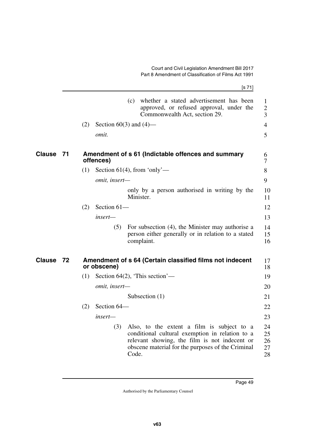|        |    | [s 71]                                                                                                                                                                                                              |
|--------|----|---------------------------------------------------------------------------------------------------------------------------------------------------------------------------------------------------------------------|
|        |    | whether a stated advertisement has been<br>(c)<br>approved, or refused approval, under the<br>Commonwealth Act, section 29.                                                                                         |
|        |    | (2)<br>Section $60(3)$ and $(4)$ —                                                                                                                                                                                  |
|        |    | omit.                                                                                                                                                                                                               |
| Clause | 71 | Amendment of s 61 (Indictable offences and summary<br>offences)                                                                                                                                                     |
|        |    | (1)<br>Section 61(4), from 'only'—                                                                                                                                                                                  |
|        |    | omit, insert-                                                                                                                                                                                                       |
|        |    | only by a person authorised in writing by the<br>Minister.                                                                                                                                                          |
|        |    | Section 61-<br>(2)                                                                                                                                                                                                  |
|        |    | insert-                                                                                                                                                                                                             |
|        |    | For subsection (4), the Minister may authorise a<br>(5)<br>person either generally or in relation to a stated<br>complaint.                                                                                         |
| Clause | 72 | Amendment of s 64 (Certain classified films not indecent<br>or obscene)                                                                                                                                             |
|        |    | Section $64(2)$ , 'This section'—<br>(1)                                                                                                                                                                            |
|        |    | omit, insert-                                                                                                                                                                                                       |
|        |    | Subsection $(1)$                                                                                                                                                                                                    |
|        |    | Section 64-<br>(2)                                                                                                                                                                                                  |
|        |    | insert-                                                                                                                                                                                                             |
|        |    | (3)<br>Also, to the extent a film is subject to a<br>conditional cultural exemption in relation to a<br>relevant showing, the film is not indecent or<br>obscene material for the purposes of the Criminal<br>Code. |
|        |    |                                                                                                                                                                                                                     |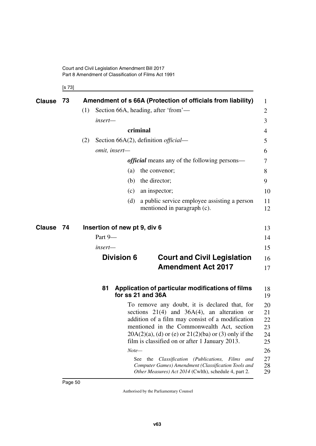[s 73]

| <b>Clause</b> | 73 | Amendment of s 66A (Protection of officials from liability)                                                                                                                                                                                                                                                                                                                                                                                                                                                    | $\mathbf{1}$                                             |
|---------------|----|----------------------------------------------------------------------------------------------------------------------------------------------------------------------------------------------------------------------------------------------------------------------------------------------------------------------------------------------------------------------------------------------------------------------------------------------------------------------------------------------------------------|----------------------------------------------------------|
|               |    | (1)<br>Section 66A, heading, after 'from'—                                                                                                                                                                                                                                                                                                                                                                                                                                                                     | 2                                                        |
|               |    | insert-                                                                                                                                                                                                                                                                                                                                                                                                                                                                                                        | 3                                                        |
|               |    | criminal                                                                                                                                                                                                                                                                                                                                                                                                                                                                                                       | 4                                                        |
|               |    | Section 66A $(2)$ , definition <i>official</i> —<br>(2)                                                                                                                                                                                                                                                                                                                                                                                                                                                        | 5                                                        |
|               |    | omit, insert-                                                                                                                                                                                                                                                                                                                                                                                                                                                                                                  | 6                                                        |
|               |    | <i>official</i> means any of the following persons—                                                                                                                                                                                                                                                                                                                                                                                                                                                            | 7                                                        |
|               |    | the convenor;<br>(a)                                                                                                                                                                                                                                                                                                                                                                                                                                                                                           | 8                                                        |
|               |    | the director;<br>(b)                                                                                                                                                                                                                                                                                                                                                                                                                                                                                           | 9                                                        |
|               |    | an inspector;<br>(c)                                                                                                                                                                                                                                                                                                                                                                                                                                                                                           | 10                                                       |
|               |    | a public service employee assisting a person<br>(d)<br>mentioned in paragraph (c).                                                                                                                                                                                                                                                                                                                                                                                                                             | 11<br>12                                                 |
| <b>Clause</b> | 74 | Insertion of new pt 9, div 6                                                                                                                                                                                                                                                                                                                                                                                                                                                                                   | 13                                                       |
|               |    | Part 9-                                                                                                                                                                                                                                                                                                                                                                                                                                                                                                        | 14                                                       |
|               |    | insert—                                                                                                                                                                                                                                                                                                                                                                                                                                                                                                        | 15                                                       |
|               |    | <b>Division 6</b><br><b>Court and Civil Legislation</b><br><b>Amendment Act 2017</b>                                                                                                                                                                                                                                                                                                                                                                                                                           | 16<br>17                                                 |
|               |    | Application of particular modifications of films<br>81<br>for ss 21 and 36A                                                                                                                                                                                                                                                                                                                                                                                                                                    | 18<br>19                                                 |
|               |    | To remove any doubt, it is declared that, for<br>sections $21(4)$ and $36A(4)$ , an alteration or<br>addition of a film may consist of a modification<br>mentioned in the Commonwealth Act, section<br>$20A(2)(a)$ , (d) or (e) or $21(2)(ba)$ or (3) only if the<br>film is classified on or after 1 January 2013.<br>$Note-$<br>Classification (Publications,<br>Films<br>See:<br>the<br>and<br>Computer Games) Amendment (Classification Tools and<br>Other Measures) Act 2014 (Cwlth), schedule 4, part 2. | 20<br>21<br>22<br>23<br>24<br>25<br>26<br>27<br>28<br>29 |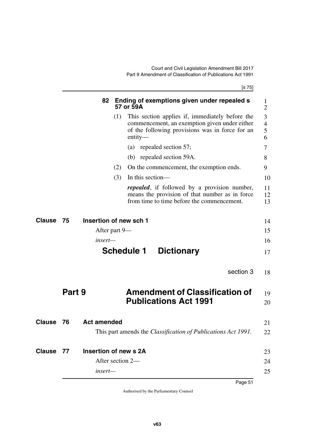[s 75]

|               |        | 82                     | Ending of exemptions given under repealed s<br>57 or 59A                                                                                                                |
|---------------|--------|------------------------|-------------------------------------------------------------------------------------------------------------------------------------------------------------------------|
|               |        |                        | (1)<br>This section applies if, immediately before the<br>commencement, an exemption given under either<br>of the following provisions was in force for an<br>$entity-$ |
|               |        |                        | (a) repealed section 57;                                                                                                                                                |
|               |        |                        | (b) repealed section 59A.                                                                                                                                               |
|               |        |                        | (2)<br>On the commencement, the exemption ends.                                                                                                                         |
|               |        |                        | (3)<br>In this section—                                                                                                                                                 |
|               |        |                        | <i>repealed</i> , if followed by a provision number,<br>means the provision of that number as in force<br>from time to time before the commencement.                    |
| Clause        | 75     | Insertion of new sch 1 |                                                                                                                                                                         |
|               |        | After part 9—          |                                                                                                                                                                         |
|               |        | insert—                |                                                                                                                                                                         |
|               |        |                        | <b>Schedule 1</b><br><b>Dictionary</b>                                                                                                                                  |
|               |        |                        | section 3                                                                                                                                                               |
|               | Part 9 |                        | <b>Amendment of Classification of</b>                                                                                                                                   |
|               |        |                        | <b>Publications Act 1991</b>                                                                                                                                            |
| <b>Clause</b> | 76     | <b>Act amended</b>     |                                                                                                                                                                         |
|               |        |                        | This part amends the Classification of Publications Act 1991.                                                                                                           |
|               |        |                        |                                                                                                                                                                         |
| <b>Clause</b> | 77     | Insertion of new s 2A  |                                                                                                                                                                         |
|               |        |                        | After section 2-                                                                                                                                                        |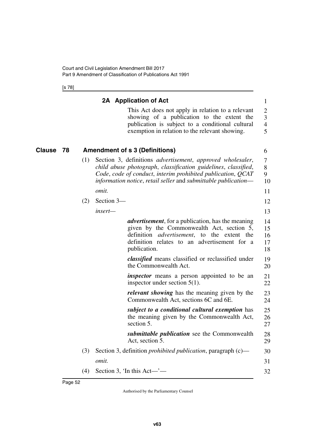[s 78]

|        |    |     |            | 2A Application of Act                                                                                                                                                                                                                                                        | $\mathbf{1}$                            |
|--------|----|-----|------------|------------------------------------------------------------------------------------------------------------------------------------------------------------------------------------------------------------------------------------------------------------------------------|-----------------------------------------|
|        |    |     |            | This Act does not apply in relation to a relevant<br>showing of a publication to the extent the<br>publication is subject to a conditional cultural<br>exemption in relation to the relevant showing.                                                                        | 2<br>3<br>$\overline{\mathcal{A}}$<br>5 |
| Clause | 78 |     |            | <b>Amendment of s 3 (Definitions)</b>                                                                                                                                                                                                                                        | 6                                       |
|        |    | (1) |            | Section 3, definitions <i>advertisement</i> , <i>approved</i> wholesaler,<br>child abuse photograph, classification guidelines, classified,<br>Code, code of conduct, interim prohibited publication, QCAT<br>information notice, retail seller and submittable publication— | 7<br>8<br>9<br>10                       |
|        |    |     | omit.      |                                                                                                                                                                                                                                                                              | 11                                      |
|        |    | (2) | Section 3- |                                                                                                                                                                                                                                                                              | 12                                      |
|        |    |     | insert-    |                                                                                                                                                                                                                                                                              | 13                                      |
|        |    |     |            | <i>advertisement</i> , for a publication, has the meaning<br>given by the Commonwealth Act, section 5,<br>definition<br><i>advertisement</i> , to the extent the<br>definition relates to an advertisement for a<br>publication.                                             | 14<br>15<br>16<br>17<br>18              |
|        |    |     |            | classified means classified or reclassified under<br>the Commonwealth Act.                                                                                                                                                                                                   | 19<br>20                                |
|        |    |     |            | <i>inspector</i> means a person appointed to be an<br>inspector under section $5(1)$ .                                                                                                                                                                                       | 21<br>22                                |
|        |    |     |            | <i>relevant showing</i> has the meaning given by the<br>Commonwealth Act, sections 6C and 6E.                                                                                                                                                                                | 23<br>24                                |
|        |    |     |            | subject to a conditional cultural exemption has<br>the meaning given by the Commonwealth Act,<br>section 5.                                                                                                                                                                  | 25<br>26<br>27                          |
|        |    |     |            | <i>submittable publication</i> see the Commonwealth<br>Act, section 5.                                                                                                                                                                                                       | 28<br>29                                |
|        |    | (3) |            | Section 3, definition <i>prohibited publication</i> , paragraph (c)—                                                                                                                                                                                                         | 30                                      |
|        |    |     | omit.      |                                                                                                                                                                                                                                                                              | 31                                      |
|        |    | (4) |            | Section 3, 'In this Act—'—                                                                                                                                                                                                                                                   | 32                                      |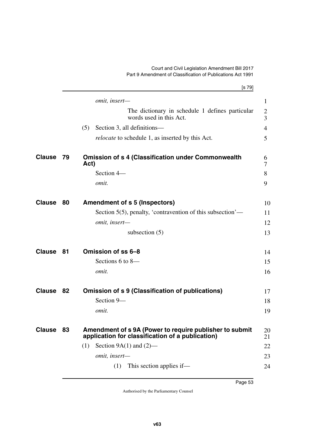## Court and Civil Legislation Amendment Bill 2017 Part 9 Amendment of Classification of Publications Act 1991

|               |      | [s 79]                                                                                                      |                     |
|---------------|------|-------------------------------------------------------------------------------------------------------------|---------------------|
|               |      | omit, insert-                                                                                               | 1                   |
|               |      | The dictionary in schedule 1 defines particular<br>words used in this Act.                                  | $\overline{2}$<br>3 |
|               |      | (5)<br>Section 3, all definitions—                                                                          | 4                   |
|               |      | <i>relocate</i> to schedule 1, as inserted by this Act.                                                     | 5                   |
| <b>Clause</b> | - 79 | <b>Omission of s 4 (Classification under Commonwealth</b><br>Act)                                           | 6<br>7              |
|               |      | Section 4-                                                                                                  | 8                   |
|               |      | omit.                                                                                                       | 9                   |
| <b>Clause</b> | 80   | <b>Amendment of s 5 (Inspectors)</b>                                                                        | 10                  |
|               |      | Section 5(5), penalty, 'contravention of this subsection'—                                                  | 11                  |
|               |      | omit, insert-                                                                                               | 12                  |
|               |      | subsection $(5)$                                                                                            | 13                  |
| <b>Clause</b> | 81   | Omission of ss 6-8                                                                                          | 14                  |
|               |      | Sections 6 to 8-                                                                                            | 15                  |
|               |      | omit.                                                                                                       | 16                  |
| <b>Clause</b> | 82   | Omission of s 9 (Classification of publications)                                                            | 17                  |
|               |      | Section 9-                                                                                                  | 18                  |
|               |      | omit.                                                                                                       | 19                  |
| <b>Clause</b> | 83   | Amendment of s 9A (Power to require publisher to submit<br>application for classification of a publication) | 20<br>21            |
|               |      | Section $9A(1)$ and $(2)$ —<br>(1)                                                                          | 22                  |
|               |      | omit, insert-                                                                                               | 23                  |
|               |      | This section applies if—<br>(1)                                                                             | 24                  |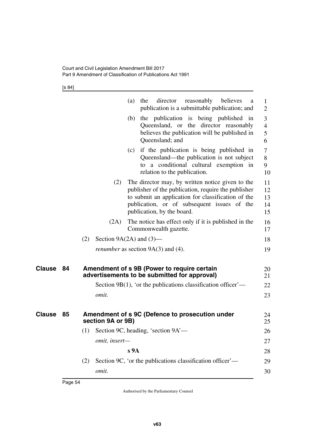[s 84]

|               |    |                   | director<br>reasonably<br>(a)<br>the<br>believes<br>a<br>publication is a submittable publication; and                                                                                                                                     | $\mathbf{1}$<br>$\overline{2}$ |
|---------------|----|-------------------|--------------------------------------------------------------------------------------------------------------------------------------------------------------------------------------------------------------------------------------------|--------------------------------|
|               |    |                   | the publication is being published in<br>(b)<br>Queensland, or the director reasonably<br>believes the publication will be published in<br>Queensland; and                                                                                 | 3<br>$\overline{4}$<br>5<br>6  |
|               |    |                   | if the publication is being published in<br>(c)<br>Queensland—the publication is not subject<br>to a conditional cultural exemption in<br>relation to the publication.                                                                     | 7<br>8<br>9<br>10              |
|               |    | (2)               | The director may, by written notice given to the<br>publisher of the publication, require the publisher<br>to submit an application for classification of the<br>publication, or of subsequent issues of the<br>publication, by the board. | 11<br>12<br>13<br>14<br>15     |
|               |    | (2A)              | The notice has effect only if it is published in the<br>Commonwealth gazette.                                                                                                                                                              | 16<br>17                       |
|               |    | (2)               | Section $9A(2A)$ and $(3)$ —                                                                                                                                                                                                               | 18                             |
|               |    |                   | <i>renumber</i> as section $9A(3)$ and (4).                                                                                                                                                                                                | 19                             |
| <b>Clause</b> | 84 |                   | Amendment of s 9B (Power to require certain<br>advertisements to be submitted for approval)                                                                                                                                                | 20<br>21                       |
|               |    |                   | Section 9B(1), 'or the publications classification officer'—                                                                                                                                                                               | 22                             |
|               |    | omit.             |                                                                                                                                                                                                                                            | 23                             |
| Clause        | 85 | section 9A or 9B) | Amendment of s 9C (Defence to prosecution under                                                                                                                                                                                            | 24<br>25                       |
|               |    | (1)               | Section 9C, heading, 'section 9A'-                                                                                                                                                                                                         | 26                             |
|               |    | omit, insert-     |                                                                                                                                                                                                                                            | 27                             |
|               |    |                   | s <sub>9A</sub>                                                                                                                                                                                                                            | 28                             |
|               |    | (2)               | Section 9C, 'or the publications classification officer'—                                                                                                                                                                                  | 29                             |
|               |    | omit.             |                                                                                                                                                                                                                                            | 30                             |
|               |    |                   |                                                                                                                                                                                                                                            |                                |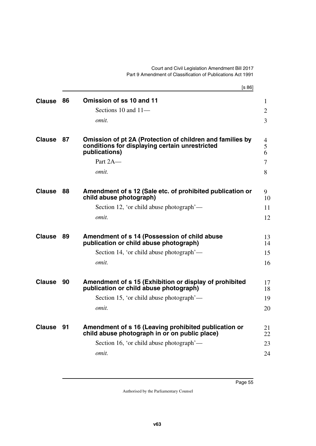Court and Civil Legislation Amendment Bill 2017 Part 9 Amendment of Classification of Publications Act 1991

|               |    | [s 86]                                                                                                                       |                |
|---------------|----|------------------------------------------------------------------------------------------------------------------------------|----------------|
| <b>Clause</b> | 86 | Omission of ss 10 and 11                                                                                                     | 1              |
|               |    | Sections 10 and 11-                                                                                                          | $\overline{2}$ |
|               |    | omit.                                                                                                                        | $\overline{3}$ |
| <b>Clause</b> | 87 | Omission of pt 2A (Protection of children and families by<br>conditions for displaying certain unrestricted<br>publications) | 4<br>5<br>6    |
|               |    | Part 2A-                                                                                                                     | $\overline{7}$ |
|               |    | <i>omit.</i>                                                                                                                 | 8              |
| <b>Clause</b> | 88 | Amendment of s 12 (Sale etc. of prohibited publication or<br>child abuse photograph)                                         | 9<br>10        |
|               |    | Section 12, 'or child abuse photograph'—                                                                                     | 11             |
|               |    | omit.                                                                                                                        | 12             |
| <b>Clause</b> | 89 | Amendment of s 14 (Possession of child abuse<br>publication or child abuse photograph)                                       | 13<br>14       |
|               |    | Section 14, 'or child abuse photograph'—                                                                                     | 15             |
|               |    | omit.                                                                                                                        | 16             |
| <b>Clause</b> | 90 | Amendment of s 15 (Exhibition or display of prohibited<br>publication or child abuse photograph)                             | 17<br>18       |
|               |    | Section 15, 'or child abuse photograph'—                                                                                     | 19             |
|               |    | <i>omit.</i>                                                                                                                 | 20             |
| <b>Clause</b> | 91 | Amendment of s 16 (Leaving prohibited publication or<br>child abuse photograph in or on public place)                        | 21<br>22       |
|               |    | Section 16, 'or child abuse photograph'—                                                                                     | 23             |
|               |    | omit.                                                                                                                        | 24             |
|               |    |                                                                                                                              |                |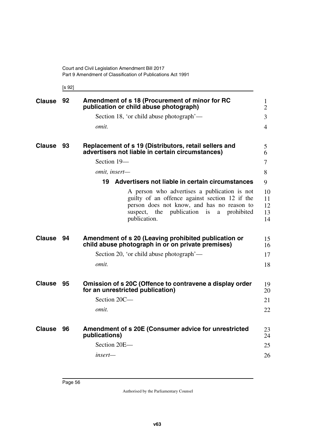[s 92]

| <b>Clause</b> | 92 | Amendment of s 18 (Procurement of minor for RC<br>publication or child abuse photograph)                                                                                                                             | $\mathbf{1}$<br>$\overline{2}$ |
|---------------|----|----------------------------------------------------------------------------------------------------------------------------------------------------------------------------------------------------------------------|--------------------------------|
|               |    | Section 18, 'or child abuse photograph'—                                                                                                                                                                             | 3                              |
|               |    | omit.                                                                                                                                                                                                                | 4                              |
| <b>Clause</b> | 93 | Replacement of s 19 (Distributors, retail sellers and<br>advertisers not liable in certain circumstances)                                                                                                            | 5<br>6                         |
|               |    | Section 19-                                                                                                                                                                                                          | 7                              |
|               |    | omit, insert-                                                                                                                                                                                                        | 8                              |
|               |    | Advertisers not liable in certain circumstances<br>19                                                                                                                                                                | 9                              |
|               |    | A person who advertises a publication is not<br>guilty of an offence against section 12 if the<br>person does not know, and has no reason to<br>publication is<br>prohibited<br>the<br>suspect,<br>a<br>publication. | 10<br>11<br>12<br>13<br>14     |
| <b>Clause</b> | 94 | Amendment of s 20 (Leaving prohibited publication or<br>child abuse photograph in or on private premises)                                                                                                            | 15<br>16                       |
|               |    | Section 20, 'or child abuse photograph'—                                                                                                                                                                             | 17                             |
|               |    | omit.                                                                                                                                                                                                                | 18                             |
| <b>Clause</b> | 95 | Omission of s 20C (Offence to contravene a display order<br>for an unrestricted publication)                                                                                                                         | 19<br>20                       |
|               |    | Section 20C-                                                                                                                                                                                                         | 21                             |
|               |    | omit.                                                                                                                                                                                                                | 22                             |
| <b>Clause</b> | 96 | Amendment of s 20E (Consumer advice for unrestricted<br>publications)                                                                                                                                                | 23<br>24                       |
|               |    | Section 20E-                                                                                                                                                                                                         | 25                             |
|               |    | insert—                                                                                                                                                                                                              | 26                             |
|               |    |                                                                                                                                                                                                                      |                                |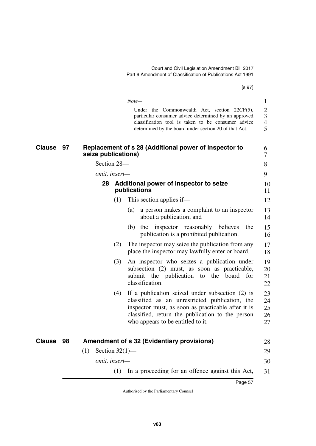|                     | [s 97]                                                                                                                                                                                                                                                  |
|---------------------|---------------------------------------------------------------------------------------------------------------------------------------------------------------------------------------------------------------------------------------------------------|
|                     | $Note-$                                                                                                                                                                                                                                                 |
|                     | Under the Commonwealth Act, section $22CF(5)$ ,<br>particular consumer advice determined by an approved<br>classification tool is taken to be consumer advice<br>determined by the board under section 20 of that Act.                                  |
| <b>Clause</b><br>97 | Replacement of s 28 (Additional power of inspector to<br>seize publications)                                                                                                                                                                            |
|                     | Section 28-                                                                                                                                                                                                                                             |
|                     | omit, insert-                                                                                                                                                                                                                                           |
|                     | Additional power of inspector to seize<br>28<br>publications                                                                                                                                                                                            |
|                     | (1)<br>This section applies if—                                                                                                                                                                                                                         |
|                     | a person makes a complaint to an inspector<br>(a)<br>about a publication; and                                                                                                                                                                           |
|                     | inspector reasonably believes<br>(b)<br>the<br>the<br>publication is a prohibited publication.                                                                                                                                                          |
|                     | The inspector may seize the publication from any<br>(2)<br>place the inspector may lawfully enter or board.                                                                                                                                             |
|                     | An inspector who seizes a publication under<br>(3)<br>subsection (2) must, as soon as practicable,<br>submit the publication to the board for<br>classification.                                                                                        |
|                     | If a publication seized under subsection (2) is<br>(4)<br>classified as an unrestricted publication, the<br>inspector must, as soon as practicable after it is<br>classified, return the publication to the person<br>who appears to be entitled to it. |
| <b>Clause</b><br>98 | <b>Amendment of s 32 (Evidentiary provisions)</b>                                                                                                                                                                                                       |
|                     | Section $32(1)$ —<br>(1)<br>omit, insert-                                                                                                                                                                                                               |
|                     | (1) In a proceeding for an offence against this Act,                                                                                                                                                                                                    |
|                     | Page 57                                                                                                                                                                                                                                                 |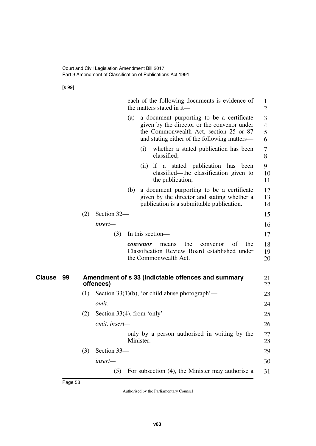[s 99]

|                     |     |                             |     |           | each of the following documents is evidence of<br>the matters stated in it—                                                                                                        | $\mathbf{1}$<br>$\overline{2}$ |
|---------------------|-----|-----------------------------|-----|-----------|------------------------------------------------------------------------------------------------------------------------------------------------------------------------------------|--------------------------------|
|                     |     |                             | (a) |           | a document purporting to be a certificate<br>given by the director or the convenor under<br>the Commonwealth Act, section 25 or 87<br>and stating either of the following matters- | 3<br>4<br>5<br>6               |
|                     |     |                             |     | (i)       | whether a stated publication has been<br>classified;                                                                                                                               | 7<br>8                         |
|                     |     |                             |     |           | (ii) if a stated publication has<br>been<br>classified—the classification given to<br>the publication;                                                                             | 9<br>10<br>11                  |
|                     |     |                             | (b) |           | a document purporting to be a certificate<br>given by the director and stating whether a<br>publication is a submittable publication.                                              | 12<br>13<br>14                 |
|                     | (2) | Section 32-                 |     |           |                                                                                                                                                                                    | 15                             |
|                     |     | $insert-$                   |     |           |                                                                                                                                                                                    | 16                             |
|                     |     | (3)                         |     |           | In this section-                                                                                                                                                                   | 17                             |
|                     |     |                             |     | convenor  | of<br>the<br>the<br>convenor<br>means<br>Classification Review Board established under<br>the Commonwealth Act.                                                                    | 18<br>19<br>20                 |
| <b>Clause</b><br>99 |     | offences)                   |     |           | Amendment of s 33 (Indictable offences and summary                                                                                                                                 | 21<br>22                       |
|                     | (1) |                             |     |           | Section $33(1)(b)$ , 'or child abuse photograph'—                                                                                                                                  | 23                             |
|                     |     | omit.                       |     |           |                                                                                                                                                                                    | 24                             |
|                     | (2) | Section 33(4), from 'only'— |     |           |                                                                                                                                                                                    | 25                             |
|                     |     | omit, insert-               |     |           |                                                                                                                                                                                    | 26                             |
|                     |     |                             |     | Minister. | only by a person authorised in writing by the                                                                                                                                      | 27<br>28                       |
|                     | (3) | Section 33-                 |     |           |                                                                                                                                                                                    | 29                             |
|                     |     | insert-                     |     |           |                                                                                                                                                                                    | 30                             |
|                     |     | (5)                         |     |           | For subsection (4), the Minister may authorise a                                                                                                                                   | 31                             |
|                     |     |                             |     |           |                                                                                                                                                                                    |                                |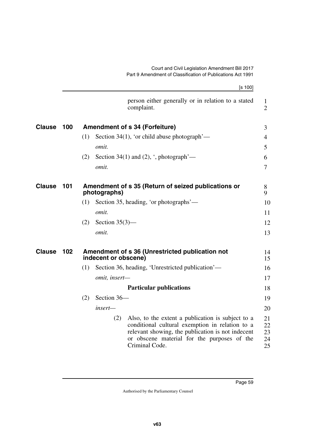|               |     | [s 100]                                                                                                                                                                                                                           |
|---------------|-----|-----------------------------------------------------------------------------------------------------------------------------------------------------------------------------------------------------------------------------------|
|               |     | person either generally or in relation to a stated<br>complaint.                                                                                                                                                                  |
| <b>Clause</b> | 100 | <b>Amendment of s 34 (Forfeiture)</b>                                                                                                                                                                                             |
|               |     | Section 34(1), 'or child abuse photograph'—<br>(1)                                                                                                                                                                                |
|               |     | omit.                                                                                                                                                                                                                             |
|               |     | Section 34(1) and (2), $\cdot$ , photograph $\cdot$ —<br>(2)                                                                                                                                                                      |
|               |     | omit.                                                                                                                                                                                                                             |
| <b>Clause</b> | 101 | Amendment of s 35 (Return of seized publications or<br>photographs)                                                                                                                                                               |
|               |     | (1)<br>Section 35, heading, 'or photographs'—                                                                                                                                                                                     |
|               |     | <i>omit.</i>                                                                                                                                                                                                                      |
|               |     | Section $35(3)$ —<br>(2)                                                                                                                                                                                                          |
|               |     | omit.                                                                                                                                                                                                                             |
| <b>Clause</b> | 102 | Amendment of s 36 (Unrestricted publication not<br>indecent or obscene)                                                                                                                                                           |
|               |     | Section 36, heading, 'Unrestricted publication'—<br>(1)                                                                                                                                                                           |
|               |     | omit, insert-                                                                                                                                                                                                                     |
|               |     | <b>Particular publications</b>                                                                                                                                                                                                    |
|               |     | Section 36-<br>(2)                                                                                                                                                                                                                |
|               |     | $insert-$                                                                                                                                                                                                                         |
|               |     | Also, to the extent a publication is subject to a<br>(2)<br>conditional cultural exemption in relation to a<br>relevant showing, the publication is not indecent<br>or obscene material for the purposes of the<br>Criminal Code. |
|               |     |                                                                                                                                                                                                                                   |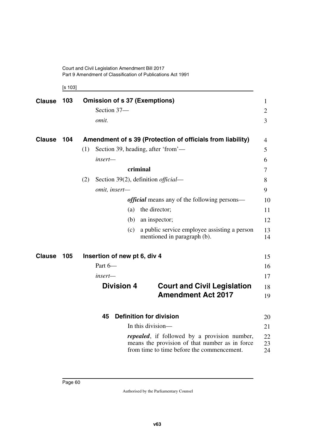[s 103]

| <b>Clause</b> | <b>Omission of s 37 (Exemptions)</b><br>Section 37- | $\mathbf{1}$<br>$\overline{2}$                                                                                                                       |                |
|---------------|-----------------------------------------------------|------------------------------------------------------------------------------------------------------------------------------------------------------|----------------|
|               |                                                     | omit.                                                                                                                                                | 3              |
| <b>Clause</b> | 104                                                 | Amendment of s 39 (Protection of officials from liability)                                                                                           | 4              |
|               |                                                     | Section 39, heading, after 'from'—<br>(1)                                                                                                            | 5              |
|               |                                                     | insert-                                                                                                                                              | 6              |
|               |                                                     | criminal                                                                                                                                             | 7              |
|               |                                                     | Section 39(2), definition <i>official</i> —<br>(2)                                                                                                   | 8              |
|               |                                                     | omit, insert-                                                                                                                                        | 9              |
|               |                                                     | <i>official</i> means any of the following persons—                                                                                                  | 10             |
|               |                                                     | the director;<br>(a)                                                                                                                                 | 11             |
|               |                                                     | (b)<br>an inspector;                                                                                                                                 | 12             |
|               |                                                     | a public service employee assisting a person<br>(c)<br>mentioned in paragraph (b).                                                                   | 13<br>14       |
| <b>Clause</b> | 105                                                 | Insertion of new pt 6, div 4                                                                                                                         | 15             |
|               |                                                     | Part 6-                                                                                                                                              | 16             |
|               |                                                     | $insert-$                                                                                                                                            | 17             |
|               |                                                     | <b>Division 4</b><br><b>Court and Civil Legislation</b>                                                                                              | 18             |
|               |                                                     | <b>Amendment Act 2017</b>                                                                                                                            | 19             |
|               |                                                     | <b>Definition for division</b><br>45                                                                                                                 | 20             |
|               |                                                     | In this division-                                                                                                                                    | 21             |
|               |                                                     | <i>repealed</i> , if followed by a provision number,<br>means the provision of that number as in force<br>from time to time before the commencement. | 22<br>23<br>24 |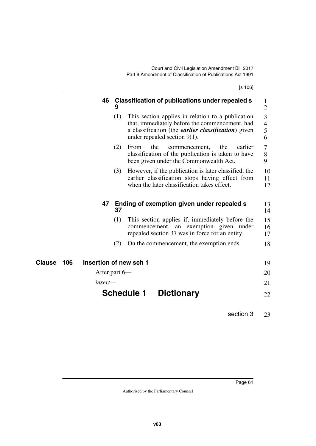[s 106]

|               | 46<br>9                | Classification of publications under repealed s                                                                                                                                                       | 1<br>$\overline{2}$           |
|---------------|------------------------|-------------------------------------------------------------------------------------------------------------------------------------------------------------------------------------------------------|-------------------------------|
|               | (1)                    | This section applies in relation to a publication<br>that, immediately before the commencement, had<br>a classification (the <i>earlier classification</i> ) given<br>under repealed section $9(1)$ . | 3<br>$\overline{4}$<br>5<br>6 |
|               | (2)                    | the<br>the<br>earlier<br>From<br>commencement,<br>classification of the publication is taken to have<br>been given under the Commonwealth Act.                                                        | 7<br>8<br>9                   |
|               | (3)                    | However, if the publication is later classified, the<br>earlier classification stops having effect from<br>when the later classification takes effect.                                                | 10<br>11<br>12                |
|               | 47<br>37               | Ending of exemption given under repealed s                                                                                                                                                            | 13<br>14                      |
|               | (1)                    | This section applies if, immediately before the<br>commencement, an exemption given under<br>repealed section 37 was in force for an entity.                                                          | 15<br>16<br>17                |
|               | (2)                    | On the commencement, the exemption ends.                                                                                                                                                              | 18                            |
| Clause<br>106 | Insertion of new sch 1 |                                                                                                                                                                                                       | 19                            |
|               | After part 6—          |                                                                                                                                                                                                       | 20                            |
|               | insert—                |                                                                                                                                                                                                       | 21                            |
|               |                        | <b>Schedule 1</b><br><b>Dictionary</b>                                                                                                                                                                | 22                            |

section 3 23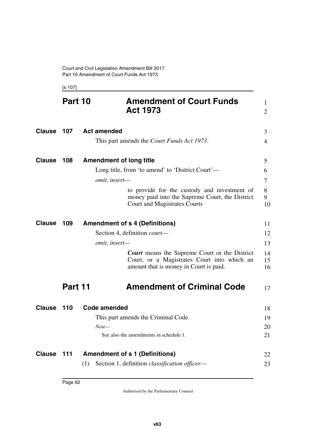[s 107]

|               | Part 10 | <b>Amendment of Court Funds</b><br><b>Act 1973</b>                                                                                            | $\mathbf{1}$<br>$\overline{2}$ |
|---------------|---------|-----------------------------------------------------------------------------------------------------------------------------------------------|--------------------------------|
| Clause        | 107     | <b>Act amended</b>                                                                                                                            | 3                              |
|               |         | This part amends the <i>Court Funds Act 1973</i> .                                                                                            | $\overline{4}$                 |
| Clause        | 108     | <b>Amendment of long title</b>                                                                                                                | 5                              |
|               |         | Long title, from 'to amend' to 'District Court'—                                                                                              | 6                              |
|               |         | omit, insert-                                                                                                                                 | 7                              |
|               |         | to provide for the custody and investment of<br>money paid into the Supreme Court, the District<br><b>Court and Magistrates Courts</b>        | 8<br>9<br>10                   |
| <b>Clause</b> | 109     | <b>Amendment of s 4 (Definitions)</b>                                                                                                         | 11                             |
|               |         | Section 4, definition <i>court</i> —                                                                                                          | 12                             |
|               |         | omit, insert-                                                                                                                                 | 13                             |
|               |         | <b>Court</b> means the Supreme Court or the District<br>Court, or a Magistrates Court into which an<br>amount that is money in Court is paid. | 14<br>15<br>16                 |
|               | Part 11 | <b>Amendment of Criminal Code</b>                                                                                                             | 17                             |
| <b>Clause</b> | 110     | <b>Code amended</b>                                                                                                                           | 18                             |
|               |         | This part amends the Criminal Code.                                                                                                           | 19                             |
|               |         | $Note-$                                                                                                                                       | 20                             |
|               |         | See also the amendments in schedule 1.                                                                                                        | 21                             |
| Clause        | 111     | <b>Amendment of s 1 (Definitions)</b>                                                                                                         | 22                             |
|               |         | Section 1, definition <i>classification officer</i> -<br>(1)                                                                                  | 23                             |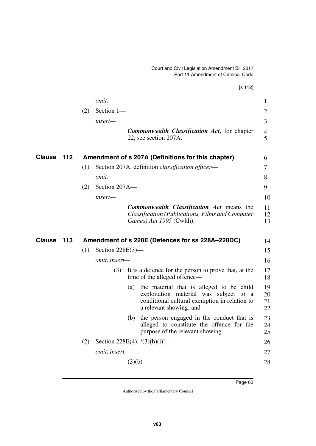|        |     |     |                     | [s 112]                                                                                                                                                            |                      |
|--------|-----|-----|---------------------|--------------------------------------------------------------------------------------------------------------------------------------------------------------------|----------------------|
|        |     |     | omit.               |                                                                                                                                                                    | 1                    |
|        |     | (2) | Section 1-          |                                                                                                                                                                    | $\overline{2}$       |
|        |     |     | insert-             |                                                                                                                                                                    | 3                    |
|        |     |     |                     | <b>Commonwealth Classification Act, for chapter</b><br>22, see section 207A.                                                                                       | 4<br>5               |
| Clause | 112 |     |                     | Amendment of s 207A (Definitions for this chapter)                                                                                                                 | 6                    |
|        |     | (1) |                     | Section 207A, definition <i>classification officer</i> —                                                                                                           | 7                    |
|        |     |     | omit.               |                                                                                                                                                                    | 8                    |
|        |     | (2) | Section 207A-       |                                                                                                                                                                    | 9                    |
|        |     |     | insert-             |                                                                                                                                                                    | 10                   |
|        |     |     |                     | <b>Commonwealth Classification Act means the</b><br>Classification (Publications, Films and Computer<br>Games) Act 1995 (Cwlth).                                   | 11<br>12<br>13       |
| Clause | 113 |     |                     | Amendment of s 228E (Defences for ss 228A-228DC)                                                                                                                   | 14                   |
|        |     | (1) | Section $228E(3)$ — |                                                                                                                                                                    | 15                   |
|        |     |     | omit, insert-       |                                                                                                                                                                    | 16                   |
|        |     |     | (3)                 | It is a defence for the person to prove that, at the<br>time of the alleged offence—                                                                               | 17<br>18             |
|        |     |     |                     | (a) the material that is alleged to be child<br>exploitation material was subject to a<br>conditional cultural exemption in relation to<br>a relevant showing; and | 19<br>20<br>21<br>22 |
|        |     |     |                     | the person engaged in the conduct that is<br>(b)<br>alleged to constitute the offence for the<br>purpose of the relevant showing.                                  | 23<br>24<br>25       |
|        |     | (2) |                     | Section 228E(4), $(3)(b)(i)$ —                                                                                                                                     | 26                   |
|        |     |     | omit, insert-       |                                                                                                                                                                    | 27                   |
|        |     |     |                     | (3)(b)                                                                                                                                                             | 28                   |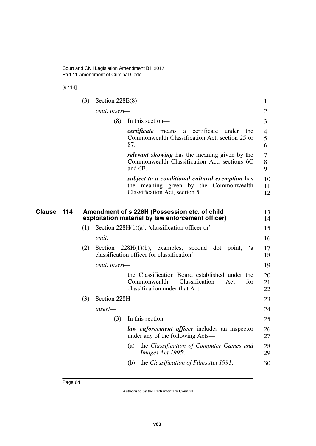[s 114]

|        |     | (3) | Section $228E(8)$ — |                                                                                                                                 | $\mathbf{1}$             |
|--------|-----|-----|---------------------|---------------------------------------------------------------------------------------------------------------------------------|--------------------------|
|        |     |     | omit, insert-       |                                                                                                                                 | $\overline{2}$           |
|        |     |     | (8)                 | In this section-                                                                                                                | 3                        |
|        |     |     |                     | certificate<br>certificate<br>under<br>the<br>means<br>a<br>Commonwealth Classification Act, section 25 or<br>87.               | $\overline{4}$<br>5<br>6 |
|        |     |     |                     | <i>relevant showing</i> has the meaning given by the<br>Commonwealth Classification Act, sections 6C<br>and 6E.                 | 7<br>8<br>9              |
|        |     |     |                     | subject to a conditional cultural exemption has<br>the meaning given by the Commonwealth<br>Classification Act, section 5.      | 10<br>11<br>12           |
| Clause | 114 |     |                     | Amendment of s 228H (Possession etc. of child<br>exploitation material by law enforcement officer)                              | 13<br>14                 |
|        |     | (1) |                     | Section 228H $(1)(a)$ , 'classification officer or'—                                                                            | 15                       |
|        |     |     | omit.               |                                                                                                                                 | 16                       |
|        |     | (2) | Section             | $228H(1)(b)$ , examples, second dot point,<br>`a<br>classification officer for classification'-                                 | 17<br>18                 |
|        |     |     | omit, insert-       |                                                                                                                                 | 19                       |
|        |     |     |                     | the Classification Board established under the<br>Commonwealth<br>Classification<br>for<br>Act<br>classification under that Act | 20<br>21<br>22           |
|        |     | (3) | Section 228H-       |                                                                                                                                 | 23                       |
|        |     |     | insert—             |                                                                                                                                 | 24                       |
|        |     |     | (3)                 | In this section—                                                                                                                | 25                       |
|        |     |     |                     | law enforcement officer includes an inspector<br>under any of the following Acts—                                               | 26<br>27                 |
|        |     |     |                     | the Classification of Computer Games and<br>(a)<br>Images Act 1995;                                                             | 28<br>29                 |
|        |     |     |                     | (b) the <i>Classification of Films Act 1991</i> ;                                                                               | 30                       |
|        |     |     |                     |                                                                                                                                 |                          |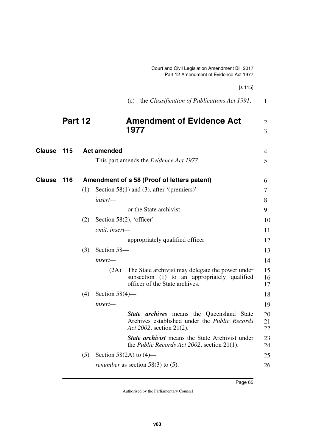|               |         |     |                    | [s 115]                                                                                                                            |                |
|---------------|---------|-----|--------------------|------------------------------------------------------------------------------------------------------------------------------------|----------------|
|               |         |     |                    | the Classification of Publications Act 1991.<br>(c)                                                                                | $\mathbf{1}$   |
|               | Part 12 |     |                    | <b>Amendment of Evidence Act</b>                                                                                                   | $\overline{2}$ |
|               |         |     |                    | 1977                                                                                                                               | 3              |
| <b>Clause</b> | 115     |     | <b>Act amended</b> |                                                                                                                                    | 4              |
|               |         |     |                    | This part amends the <i>Evidence Act 1977</i> .                                                                                    | 5              |
| <b>Clause</b> | 116     |     |                    | Amendment of s 58 (Proof of letters patent)                                                                                        | 6              |
|               |         | (1) |                    | Section 58(1) and (3), after '(premiers)'—                                                                                         | 7              |
|               |         |     | insert-            |                                                                                                                                    | 8              |
|               |         |     |                    | or the State archivist                                                                                                             | 9              |
|               |         | (2) |                    | Section 58(2), 'officer'—                                                                                                          | 10             |
|               |         |     | omit, insert-      |                                                                                                                                    | 11             |
|               |         |     |                    | appropriately qualified officer                                                                                                    | 12             |
|               |         | (3) | Section 58-        |                                                                                                                                    | 13             |
|               |         |     | insert—            |                                                                                                                                    | 14             |
|               |         |     | (2A)               | The State archivist may delegate the power under<br>subsection (1) to an appropriately qualified<br>officer of the State archives. | 15<br>16<br>17 |
|               |         | (4) | Section $58(4)$ —  |                                                                                                                                    | 18             |
|               |         |     | $insert-$          |                                                                                                                                    | 19             |
|               |         |     |                    | <b>State archives</b> means the Queensland State<br>Archives established under the Public Records<br>Act 2002, section 21(2).      | 20<br>21<br>22 |

*State archivist* means the State Archivist under the *Public Records Act 2002*, section 21(1). 23 24

(5) Section 58(2A) to  $(4)$  *renumber* as section 58(3) to (5). 25 26

Authorised by the Parliamentary Counsel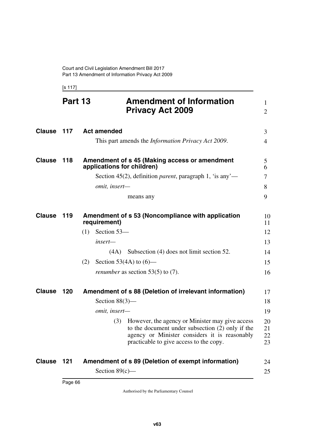[s 117]

|               | Part 13 | <b>Amendment of Information</b><br><b>Privacy Act 2009</b>                                                                                                                                             | $\mathbf{1}$<br>2    |
|---------------|---------|--------------------------------------------------------------------------------------------------------------------------------------------------------------------------------------------------------|----------------------|
| Clause        | 117     | <b>Act amended</b>                                                                                                                                                                                     | 3                    |
|               |         | This part amends the <i>Information Privacy Act 2009</i> .                                                                                                                                             | 4                    |
| <b>Clause</b> | 118     | Amendment of s 45 (Making access or amendment<br>applications for children)                                                                                                                            | 5<br>6               |
|               |         | Section 45(2), definition <i>parent</i> , paragraph 1, 'is any'—                                                                                                                                       | 7                    |
|               |         | omit, insert-                                                                                                                                                                                          | 8                    |
|               |         | means any                                                                                                                                                                                              | 9                    |
| <b>Clause</b> | 119     | Amendment of s 53 (Noncompliance with application<br>requirement)                                                                                                                                      | 10<br>11             |
|               |         | Section 53-<br>(1)                                                                                                                                                                                     | 12                   |
|               |         | insert—                                                                                                                                                                                                | 13                   |
|               |         | Subsection (4) does not limit section 52.<br>(4A)                                                                                                                                                      | 14                   |
|               |         | Section 53(4A) to $(6)$ —<br>(2)                                                                                                                                                                       | 15                   |
|               |         | <i>renumber</i> as section 53(5) to (7).                                                                                                                                                               | 16                   |
| Clause        | 120     | Amendment of s 88 (Deletion of irrelevant information)                                                                                                                                                 | 17                   |
|               |         | Section $88(3)$ —                                                                                                                                                                                      | 18                   |
|               |         | omit, insert-                                                                                                                                                                                          | 19                   |
|               |         | However, the agency or Minister may give access<br>(3)<br>to the document under subsection (2) only if the<br>agency or Minister considers it is reasonably<br>practicable to give access to the copy. | 20<br>21<br>22<br>23 |
| Clause 121    |         | Amendment of s 89 (Deletion of exempt information)                                                                                                                                                     | 24                   |
|               |         | Section $89(c)$ —                                                                                                                                                                                      | 25                   |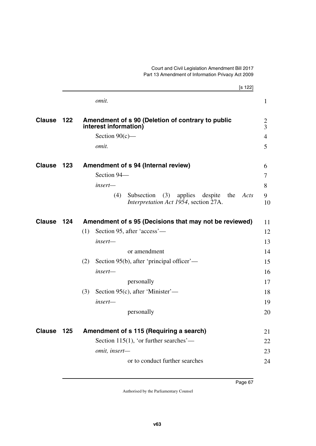|               |     | [s 122]                                                                                                |                     |
|---------------|-----|--------------------------------------------------------------------------------------------------------|---------------------|
|               |     | omit.                                                                                                  | $\mathbf{1}$        |
| <b>Clause</b> | 122 | Amendment of s 90 (Deletion of contrary to public<br>interest information)                             | 2<br>$\overline{3}$ |
|               |     | Section $90(c)$ —                                                                                      | $\overline{4}$      |
|               |     | omit.                                                                                                  | 5                   |
| <b>Clause</b> | 123 | Amendment of s 94 (Internal review)                                                                    | 6                   |
|               |     | Section 94-                                                                                            | 7                   |
|               |     | insert—                                                                                                | 8                   |
|               |     | Subsection<br>(3)<br>applies<br>despite<br>(4)<br>Acts<br>the<br>Interpretation Act 1954, section 27A. | 9<br>10             |
| <b>Clause</b> | 124 | Amendment of s 95 (Decisions that may not be reviewed)                                                 | 11                  |
|               |     | Section 95, after 'access'—<br>(1)                                                                     | 12                  |
|               |     | insert-                                                                                                | 13                  |
|               |     | or amendment                                                                                           | 14                  |
|               |     | Section 95(b), after 'principal officer'—<br>(2)                                                       | 15                  |
|               |     | insert—                                                                                                | 16                  |
|               |     | personally                                                                                             | 17                  |
|               |     | (3)<br>Section 95(c), after 'Minister'—                                                                | 18                  |
|               |     | insert-                                                                                                | 19                  |
|               |     | personally                                                                                             | 20                  |
| <b>Clause</b> | 125 | Amendment of s 115 (Requiring a search)                                                                | 21                  |
|               |     | Section 115(1), 'or further searches'—                                                                 | 22                  |
|               |     | omit, insert-                                                                                          | 23                  |
|               |     | or to conduct further searches                                                                         | 24                  |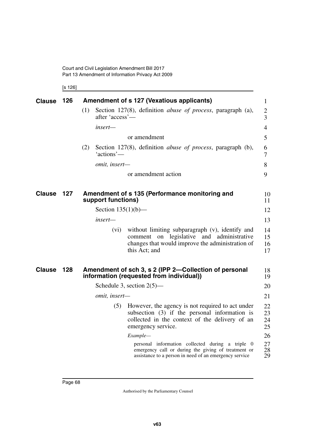Court and Civil Legislation Amendment Bill 2017 Part 13 Amendment of Information Privacy Act 2009

[s 126]

| <b>Clause</b> | 126 | Amendment of s 127 (Vexatious applicants) |                                                                                                                                                                             |                      |  |  |
|---------------|-----|-------------------------------------------|-----------------------------------------------------------------------------------------------------------------------------------------------------------------------------|----------------------|--|--|
|               |     | (1)<br>after 'access'—                    | Section 127(8), definition <i>abuse of process</i> , paragraph (a),                                                                                                         | $\overline{2}$<br>3  |  |  |
|               |     | insert—                                   |                                                                                                                                                                             | $\overline{4}$       |  |  |
|               |     |                                           | or amendment                                                                                                                                                                | 5                    |  |  |
|               |     | (2)<br>'actions'—                         | Section 127(8), definition <i>abuse of process</i> , paragraph (b),                                                                                                         | 6<br>7               |  |  |
|               |     | omit, insert-                             |                                                                                                                                                                             | 8                    |  |  |
|               |     |                                           | or amendment action                                                                                                                                                         | 9                    |  |  |
| <b>Clause</b> | 127 | support functions)                        | Amendment of s 135 (Performance monitoring and                                                                                                                              | 10<br>11             |  |  |
|               |     | Section $135(1)(b)$ —                     |                                                                                                                                                                             | 12                   |  |  |
|               |     | insert—                                   |                                                                                                                                                                             | 13                   |  |  |
|               |     | (vi)                                      | without limiting subparagraph (v), identify and<br>comment on legislative and administrative<br>changes that would improve the administration of<br>this Act; and           | 14<br>15<br>16<br>17 |  |  |
| <b>Clause</b> | 128 |                                           | Amendment of sch 3, s 2 (IPP 2-Collection of personal<br>information (requested from individual))                                                                           | 18<br>19             |  |  |
|               |     |                                           | Schedule 3, section $2(5)$ —                                                                                                                                                | 20                   |  |  |
|               |     | omit, insert-                             |                                                                                                                                                                             | 21                   |  |  |
|               |     | (5)                                       | However, the agency is not required to act under<br>subsection $(3)$ if the personal information is<br>collected in the context of the delivery of an<br>emergency service. | 22<br>23<br>24<br>25 |  |  |
|               |     |                                           | Example-                                                                                                                                                                    | 26                   |  |  |
|               |     |                                           | personal information collected during a triple 0<br>emergency call or during the giving of treatment or<br>assistance to a person in need of an emergency service           | 27<br>28<br>29       |  |  |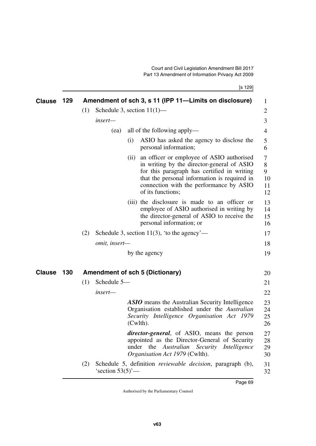[s 129]

| <b>Clause</b> | 129 |                                        |                               |     | Amendment of sch 3, s 11 (IPP 11—Limits on disclosure)                                                                                                                                                                                                      | 1                             |
|---------------|-----|----------------------------------------|-------------------------------|-----|-------------------------------------------------------------------------------------------------------------------------------------------------------------------------------------------------------------------------------------------------------------|-------------------------------|
|               |     | (1)                                    | Schedule 3, section $11(1)$ — |     |                                                                                                                                                                                                                                                             | $\overline{2}$                |
|               |     |                                        | insert-                       |     |                                                                                                                                                                                                                                                             | 3                             |
|               |     |                                        | (ea)                          |     | all of the following apply—                                                                                                                                                                                                                                 | 4                             |
|               |     |                                        |                               | (i) | ASIO has asked the agency to disclose the                                                                                                                                                                                                                   | 5                             |
|               |     |                                        |                               |     | personal information;                                                                                                                                                                                                                                       | 6                             |
|               |     |                                        |                               |     | (ii) an officer or employee of ASIO authorised<br>in writing by the director-general of ASIO<br>for this paragraph has certified in writing<br>that the personal information is required in<br>connection with the performance by ASIO<br>of its functions; | 7<br>8<br>9<br>10<br>11<br>12 |
|               |     |                                        |                               |     | (iii) the disclosure is made to an officer or<br>employee of ASIO authorised in writing by<br>the director-general of ASIO to receive the<br>personal information; or                                                                                       | 13<br>14<br>15<br>16          |
|               |     | (2)                                    |                               |     | Schedule 3, section 11(3), 'to the agency'—                                                                                                                                                                                                                 | 17                            |
|               |     |                                        | omit, insert-                 |     |                                                                                                                                                                                                                                                             | 18                            |
|               |     |                                        |                               |     | by the agency                                                                                                                                                                                                                                               | 19                            |
| <b>Clause</b> | 130 | <b>Amendment of sch 5 (Dictionary)</b> |                               |     | 20                                                                                                                                                                                                                                                          |                               |
|               |     | (1)                                    | Schedule 5-                   |     |                                                                                                                                                                                                                                                             | 21                            |
|               |     |                                        | insert-                       |     |                                                                                                                                                                                                                                                             | 22                            |
|               |     |                                        |                               |     | <b>ASIO</b> means the Australian Security Intelligence<br>Organisation established under the Australian<br>Security Intelligence Organisation Act 1979<br>(Cwlth).                                                                                          | 23<br>24<br>25<br>26          |
|               |     |                                        |                               |     | <i>director-general</i> , of ASIO, means the person<br>appointed as the Director-General of Security<br>under the Australian Security<br>Intelligence<br>Organisation Act 1979 (Cwlth).                                                                     | 27<br>28<br>29<br>30          |
|               |     | (2)                                    | 'section $53(5)$ '—           |     | Schedule 5, definition <i>reviewable decision</i> , paragraph (b),                                                                                                                                                                                          | 31<br>32                      |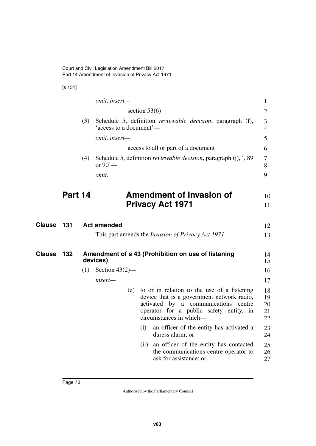[s 131]

|               |         |     | omit, insert-           |                 |      |                                                                                                                                                                                                         | $\mathbf{1}$               |
|---------------|---------|-----|-------------------------|-----------------|------|---------------------------------------------------------------------------------------------------------------------------------------------------------------------------------------------------------|----------------------------|
|               |         |     |                         | section $53(6)$ |      |                                                                                                                                                                                                         | $\overline{2}$             |
|               |         | (3) | 'access to a document'— |                 |      | Schedule 5, definition reviewable decision, paragraph (f),                                                                                                                                              | 3<br>$\overline{4}$        |
|               |         |     | omit, insert-           |                 |      |                                                                                                                                                                                                         | 5                          |
|               |         |     |                         |                 |      | access to all or part of a document                                                                                                                                                                     | 6                          |
|               |         | (4) | or $90'$ —              |                 |      | Schedule 5, definition <i>reviewable decision</i> , paragraph $(j)$ , $\cdot$ , 89                                                                                                                      | 7<br>8                     |
|               |         |     | omit.                   |                 |      |                                                                                                                                                                                                         | 9                          |
|               | Part 14 |     |                         |                 |      | <b>Amendment of Invasion of</b>                                                                                                                                                                         |                            |
|               |         |     |                         |                 |      | <b>Privacy Act 1971</b>                                                                                                                                                                                 | 10<br>11                   |
|               |         |     |                         |                 |      |                                                                                                                                                                                                         |                            |
| <b>Clause</b> | 131     |     | <b>Act amended</b>      |                 |      |                                                                                                                                                                                                         | 12                         |
|               |         |     |                         |                 |      | This part amends the <i>Invasion of Privacy Act 1971</i> .                                                                                                                                              | 13                         |
| <b>Clause</b> | 132     |     | devices)                |                 |      | Amendment of s 43 (Prohibition on use of listening                                                                                                                                                      | 14<br>15                   |
|               |         | (1) | Section $43(2)$ —       |                 |      |                                                                                                                                                                                                         | 16                         |
|               |         |     | insert-                 |                 |      |                                                                                                                                                                                                         | 17                         |
|               |         |     |                         | (e)             |      | to or in relation to the use of a listening<br>device that is a government network radio,<br>activated by a communications centre<br>operator for a public safety entity, in<br>circumstances in which- | 18<br>19<br>20<br>21<br>22 |
|               |         |     |                         |                 | (i)  | an officer of the entity has activated a<br>duress alarm; or                                                                                                                                            | 23<br>24                   |
|               |         |     |                         |                 | (ii) | an officer of the entity has contacted<br>the communications centre operator to<br>ask for assistance; or                                                                                               | 25<br>26<br>27             |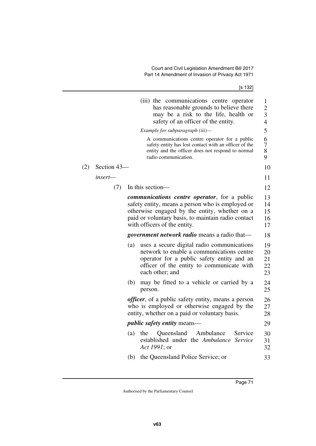[s 132]

|        |                                                     | (iii) the communications centre operator<br>has reasonable grounds to believe there<br>may be a risk to the life, health or<br>safety of an officer of the entity.                                                                              | $\mathbf{1}$<br>$\overline{2}$<br>3<br>$\overline{4}$ |  |  |  |  |
|--------|-----------------------------------------------------|-------------------------------------------------------------------------------------------------------------------------------------------------------------------------------------------------------------------------------------------------|-------------------------------------------------------|--|--|--|--|
|        |                                                     | Example for subparagraph (iii)—                                                                                                                                                                                                                 | 5                                                     |  |  |  |  |
|        |                                                     | A communications centre operator for a public<br>safety entity has lost contact with an officer of the<br>entity and the officer does not respond to normal<br>radio communication.                                                             | 6<br>$\overline{7}$<br>8<br>9                         |  |  |  |  |
| $143-$ |                                                     |                                                                                                                                                                                                                                                 | 10                                                    |  |  |  |  |
|        |                                                     |                                                                                                                                                                                                                                                 | 11                                                    |  |  |  |  |
| (7)    |                                                     | In this section—                                                                                                                                                                                                                                | 12                                                    |  |  |  |  |
|        |                                                     | <i>communications centre operator</i> , for a public<br>safety entity, means a person who is employed or<br>otherwise engaged by the entity, whether on a<br>paid or voluntary basis, to maintain radio contact<br>with officers of the entity. | 13<br>14<br>15<br>16<br>17                            |  |  |  |  |
|        | <i>government network radio</i> means a radio that— |                                                                                                                                                                                                                                                 |                                                       |  |  |  |  |
|        | (a)                                                 | uses a secure digital radio communications<br>network to enable a communications centre<br>operator for a public safety entity and an<br>officer of the entity to communicate with<br>each other; and                                           | 19<br>20<br>21<br>22<br>23                            |  |  |  |  |
|        | (b)                                                 | may be fitted to a vehicle or carried by a<br>person.                                                                                                                                                                                           | 24<br>25                                              |  |  |  |  |
|        |                                                     | <i>officer</i> , of a public safety entity, means a person<br>who is employed or otherwise engaged by the<br>entity, whether on a paid or voluntary basis.                                                                                      | 26<br>27<br>28                                        |  |  |  |  |
|        |                                                     | <i>public safety entity means—</i>                                                                                                                                                                                                              | 29                                                    |  |  |  |  |
|        | (a)                                                 | Ambulance<br>Queensland<br>Service<br>the<br>established under the Ambulance Service<br>Act 1991; or                                                                                                                                            | 30<br>31<br>32                                        |  |  |  |  |
|        | (b)                                                 | the Queensland Police Service; or                                                                                                                                                                                                               | 33                                                    |  |  |  |  |
|        |                                                     |                                                                                                                                                                                                                                                 |                                                       |  |  |  |  |

 $(2)$  Section

*insert—*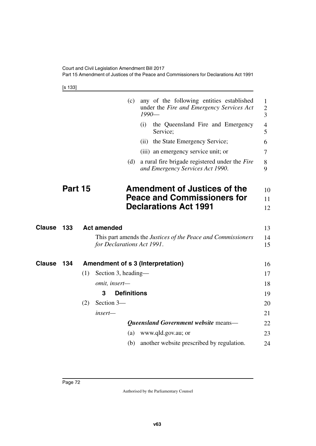Court and Civil Legislation Amendment Bill 2017 Part 15 Amendment of Justices of the Peace and Commissioners for Declarations Act 1991

[s 133]

|               |         |     | (c)                               | $1990-$ | any of the following entities established<br>under the Fire and Emergency Services Act | 1<br>$\overline{c}$<br>3 |
|---------------|---------|-----|-----------------------------------|---------|----------------------------------------------------------------------------------------|--------------------------|
|               |         |     |                                   | (i)     | the Queensland Fire and Emergency<br>Service;                                          | 4<br>5                   |
|               |         |     |                                   |         | (ii) the State Emergency Service;                                                      | 6                        |
|               |         |     |                                   |         | (iii) an emergency service unit; or                                                    | 7                        |
|               |         |     | (d)                               |         | a rural fire brigade registered under the Fire<br>and Emergency Services Act 1990.     | 8<br>9                   |
|               | Part 15 |     |                                   |         | <b>Amendment of Justices of the</b>                                                    | 10                       |
|               |         |     |                                   |         | <b>Peace and Commissioners for</b>                                                     | 11                       |
|               |         |     |                                   |         | <b>Declarations Act 1991</b>                                                           | 12                       |
| <b>Clause</b> | 133     |     | <b>Act amended</b>                |         |                                                                                        | 13                       |
|               |         |     | for Declarations Act 1991.        |         | This part amends the <i>Justices of the Peace and Commissioners</i>                    | 14<br>15                 |
| <b>Clause</b> | 134     |     | Amendment of s 3 (Interpretation) |         |                                                                                        | 16                       |
|               |         | (1) | Section 3, heading—               |         |                                                                                        | 17                       |
|               |         |     | omit, insert-                     |         |                                                                                        | 18                       |
|               |         |     | <b>Definitions</b><br>3           |         |                                                                                        | 19                       |
|               |         | (2) | Section 3-                        |         |                                                                                        | 20                       |
|               |         |     | insert-                           |         |                                                                                        | 21                       |
|               |         |     |                                   |         | Queensland Government website means-                                                   | 22                       |
|               |         |     | (a)                               |         | www.qld.gov.au; or                                                                     | 23                       |
|               |         |     | (b)                               |         | another website prescribed by regulation.                                              | 24                       |
|               |         |     |                                   |         |                                                                                        |                          |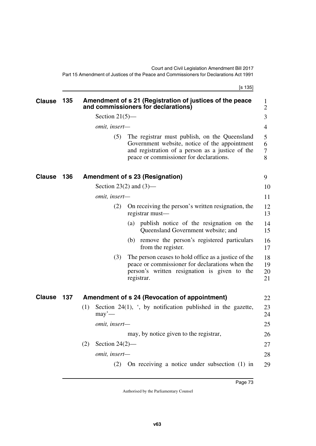[s 135]

| <b>Clause</b> | 135 | Amendment of s 21 (Registration of justices of the peace<br>and commissioners for declarations)                                                                                                      | 1<br>$\overline{2}$  |
|---------------|-----|------------------------------------------------------------------------------------------------------------------------------------------------------------------------------------------------------|----------------------|
|               |     | Section $21(5)$ —                                                                                                                                                                                    | 3                    |
|               |     | omit, insert-                                                                                                                                                                                        | $\overline{4}$       |
|               |     | The registrar must publish, on the Queensland<br>(5)<br>Government website, notice of the appointment<br>and registration of a person as a justice of the<br>peace or commissioner for declarations. | 5<br>6<br>7<br>8     |
| <b>Clause</b> | 136 | <b>Amendment of s 23 (Resignation)</b>                                                                                                                                                               | 9                    |
|               |     | Section 23(2) and $(3)$ —                                                                                                                                                                            | 10                   |
|               |     | omit, insert-                                                                                                                                                                                        | 11                   |
|               |     | On receiving the person's written resignation, the<br>(2)<br>registrar must-                                                                                                                         | 12<br>13             |
|               |     | publish notice of the resignation on the<br>(a)<br>Queensland Government website; and                                                                                                                | 14<br>15             |
|               |     | remove the person's registered particulars<br>(b)<br>from the register.                                                                                                                              | 16<br>17             |
|               |     | (3)<br>The person ceases to hold office as a justice of the<br>peace or commissioner for declarations when the<br>person's written resignation is given to the<br>registrar.                         | 18<br>19<br>20<br>21 |
| <b>Clause</b> | 137 | Amendment of s 24 (Revocation of appointment)                                                                                                                                                        | 22                   |
|               |     | Section 24(1), ', by notification published in the gazette,<br>(1)<br>$may'$ —                                                                                                                       | 23<br>24             |
|               |     | omit, insert-                                                                                                                                                                                        | 25                   |
|               |     | may, by notice given to the registrar,                                                                                                                                                               | 26                   |
|               |     | (2)<br>Section $24(2)$ —                                                                                                                                                                             | 27                   |
|               |     | omit, insert-                                                                                                                                                                                        | 28                   |
|               |     | On receiving a notice under subsection $(1)$ in<br>(2)                                                                                                                                               | 29                   |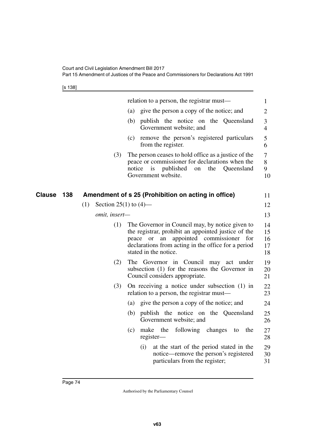[s 138]

|               |                                 | relation to a person, the registrar must—                                                                                                                                                                                                           | 1                          |
|---------------|---------------------------------|-----------------------------------------------------------------------------------------------------------------------------------------------------------------------------------------------------------------------------------------------------|----------------------------|
|               |                                 | give the person a copy of the notice; and<br>(a)                                                                                                                                                                                                    | $\overline{2}$             |
|               |                                 | publish the notice on the Queensland<br>(b)<br>Government website; and                                                                                                                                                                              | 3<br>$\overline{4}$        |
|               |                                 | remove the person's registered particulars<br>(c)<br>from the register.                                                                                                                                                                             | $\mathfrak{S}$<br>6        |
|               | (3)                             | The person ceases to hold office as a justice of the<br>peace or commissioner for declarations when the<br>Queensland<br>notice<br>is<br>published<br>the<br>on<br>Government website.                                                              | $\tau$<br>8<br>9<br>10     |
| Clause<br>138 |                                 | Amendment of s 25 (Prohibition on acting in office)                                                                                                                                                                                                 | 11                         |
|               | Section 25(1) to $(4)$ —<br>(1) |                                                                                                                                                                                                                                                     | 12                         |
|               | omit, insert-                   |                                                                                                                                                                                                                                                     | 13                         |
|               | (1)                             | The Governor in Council may, by notice given to<br>the registrar, prohibit an appointed justice of the<br>appointed commissioner<br>for<br>an<br>peace<br><b>or</b><br>declarations from acting in the office for a period<br>stated in the notice. | 14<br>15<br>16<br>17<br>18 |
|               | (2)                             | The Governor in Council may act under<br>subsection (1) for the reasons the Governor in<br>Council considers appropriate.                                                                                                                           | 19<br>20<br>21             |
|               | (3)                             | On receiving a notice under subsection $(1)$ in<br>relation to a person, the registrar must—                                                                                                                                                        | 22<br>23                   |
|               |                                 | give the person a copy of the notice; and<br>(a)                                                                                                                                                                                                    | 24                         |
|               |                                 | publish the notice on the Queensland<br>(b)<br>Government website; and                                                                                                                                                                              | 25<br>26                   |
|               |                                 | the<br>following<br>the<br>(c)<br>make<br>changes<br>to<br>$register-$                                                                                                                                                                              | 27<br>28                   |
|               |                                 | at the start of the period stated in the<br>(i)<br>notice—remove the person's registered<br>particulars from the register;                                                                                                                          | 29<br>30<br>31             |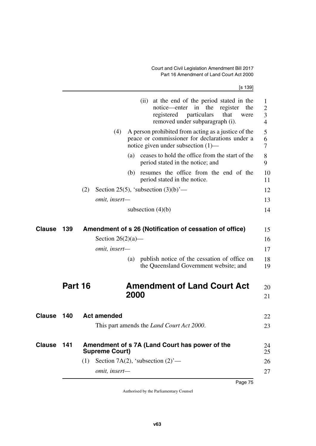[s 139]

|               |         |     |                                     |      | (ii) at the end of the period stated in the<br>notice—enter<br>in<br>the<br>register<br>the<br>particulars<br>registered<br>that<br>were<br>removed under subparagraph (i). | 1<br>2<br>3<br>$\overline{4}$ |
|---------------|---------|-----|-------------------------------------|------|-----------------------------------------------------------------------------------------------------------------------------------------------------------------------------|-------------------------------|
|               |         |     | (4)                                 |      | A person prohibited from acting as a justice of the<br>peace or commissioner for declarations under a<br>notice given under subsection $(1)$ —                              | 5<br>6<br>7                   |
|               |         |     |                                     | (a)  | ceases to hold the office from the start of the<br>period stated in the notice; and                                                                                         | 8<br>9                        |
|               |         |     |                                     |      | (b) resumes the office from the end of the<br>period stated in the notice.                                                                                                  | 10<br>11                      |
|               |         | (2) |                                     |      | Section 25(5), 'subsection $(3)(b)$ '—                                                                                                                                      | 12                            |
|               |         |     | omit, insert-                       |      |                                                                                                                                                                             | 13                            |
|               |         |     |                                     |      | subsection $(4)(b)$                                                                                                                                                         | 14                            |
| <b>Clause</b> | 139     |     |                                     |      | Amendment of s 26 (Notification of cessation of office)                                                                                                                     | 15                            |
|               |         |     | Section $26(2)(a)$ —                |      |                                                                                                                                                                             | 16                            |
|               |         |     | omit, insert-                       |      |                                                                                                                                                                             | 17                            |
|               |         |     |                                     | (a)  | publish notice of the cessation of office on<br>the Queensland Government website; and                                                                                      | 18<br>19                      |
|               | Part 16 |     |                                     |      | <b>Amendment of Land Court Act</b>                                                                                                                                          | 20                            |
|               |         |     |                                     | 2000 |                                                                                                                                                                             | 21                            |
| <b>Clause</b> | 140     |     | <b>Act amended</b>                  |      |                                                                                                                                                                             | 22                            |
|               |         |     |                                     |      | This part amends the <i>Land Court Act 2000</i> .                                                                                                                           | 23                            |
| <b>Clause</b> | 141     |     | <b>Supreme Court)</b>               |      | Amendment of s 7A (Land Court has power of the                                                                                                                              | 24<br>25                      |
|               |         | (1) | Section 7A(2), 'subsection $(2)$ '— |      |                                                                                                                                                                             | 26                            |
|               |         |     | omit, insert-                       |      |                                                                                                                                                                             | 27                            |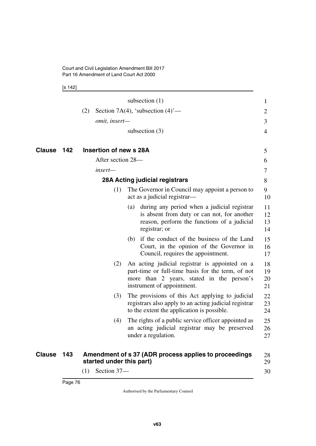[s 142]

|        |     |     |                          | subsection $(1)$                                                                                                                                                               | $\mathbf{1}$         |
|--------|-----|-----|--------------------------|--------------------------------------------------------------------------------------------------------------------------------------------------------------------------------|----------------------|
|        |     | (2) |                          | Section 7A(4), 'subsection $(4)$ '—                                                                                                                                            | 2                    |
|        |     |     | omit, insert-            |                                                                                                                                                                                | 3                    |
|        |     |     |                          | subsection $(3)$                                                                                                                                                               | 4                    |
| Clause | 142 |     | Insertion of new s 28A   |                                                                                                                                                                                | 5                    |
|        |     |     | After section 28-        |                                                                                                                                                                                | 6                    |
|        |     |     | insert-                  |                                                                                                                                                                                | 7                    |
|        |     |     |                          | 28A Acting judicial registrars                                                                                                                                                 | 8                    |
|        |     |     | (1)                      | The Governor in Council may appoint a person to<br>act as a judicial registrar—                                                                                                | 9<br>10              |
|        |     |     |                          | (a) during any period when a judicial registrar<br>is absent from duty or can not, for another<br>reason, perform the functions of a judicial<br>registrar; or                 | 11<br>12<br>13<br>14 |
|        |     |     |                          | (b) if the conduct of the business of the Land<br>Court, in the opinion of the Governor in<br>Council, requires the appointment.                                               | 15<br>16<br>17       |
|        |     |     | (2)                      | An acting judicial registrar is appointed on a<br>part-time or full-time basis for the term, of not<br>more than 2 years, stated in the person's<br>instrument of appointment. | 18<br>19<br>20<br>21 |
|        |     |     | (3)                      | The provisions of this Act applying to judicial<br>registrars also apply to an acting judicial registrar<br>to the extent the application is possible.                         | 22<br>23<br>24       |
|        |     |     | (4)                      | The rights of a public service officer appointed as<br>an acting judicial registrar may be preserved<br>under a regulation.                                                    | 25<br>26<br>27       |
| Clause | 143 |     | started under this part) | Amendment of s 37 (ADR process applies to proceedings                                                                                                                          | 28<br>29             |
|        |     | (1) | Section 37-              |                                                                                                                                                                                | 30                   |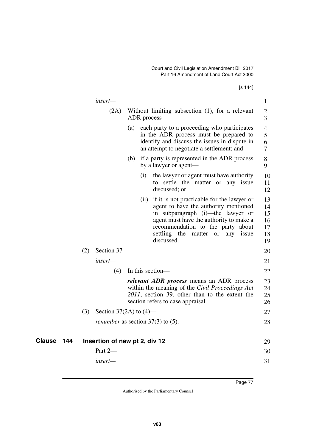|            |     |                                            |                    | [s 144]                                                                                                                                                                                                                                                             |                                        |
|------------|-----|--------------------------------------------|--------------------|---------------------------------------------------------------------------------------------------------------------------------------------------------------------------------------------------------------------------------------------------------------------|----------------------------------------|
|            |     | insert—                                    |                    |                                                                                                                                                                                                                                                                     | $\mathbf{1}$                           |
|            |     | (2A)                                       |                    | Without limiting subsection (1), for a relevant<br>ADR process—                                                                                                                                                                                                     | 2<br>3                                 |
|            |     |                                            |                    | (a) each party to a proceeding who participates<br>in the ADR process must be prepared to<br>identify and discuss the issues in dispute in<br>an attempt to negotiate a settlement; and                                                                             | 4<br>5<br>6<br>7                       |
|            |     |                                            |                    | (b) if a party is represented in the ADR process<br>by a lawyer or agent—                                                                                                                                                                                           | 8<br>9                                 |
|            |     |                                            | $\left( 1 \right)$ | the lawyer or agent must have authority<br>to settle the matter or any issue<br>discussed; or                                                                                                                                                                       | 10<br>11<br>12                         |
|            |     |                                            | (ii)               | if it is not practicable for the lawyer or<br>agent to have the authority mentioned<br>in subparagraph (i)-the lawyer or<br>agent must have the authority to make a<br>recommendation to the party about<br>settling the<br>matter or<br>issue<br>any<br>discussed. | 13<br>14<br>15<br>16<br>17<br>18<br>19 |
|            | (2) | Section 37-                                |                    |                                                                                                                                                                                                                                                                     | 20                                     |
|            |     | insert-                                    |                    |                                                                                                                                                                                                                                                                     | 21                                     |
|            |     | (4)                                        |                    | In this section—                                                                                                                                                                                                                                                    | 22                                     |
|            |     |                                            |                    | <i>relevant ADR process</i> means an ADR process<br>within the meaning of the Civil Proceedings Act<br>2011, section 39, other than to the extent the<br>section refers to case appraisal.                                                                          | 23<br>24<br>25<br>26                   |
|            | (3) | Section 37(2A) to $(4)$ —                  |                    |                                                                                                                                                                                                                                                                     | 27                                     |
|            |     | <i>renumber</i> as section $37(3)$ to (5). |                    |                                                                                                                                                                                                                                                                     | 28                                     |
| Clause 144 |     | Insertion of new pt 2, div 12              |                    |                                                                                                                                                                                                                                                                     | 29                                     |
|            |     | Part 2-                                    |                    |                                                                                                                                                                                                                                                                     | 30                                     |
|            |     | insert-                                    |                    |                                                                                                                                                                                                                                                                     | 31                                     |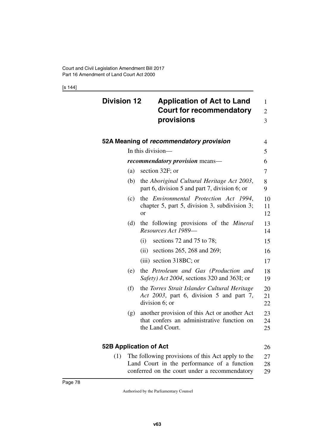[s 144]

| <b>Division 12</b>            | <b>Application of Act to Land</b><br><b>Court for recommendatory</b><br>provisions                            | 1<br>$\overline{2}$<br>3 |
|-------------------------------|---------------------------------------------------------------------------------------------------------------|--------------------------|
|                               | 52A Meaning of recommendatory provision                                                                       | $\overline{4}$           |
|                               | In this division-                                                                                             | 5                        |
|                               | <i>recommendatory provision</i> means—                                                                        | 6                        |
| (a)                           | section 32F; or                                                                                               | 7                        |
| (b)                           | the Aboriginal Cultural Heritage Act 2003,<br>part 6, division 5 and part 7, division 6; or                   | 8<br>9                   |
| (c)                           | the <i>Environmental Protection Act 1994</i> ,<br>chapter 5, part 5, division 3, subdivision 3;<br><b>or</b>  | 10<br>11<br>12           |
| (d)                           | the following provisions of the <i>Mineral</i><br>Resources Act 1989-                                         | 13<br>14                 |
|                               | sections 72 and 75 to 78;<br>(i)                                                                              | 15                       |
|                               | sections 265, 268 and 269;<br>(ii)                                                                            | 16                       |
|                               | $(iii)$ section 318BC; or                                                                                     | 17                       |
| (e)                           | the Petroleum and Gas (Production and<br>Safety) Act 2004, sections 320 and 363I; or                          | 18<br>19                 |
| (f)                           | the Torres Strait Islander Cultural Heritage<br>Act 2003, part 6, division 5 and part 7,<br>division 6; or    | 20<br>21<br>22           |
| (g)                           | another provision of this Act or another Act<br>that confers an administrative function on<br>the Land Court. | 23<br>24<br>25           |
| <b>52B Application of Act</b> |                                                                                                               | 26                       |

(1) The following provisions of this Act apply to the Land Court in the performance of a function conferred on the court under a recommendatory 27 28 29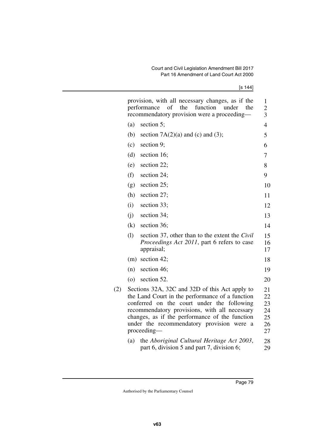[s 144]

|     |                                                                                                                                                                                                                                                                                                                                 | provision, with all necessary changes, as if the<br>performance of the<br>function<br>under<br>the<br>recommendatory provision were a proceeding- | $\mathbf{1}$<br>$\overline{2}$<br>3 |  |  |  |
|-----|---------------------------------------------------------------------------------------------------------------------------------------------------------------------------------------------------------------------------------------------------------------------------------------------------------------------------------|---------------------------------------------------------------------------------------------------------------------------------------------------|-------------------------------------|--|--|--|
|     | (a)                                                                                                                                                                                                                                                                                                                             | section 5;                                                                                                                                        | 4                                   |  |  |  |
|     | (b)                                                                                                                                                                                                                                                                                                                             | section $7A(2)(a)$ and (c) and (3);                                                                                                               | 5                                   |  |  |  |
|     | (c)                                                                                                                                                                                                                                                                                                                             | section 9;                                                                                                                                        | 6                                   |  |  |  |
|     | (d)                                                                                                                                                                                                                                                                                                                             | section 16;                                                                                                                                       | 7                                   |  |  |  |
|     | (e)                                                                                                                                                                                                                                                                                                                             | section 22;                                                                                                                                       | 8                                   |  |  |  |
|     | (f)                                                                                                                                                                                                                                                                                                                             | section 24;                                                                                                                                       | 9                                   |  |  |  |
|     | (g)                                                                                                                                                                                                                                                                                                                             | section 25;                                                                                                                                       | 10                                  |  |  |  |
|     | (h)                                                                                                                                                                                                                                                                                                                             | section 27;                                                                                                                                       | 11                                  |  |  |  |
|     | (i)                                                                                                                                                                                                                                                                                                                             | section 33;                                                                                                                                       | 12                                  |  |  |  |
|     | (i)                                                                                                                                                                                                                                                                                                                             | section 34;                                                                                                                                       | 13                                  |  |  |  |
|     | (k)                                                                                                                                                                                                                                                                                                                             | section 36;                                                                                                                                       | 14                                  |  |  |  |
|     | (1)                                                                                                                                                                                                                                                                                                                             | section 37, other than to the extent the <i>Civil</i><br>Proceedings Act 2011, part 6 refers to case<br>appraisal;                                | 15<br>16<br>17                      |  |  |  |
|     |                                                                                                                                                                                                                                                                                                                                 | $(m)$ section 42;                                                                                                                                 | 18                                  |  |  |  |
|     | (n)                                                                                                                                                                                                                                                                                                                             | section 46;                                                                                                                                       | 19                                  |  |  |  |
|     | $\left( 0 \right)$                                                                                                                                                                                                                                                                                                              | section 52.                                                                                                                                       | 20                                  |  |  |  |
| (2) | Sections 32A, 32C and 32D of this Act apply to<br>the Land Court in the performance of a function<br>conferred on the court under the<br>following<br>recommendatory provisions, with all necessary<br>changes, as if the performance of the function<br>under the recommendatory provision were<br><sub>a</sub><br>proceeding- |                                                                                                                                                   |                                     |  |  |  |
|     | (a)                                                                                                                                                                                                                                                                                                                             | the Aboriginal Cultural Heritage Act 2003,<br>part 6, division 5 and part 7, division 6;                                                          | 28<br>29                            |  |  |  |
|     |                                                                                                                                                                                                                                                                                                                                 |                                                                                                                                                   |                                     |  |  |  |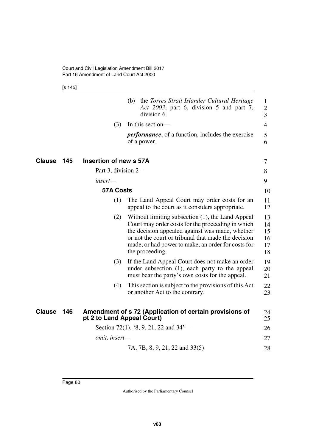[s 145]

|               |     |                            | the Torres Strait Islander Cultural Heritage<br>(b)<br>Act 2003, part 6, division 5 and part 7,<br>division 6.                                                                                                                                                                           | 1<br>$\overline{2}$<br>3         |
|---------------|-----|----------------------------|------------------------------------------------------------------------------------------------------------------------------------------------------------------------------------------------------------------------------------------------------------------------------------------|----------------------------------|
|               |     | (3)                        | In this section—                                                                                                                                                                                                                                                                         | $\overline{4}$                   |
|               |     |                            | <i>performance</i> , of a function, includes the exercise<br>of a power.                                                                                                                                                                                                                 | 5<br>6                           |
| Clause        | 145 | Insertion of new s 57A     |                                                                                                                                                                                                                                                                                          | 7                                |
|               |     | Part 3, division 2-        |                                                                                                                                                                                                                                                                                          | 8                                |
|               |     | insert—                    |                                                                                                                                                                                                                                                                                          | 9                                |
|               |     | <b>57A Costs</b>           |                                                                                                                                                                                                                                                                                          | 10                               |
|               |     | (1)                        | The Land Appeal Court may order costs for an<br>appeal to the court as it considers appropriate.                                                                                                                                                                                         | 11<br>12                         |
|               |     | (2)                        | Without limiting subsection (1), the Land Appeal<br>Court may order costs for the proceeding in which<br>the decision appealed against was made, whether<br>or not the court or tribunal that made the decision<br>made, or had power to make, an order for costs for<br>the proceeding. | 13<br>14<br>15<br>16<br>17<br>18 |
|               |     | (3)                        | If the Land Appeal Court does not make an order<br>under subsection (1), each party to the appeal<br>must bear the party's own costs for the appeal.                                                                                                                                     | 19<br>20<br>21                   |
|               |     | (4)                        | This section is subject to the provisions of this Act<br>or another Act to the contrary.                                                                                                                                                                                                 | 22<br>23                         |
| <b>Clause</b> | 146 | pt 2 to Land Appeal Court) | Amendment of s 72 (Application of certain provisions of                                                                                                                                                                                                                                  | 24<br>25                         |
|               |     |                            | Section 72(1), '8, 9, 21, 22 and $34'$ —                                                                                                                                                                                                                                                 | 26                               |
|               |     | omit, insert-              |                                                                                                                                                                                                                                                                                          | 27                               |
|               |     |                            | 7A, 7B, 8, 9, 21, 22 and 33(5)                                                                                                                                                                                                                                                           | 28                               |
|               |     |                            |                                                                                                                                                                                                                                                                                          |                                  |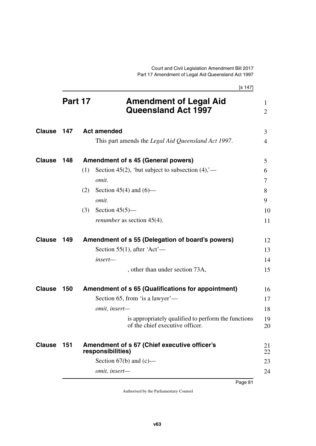[s 147] **Part 17 Amendment of Legal Aid Queensland Act 1997 147 Act amended** 3 This part amends the *Legal Aid Queensland Act 1997*. **148 Amendment of s 45 (General powers) Clause** 5 (1) Section 45(2), 'but subject to subsection  $(4)$ ,' *omit.* (2) Section 45(4) and  $(6)$  *omit.* (3) Section 45(5) *renumber* as section 45(4). **149 Amendment of s 55 (Delegation of board's powers) Clause** 12 Section 55(1), after 'Act' *insert—* , other than under section 73A, **150 Amendment of s 65 (Qualifications for appointment) Clause** 16 Section 65, from 'is a lawyer' *omit, insert* is appropriately qualified to perform the functions of the chief executive officer. **151 Amendment of s 67 (Chief executive officer's Clause** 21 **responsibilities)** Section  $67(b)$  and  $(c)$  *omit, insert—* 1  $\mathfrak{D}$ 4 6 7 8  $\mathbf Q$ 10 11 13 14 15 17 18 19 20 22 23  $24$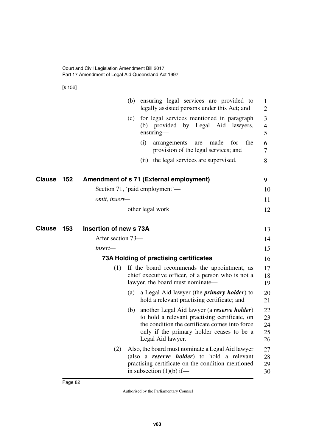[s 152]

|               |     |                        |     | (b) ensuring legal services are provided to<br>legally assisted persons under this Act; and                                                                                                                      | 1<br>$\overline{2}$                |
|---------------|-----|------------------------|-----|------------------------------------------------------------------------------------------------------------------------------------------------------------------------------------------------------------------|------------------------------------|
|               |     |                        | (c) | for legal services mentioned in paragraph<br>(b) provided by Legal Aid lawyers,<br>$ensuring-$                                                                                                                   | 3<br>$\overline{\mathcal{A}}$<br>5 |
|               |     |                        |     | (i)<br>for<br>the<br>arrangements<br>made<br>are<br>provision of the legal services; and                                                                                                                         | 6<br>7                             |
|               |     |                        |     | (ii) the legal services are supervised.                                                                                                                                                                          | 8                                  |
| Clause        | 152 |                        |     | Amendment of s 71 (External employment)                                                                                                                                                                          | 9                                  |
|               |     |                        |     | Section 71, 'paid employment'—                                                                                                                                                                                   | 10                                 |
|               |     | omit, insert-          |     |                                                                                                                                                                                                                  | 11                                 |
|               |     |                        |     | other legal work                                                                                                                                                                                                 | 12                                 |
| <b>Clause</b> | 153 | Insertion of new s 73A |     |                                                                                                                                                                                                                  | 13                                 |
|               |     | After section 73—      |     |                                                                                                                                                                                                                  | 14                                 |
|               |     | insert—                |     |                                                                                                                                                                                                                  | 15                                 |
|               |     |                        |     | 73A Holding of practising certificates                                                                                                                                                                           | 16                                 |
|               |     | (1)                    |     | If the board recommends the appointment, as<br>chief executive officer, of a person who is not a<br>lawyer, the board must nominate—                                                                             | 17<br>18<br>19                     |
|               |     |                        |     | (a) a Legal Aid lawyer (the <i>primary holder</i> ) to<br>hold a relevant practising certificate; and                                                                                                            | 20<br>21                           |
|               |     |                        | (b) | another Legal Aid lawyer (a reserve holder)<br>to hold a relevant practising certificate, on<br>the condition the certificate comes into force<br>only if the primary holder ceases to be a<br>Legal Aid lawyer. | 22<br>23<br>24<br>25<br>26         |
|               |     | (2)                    |     | Also, the board must nominate a Legal Aid lawyer<br>(also a <i>reserve holder</i> ) to hold a relevant<br>practising certificate on the condition mentioned<br>in subsection $(1)(b)$ if—                        | 27<br>28<br>29<br>30               |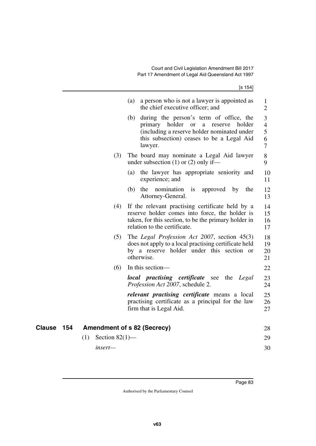[s 154]

| during the person's term of office, the<br>(b)<br>3<br>primary holder<br><b>or</b><br>reserve<br>holder<br>a<br>(including a reserve holder nominated under<br>5<br>this subsection) ceases to be a Legal Aid<br>7<br>lawyer.<br>(3)<br>The board may nominate a Legal Aid lawyer<br>under subsection $(1)$ or $(2)$ only if—<br>(a) the lawyer has appropriate seniority and<br>experience; and<br>the<br>nomination<br>(b)<br>$\frac{1}{1}$<br>approved<br>$_{\rm by}$<br>the<br>Attorney-General.<br>(4)<br>If the relevant practising certificate held by a<br>reserve holder comes into force, the holder is<br>taken, for this section, to be the primary holder in<br>relation to the certificate.<br>(5)<br>The Legal Profession Act 2007, section $45(3)$<br>does not apply to a local practising certificate held<br>by a reserve holder under this section or<br>otherwise.<br>(6)<br>In this section—<br>local practising certificate see the Legal<br>Profession Act 2007, schedule 2.<br><i>relevant practising certificate</i> means a local<br>practising certificate as a principal for the law<br>firm that is Legal Aid.<br>Clause<br>154<br><b>Amendment of s 82 (Secrecy)</b><br>(1)<br>Section $82(1)$ —<br>insert- |  | a person who is not a lawyer is appointed as<br>(a)<br>the chief executive officer; and | 1<br>$\overline{2}$  |
|-------------------------------------------------------------------------------------------------------------------------------------------------------------------------------------------------------------------------------------------------------------------------------------------------------------------------------------------------------------------------------------------------------------------------------------------------------------------------------------------------------------------------------------------------------------------------------------------------------------------------------------------------------------------------------------------------------------------------------------------------------------------------------------------------------------------------------------------------------------------------------------------------------------------------------------------------------------------------------------------------------------------------------------------------------------------------------------------------------------------------------------------------------------------------------------------------------------------------------------------|--|-----------------------------------------------------------------------------------------|----------------------|
|                                                                                                                                                                                                                                                                                                                                                                                                                                                                                                                                                                                                                                                                                                                                                                                                                                                                                                                                                                                                                                                                                                                                                                                                                                           |  |                                                                                         | $\overline{4}$<br>6  |
|                                                                                                                                                                                                                                                                                                                                                                                                                                                                                                                                                                                                                                                                                                                                                                                                                                                                                                                                                                                                                                                                                                                                                                                                                                           |  |                                                                                         | 8<br>9               |
|                                                                                                                                                                                                                                                                                                                                                                                                                                                                                                                                                                                                                                                                                                                                                                                                                                                                                                                                                                                                                                                                                                                                                                                                                                           |  |                                                                                         | 10<br>11             |
|                                                                                                                                                                                                                                                                                                                                                                                                                                                                                                                                                                                                                                                                                                                                                                                                                                                                                                                                                                                                                                                                                                                                                                                                                                           |  |                                                                                         | 12<br>13             |
|                                                                                                                                                                                                                                                                                                                                                                                                                                                                                                                                                                                                                                                                                                                                                                                                                                                                                                                                                                                                                                                                                                                                                                                                                                           |  |                                                                                         | 14<br>15<br>16<br>17 |
|                                                                                                                                                                                                                                                                                                                                                                                                                                                                                                                                                                                                                                                                                                                                                                                                                                                                                                                                                                                                                                                                                                                                                                                                                                           |  |                                                                                         | 18<br>19<br>20<br>21 |
|                                                                                                                                                                                                                                                                                                                                                                                                                                                                                                                                                                                                                                                                                                                                                                                                                                                                                                                                                                                                                                                                                                                                                                                                                                           |  |                                                                                         | 22                   |
|                                                                                                                                                                                                                                                                                                                                                                                                                                                                                                                                                                                                                                                                                                                                                                                                                                                                                                                                                                                                                                                                                                                                                                                                                                           |  |                                                                                         | 23<br>24             |
|                                                                                                                                                                                                                                                                                                                                                                                                                                                                                                                                                                                                                                                                                                                                                                                                                                                                                                                                                                                                                                                                                                                                                                                                                                           |  |                                                                                         | 25<br>26<br>27       |
|                                                                                                                                                                                                                                                                                                                                                                                                                                                                                                                                                                                                                                                                                                                                                                                                                                                                                                                                                                                                                                                                                                                                                                                                                                           |  |                                                                                         | 28                   |
|                                                                                                                                                                                                                                                                                                                                                                                                                                                                                                                                                                                                                                                                                                                                                                                                                                                                                                                                                                                                                                                                                                                                                                                                                                           |  |                                                                                         | 29                   |
|                                                                                                                                                                                                                                                                                                                                                                                                                                                                                                                                                                                                                                                                                                                                                                                                                                                                                                                                                                                                                                                                                                                                                                                                                                           |  |                                                                                         | 30                   |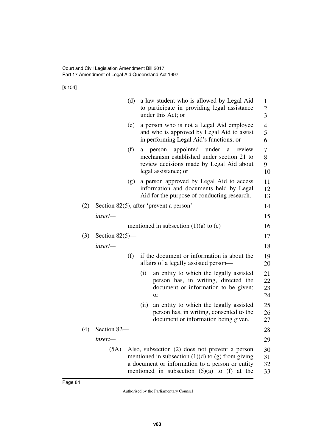[s 154]

|     |                   | (d) |      | a law student who is allowed by Legal Aid                                                                                                                                                                      | $\mathbf{1}$                     |
|-----|-------------------|-----|------|----------------------------------------------------------------------------------------------------------------------------------------------------------------------------------------------------------------|----------------------------------|
|     |                   |     |      | to participate in providing legal assistance<br>under this Act; or                                                                                                                                             | $\overline{c}$<br>$\overline{3}$ |
|     |                   | (e) |      | a person who is not a Legal Aid employee<br>and who is approved by Legal Aid to assist<br>in performing Legal Aid's functions; or                                                                              | 4<br>5<br>6                      |
|     |                   | (f) | a    | appointed<br>under<br>review<br>person<br>$\rm{a}$<br>mechanism established under section 21 to<br>review decisions made by Legal Aid about<br>legal assistance; or                                            | 7<br>8<br>9<br>10                |
|     |                   | (g) |      | a person approved by Legal Aid to access<br>information and documents held by Legal<br>Aid for the purpose of conducting research.                                                                             | 11<br>12<br>13                   |
| (2) |                   |     |      | Section 82(5), after 'prevent a person'—                                                                                                                                                                       | 14                               |
|     | insert-           |     |      |                                                                                                                                                                                                                | 15                               |
|     |                   |     |      | mentioned in subsection $(1)(a)$ to $(c)$                                                                                                                                                                      | 16                               |
| (3) | Section $82(5)$ — |     |      |                                                                                                                                                                                                                | 17                               |
|     | insert-           |     |      |                                                                                                                                                                                                                | 18                               |
|     |                   | (f) |      | if the document or information is about the<br>affairs of a legally assisted person-                                                                                                                           | 19<br>20                         |
|     |                   |     | (i)  | an entity to which the legally assisted<br>person has, in writing, directed the<br>document or information to be given;<br>or                                                                                  | 21<br>22<br>23<br>24             |
|     |                   |     | (ii) | an entity to which the legally assisted<br>person has, in writing, consented to the<br>document or information being given.                                                                                    | 25<br>26<br>27                   |
| (4) | Section 82-       |     |      |                                                                                                                                                                                                                | 28                               |
|     | $insert-$         |     |      |                                                                                                                                                                                                                | 29                               |
|     | (5A)              |     |      | Also, subsection (2) does not prevent a person<br>mentioned in subsection $(1)(d)$ to $(g)$ from giving<br>a document or information to a person or entity<br>mentioned in subsection $(5)(a)$ to $(f)$ at the | 30<br>31<br>32<br>33             |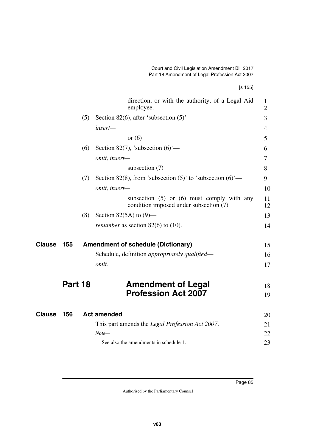[s 155]

|               |         |     | direction, or with the authority, of a Legal Aid<br>employee.                            | 1<br>$\overline{2}$ |
|---------------|---------|-----|------------------------------------------------------------------------------------------|---------------------|
|               |         | (5) | Section 82(6), after 'subsection $(5)$ '—                                                | 3                   |
|               |         |     | insert-                                                                                  | $\overline{4}$      |
|               |         |     | or $(6)$                                                                                 | 5                   |
|               |         | (6) | Section 82(7), 'subsection $(6)$ '—                                                      | 6                   |
|               |         |     | omit, insert-                                                                            | 7                   |
|               |         |     | subsection $(7)$                                                                         | 8                   |
|               |         | (7) | Section 82(8), from 'subsection $(5)'$ to 'subsection $(6)'$ —                           | 9                   |
|               |         |     | omit, insert-                                                                            | 10                  |
|               |         |     | subsection $(5)$ or $(6)$ must comply with any<br>condition imposed under subsection (7) | 11<br>12            |
|               |         | (8) | Section 82(5A) to $(9)$ —                                                                | 13                  |
|               |         |     | <i>renumber</i> as section $82(6)$ to $(10)$ .                                           | 14                  |
| Clause        | 155     |     | <b>Amendment of schedule (Dictionary)</b>                                                | 15                  |
|               |         |     | Schedule, definition <i>appropriately qualified</i> —                                    | 16                  |
|               |         |     | omit.                                                                                    | 17                  |
|               | Part 18 |     | <b>Amendment of Legal</b>                                                                | 18                  |
|               |         |     | <b>Profession Act 2007</b>                                                               | 19                  |
| <b>Clause</b> | 156     |     | <b>Act amended</b>                                                                       | 20                  |
|               |         |     | This part amends the <i>Legal Profession Act 2007</i> .                                  | 21                  |
|               |         |     | $Note-$                                                                                  | 22                  |
|               |         |     | See also the amendments in schedule 1.                                                   | 23                  |
|               |         |     |                                                                                          |                     |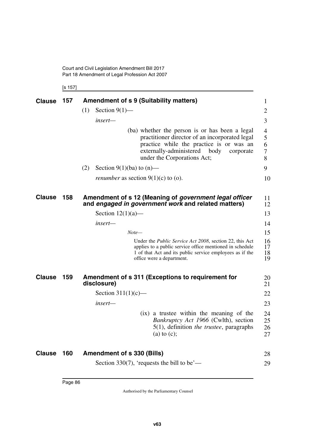Court and Civil Legislation Amendment Bill 2017 Part 18 Amendment of Legal Profession Act 2007

[s 157]

| <b>Clause</b> | 157 | <b>Amendment of s 9 (Suitability matters)</b><br>$\mathbf{1}$                                                                                                                                                                                     |
|---------------|-----|---------------------------------------------------------------------------------------------------------------------------------------------------------------------------------------------------------------------------------------------------|
|               |     | Section $9(1)$ —<br>(1)<br>$\overline{2}$                                                                                                                                                                                                         |
|               |     | 3<br>insert—                                                                                                                                                                                                                                      |
|               |     | (ba) whether the person is or has been a legal<br>4<br>practitioner director of an incorporated legal<br>5<br>practice while the practice is or was an<br>6<br>externally-administered body<br>7<br>corporate<br>under the Corporations Act;<br>8 |
|               |     | (2)<br>Section 9(1)(ba) to $(n)$ —<br>9                                                                                                                                                                                                           |
|               |     | <i>renumber</i> as section $9(1)(c)$ to (o).<br>10                                                                                                                                                                                                |
| <b>Clause</b> | 158 | Amendment of s 12 (Meaning of <i>government legal officer</i><br>11<br>and engaged in government work and related matters)<br>12                                                                                                                  |
|               |     | Section $12(1)(a)$ —<br>13                                                                                                                                                                                                                        |
|               |     | insert—<br>14                                                                                                                                                                                                                                     |
|               |     | 15<br>$Note-$                                                                                                                                                                                                                                     |
|               |     | 16<br>Under the <i>Public Service Act 2008</i> , section 22, this Act<br>17<br>applies to a public service office mentioned in schedule<br>18<br>1 of that Act and its public service employees as if the<br>19<br>office were a department.      |
| <b>Clause</b> | 159 | Amendment of s 311 (Exceptions to requirement for<br>20<br>disclosure)<br>21                                                                                                                                                                      |
|               |     | Section $311(1)(c)$ —<br>22                                                                                                                                                                                                                       |
|               |     | 23<br>insert—                                                                                                                                                                                                                                     |
|               |     | (ix) a trustee within the meaning of the<br>24<br>Bankruptcy Act 1966 (Cwlth), section<br>25<br>$5(1)$ , definition <i>the trustee</i> , paragraphs<br>26<br>$(a)$ to $(c)$ ;<br>27                                                               |
| <b>Clause</b> | 160 | Amendment of s 330 (Bills)<br>28                                                                                                                                                                                                                  |
|               |     | Section 330(7), 'requests the bill to be'—<br>29                                                                                                                                                                                                  |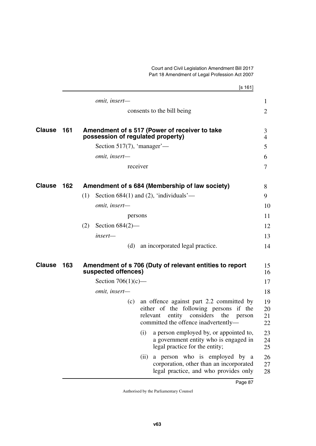|               |     | [s 161]                                                                                                                                                                      |                      |
|---------------|-----|------------------------------------------------------------------------------------------------------------------------------------------------------------------------------|----------------------|
|               |     | omit, insert-                                                                                                                                                                | 1                    |
|               |     | consents to the bill being                                                                                                                                                   | $\overline{2}$       |
| <b>Clause</b> | 161 | Amendment of s 517 (Power of receiver to take<br>possession of regulated property)                                                                                           | 3<br>$\overline{4}$  |
|               |     | Section 517(7), 'manager'—                                                                                                                                                   | 5                    |
|               |     | omit, insert-                                                                                                                                                                | 6                    |
|               |     | receiver                                                                                                                                                                     | $\tau$               |
| <b>Clause</b> | 162 | Amendment of s 684 (Membership of law society)                                                                                                                               | 8                    |
|               |     | Section $684(1)$ and (2), 'individuals'—<br>(1)                                                                                                                              | 9                    |
|               |     | omit, insert-                                                                                                                                                                | 10                   |
|               |     | persons                                                                                                                                                                      | 11                   |
|               |     | (2)<br>Section $684(2)$ —                                                                                                                                                    | 12                   |
|               |     | insert-                                                                                                                                                                      | 13                   |
|               |     | an incorporated legal practice.<br>(d)                                                                                                                                       | 14                   |
| <b>Clause</b> | 163 | Amendment of s 706 (Duty of relevant entities to report<br>suspected offences)                                                                                               | 15<br>16             |
|               |     | Section $706(1)(c)$ —                                                                                                                                                        | 17                   |
|               |     | omit, insert-                                                                                                                                                                | 18                   |
|               |     | an offence against part 2.2 committed by<br>(c)<br>either of the following persons if the<br>relevant entity considers the<br>person<br>committed the offence inadvertently- | 19<br>20<br>21<br>22 |
|               |     | (i)<br>a person employed by, or appointed to,<br>a government entity who is engaged in<br>legal practice for the entity;                                                     | 23<br>24<br>25       |
|               |     | a person who is employed by a<br>(ii)<br>corporation, other than an incorporated<br>legal practice, and who provides only                                                    | 26<br>27<br>28       |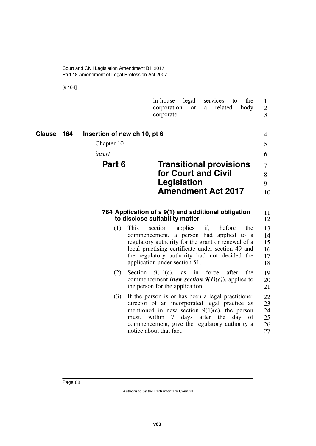Court and Civil Legislation Amendment Bill 2017 Part 18 Amendment of Legal Profession Act 2007

[s 164]

|               |                                                          | legal<br>services<br>the<br>in-house<br>to<br>body<br>corporation<br>related<br><b>or</b><br>a<br>corporate.                                                                                                                                                                                                                                                                          | 1<br>$\overline{2}$<br>3                     |
|---------------|----------------------------------------------------------|---------------------------------------------------------------------------------------------------------------------------------------------------------------------------------------------------------------------------------------------------------------------------------------------------------------------------------------------------------------------------------------|----------------------------------------------|
| 164<br>Clause | Insertion of new ch 10, pt 6<br>Chapter $10-$<br>insert— |                                                                                                                                                                                                                                                                                                                                                                                       | 4<br>5<br>6                                  |
|               | Part 6                                                   | <b>Transitional provisions</b><br>for Court and Civil<br>Legislation<br><b>Amendment Act 2017</b>                                                                                                                                                                                                                                                                                     | $\overline{7}$<br>8<br>9<br>10               |
|               | (1)                                                      | 784 Application of s 9(1) and additional obligation<br>to disclose suitability matter<br>if,<br>This<br>section<br>applies<br>the<br>before<br>commencement, a person had applied<br>to a<br>regulatory authority for the grant or renewal of a<br>local practising certificate under section 49 and<br>the regulatory authority had not decided the<br>application under section 51. | 11<br>12<br>13<br>14<br>15<br>16<br>17<br>18 |
|               | (2)                                                      | Section<br>$9(1)(c)$ ,<br>force<br>after<br>as<br>in<br>the<br>commencement ( <i>new section</i> $9(1)(c)$ ), applies to<br>the person for the application.                                                                                                                                                                                                                           | 19<br>20<br>21                               |
|               | (3)                                                      | If the person is or has been a legal practitioner<br>director of an incorporated legal practice as<br>mentioned in new section $9(1)(c)$ , the person<br>within 7<br>after the<br>days<br>day<br>must,<br>- of<br>commencement, give the regulatory authority a<br>notice about that fact.                                                                                            | 22<br>23<br>24<br>25<br>26<br>27             |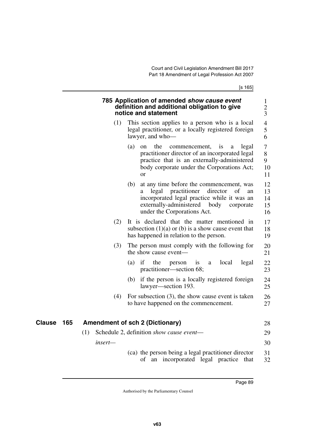[s 165]

| 785 Application of amended show cause event  |
|----------------------------------------------|
| definition and additional obligation to give |
| notice and statement                         |

- (1) This section applies to a person who is a local legal practitioner, or a locally registered foreign lawyer, and who—
	- (a) on the commencement, is a legal practitioner director of an incorporated legal practice that is an externally-administered body corporate under the Corporations Act; or 7 8 9 10 11
	- (b) at any time before the commencement, was a legal practitioner director of an incorporated legal practice while it was an externally-administered body corporate under the Corporations Act. 12 13 14 15 16
- (2) It is declared that the matter mentioned in subsection  $(1)(a)$  or  $(b)$  is a show cause event that has happened in relation to the person. 17 18 19
- (3) The person must comply with the following for the show cause event— 20 21
	- (a) if the person is a local legal practitioner—section 68; 22 23
	- (b) if the person is a locally registered foreign lawyer—section 193. 24 25
- (4) For subsection (3), the show cause event is taken to have happened on the commencement. 26 27

| Clause | 165 | <b>Amendment of sch 2 (Dictionary)</b>              | 28 |
|--------|-----|-----------------------------------------------------|----|
|        |     | Schedule 2, definition <i>show cause event</i> —    | 29 |
|        |     | $insert-$                                           | 30 |
|        |     | (ca) the person being a legal practitioner director | 31 |

of an incorporated legal practice that 32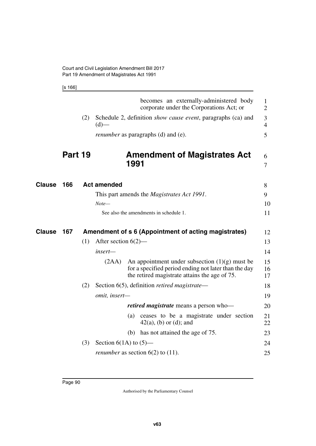[s 166]

|               |         |     |                            | becomes an externally-administered body<br>corporate under the Corporations Act; or                                                                       | $\mathbf{1}$<br>$\overline{2}$ |
|---------------|---------|-----|----------------------------|-----------------------------------------------------------------------------------------------------------------------------------------------------------|--------------------------------|
|               |         | (2) | $(d)$ —                    | Schedule 2, definition <i>show cause event</i> , paragraphs (ca) and                                                                                      | 3<br>$\overline{4}$            |
|               |         |     |                            | <i>renumber</i> as paragraphs (d) and (e).                                                                                                                | 5                              |
|               | Part 19 |     |                            | <b>Amendment of Magistrates Act</b><br>1991                                                                                                               | 6<br>$\overline{7}$            |
| <b>Clause</b> | 166     |     | <b>Act amended</b>         |                                                                                                                                                           | 8                              |
|               |         |     |                            | This part amends the <i>Magistrates Act 1991</i> .                                                                                                        | 9                              |
|               |         |     | $Note-$                    |                                                                                                                                                           | 10                             |
|               |         |     |                            | See also the amendments in schedule 1.                                                                                                                    | 11                             |
| <b>Clause</b> | 167     |     |                            | Amendment of s 6 (Appointment of acting magistrates)                                                                                                      | 12                             |
|               |         | (1) | After section $6(2)$ —     |                                                                                                                                                           | 13                             |
|               |         |     | insert-                    |                                                                                                                                                           | 14                             |
|               |         |     | (2AA)                      | An appointment under subsection $(1)(g)$ must be<br>for a specified period ending not later than the day<br>the retired magistrate attains the age of 75. | 15<br>16<br>17                 |
|               |         | (2) |                            | Section 6(5), definition retired magistrate—                                                                                                              | 18                             |
|               |         |     | omit, insert-              |                                                                                                                                                           | 19                             |
|               |         |     |                            | <i>retired magistrate</i> means a person who-                                                                                                             | 20                             |
|               |         |     |                            | ceases to be a magistrate under section<br>(a)<br>$42(a)$ , (b) or (d); and                                                                               | 21<br>22                       |
|               |         |     |                            | has not attained the age of 75.<br>(b)                                                                                                                    | 23                             |
|               |         | (3) | Section $6(1A)$ to $(5)$ — |                                                                                                                                                           | 24                             |
|               |         |     |                            | <i>renumber</i> as section $6(2)$ to $(11)$ .                                                                                                             | 25                             |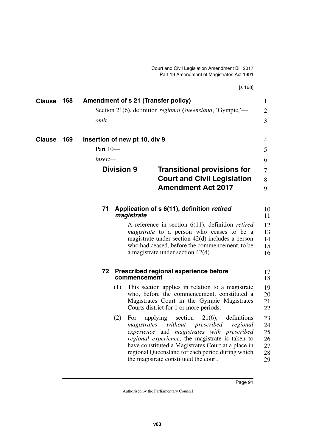[s 168]

| <b>Clause</b> | 168 | Amendment of s 21 (Transfer policy)<br><i>omit.</i>                       |                                    | Section 21(6), definition <i>regional Queensland</i> , 'Gympie,'—                                                                                                                                                                                                                                                                                                                                                                                                                                                                                                             | $\mathbf{1}$<br>$\overline{2}$<br>3                                        |
|---------------|-----|---------------------------------------------------------------------------|------------------------------------|-------------------------------------------------------------------------------------------------------------------------------------------------------------------------------------------------------------------------------------------------------------------------------------------------------------------------------------------------------------------------------------------------------------------------------------------------------------------------------------------------------------------------------------------------------------------------------|----------------------------------------------------------------------------|
| <b>Clause</b> | 169 | Insertion of new pt 10, div 9<br>Part 10-<br>insert—<br><b>Division 9</b> |                                    | <b>Transitional provisions for</b><br><b>Court and Civil Legislation</b><br><b>Amendment Act 2017</b>                                                                                                                                                                                                                                                                                                                                                                                                                                                                         |                                                                            |
|               |     | 71                                                                        | magistrate                         | Application of s 6(11), definition retired<br>A reference in section $6(11)$ , definition <i>retired</i><br><i>magistrate</i> to a person who ceases to be a<br>magistrate under section $42(d)$ includes a person<br>who had ceased, before the commencement, to be<br>a magistrate under section $42(d)$ .                                                                                                                                                                                                                                                                  | 9<br>10<br>11<br>12<br>13<br>14<br>15<br>16                                |
|               |     | 72<br>(1)<br>(2)                                                          | commencement<br>For<br>magistrates | Prescribed regional experience before<br>This section applies in relation to a magistrate<br>who, before the commencement, constituted a<br>Magistrates Court in the Gympie Magistrates<br>Courts district for 1 or more periods.<br>section<br>$21(6)$ ,<br>definitions<br>applying<br>without<br>prescribed<br>regional<br>experience and magistrates with prescribed<br>regional experience, the magistrate is taken to<br>have constituted a Magistrates Court at a place in<br>regional Queensland for each period during which<br>the magistrate constituted the court. | 17<br>18<br>19<br>20<br>21<br>22<br>23<br>24<br>25<br>26<br>27<br>28<br>29 |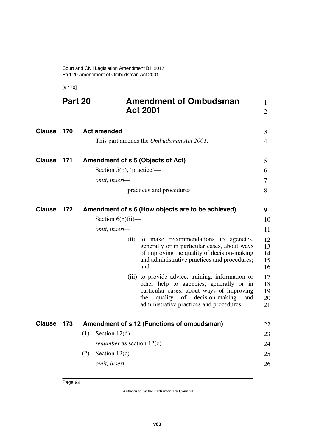[s 170]

|               | Part 20 |     |                                   | <b>Amendment of Ombudsman</b><br><b>Act 2001</b>                                                                                                                                                                                        | $\mathbf{1}$<br>$\overline{2}$ |
|---------------|---------|-----|-----------------------------------|-----------------------------------------------------------------------------------------------------------------------------------------------------------------------------------------------------------------------------------------|--------------------------------|
| <b>Clause</b> | 170     |     | <b>Act amended</b>                |                                                                                                                                                                                                                                         | 3                              |
|               |         |     |                                   | This part amends the Ombudsman Act 2001.                                                                                                                                                                                                | $\overline{4}$                 |
| <b>Clause</b> | 171     |     |                                   | Amendment of s 5 (Objects of Act)                                                                                                                                                                                                       | 5                              |
|               |         |     | Section $5(b)$ , 'practice'—      |                                                                                                                                                                                                                                         | 6                              |
|               |         |     | omit, insert-                     |                                                                                                                                                                                                                                         | 7                              |
|               |         |     |                                   | practices and procedures                                                                                                                                                                                                                | 8                              |
| <b>Clause</b> | 172     |     |                                   | Amendment of s 6 (How objects are to be achieved)                                                                                                                                                                                       | 9                              |
|               |         |     | Section $6(b)(ii)$ —              |                                                                                                                                                                                                                                         | 10                             |
|               |         |     | omit, insert-                     |                                                                                                                                                                                                                                         | 11                             |
|               |         |     | (ii)                              | to make recommendations to agencies,<br>generally or in particular cases, about ways<br>of improving the quality of decision-making<br>and administrative practices and procedures;<br>and                                              | 12<br>13<br>14<br>15<br>16     |
|               |         |     |                                   | (iii) to provide advice, training, information or<br>other help to agencies, generally or in<br>particular cases, about ways of improving<br>decision-making<br>quality<br>of<br>the<br>and<br>administrative practices and procedures. | 17<br>18<br>19<br>20<br>21     |
| <b>Clause</b> | 173     |     |                                   | Amendment of s 12 (Functions of ombudsman)                                                                                                                                                                                              | 22                             |
|               |         | (1) | Section $12(d)$ —                 |                                                                                                                                                                                                                                         | 23                             |
|               |         |     | <i>renumber</i> as section 12(e). |                                                                                                                                                                                                                                         | 24                             |
|               |         | (2) | Section $12(c)$ —                 |                                                                                                                                                                                                                                         | 25                             |
|               |         |     | omit, insert-                     |                                                                                                                                                                                                                                         | 26                             |
|               |         |     |                                   |                                                                                                                                                                                                                                         |                                |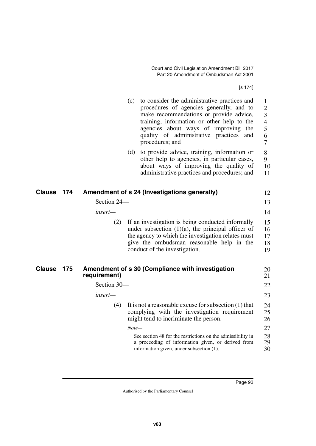[s 174]

|               |     |              | (c)     | to consider the administrative practices and<br>procedures of agencies generally, and to<br>make recommendations or provide advice,<br>training, information or other help to the<br>agencies about ways of improving the<br>quality of administrative practices<br>and<br>procedures; and | 1<br>$\overline{2}$<br>3<br>$\overline{4}$<br>5<br>6<br>7 |
|---------------|-----|--------------|---------|--------------------------------------------------------------------------------------------------------------------------------------------------------------------------------------------------------------------------------------------------------------------------------------------|-----------------------------------------------------------|
|               |     |              | (d)     | to provide advice, training, information or<br>other help to agencies, in particular cases,<br>about ways of improving the quality of<br>administrative practices and procedures; and                                                                                                      | 8<br>9<br>10<br>11                                        |
| <b>Clause</b> | 174 |              |         | Amendment of s 24 (Investigations generally)                                                                                                                                                                                                                                               | 12                                                        |
|               |     | Section 24-  |         |                                                                                                                                                                                                                                                                                            | 13                                                        |
|               |     | insert—      |         |                                                                                                                                                                                                                                                                                            | 14                                                        |
|               |     | (2)          |         | If an investigation is being conducted informally<br>under subsection $(1)(a)$ , the principal officer of<br>the agency to which the investigation relates must<br>give the ombudsman reasonable help in the<br>conduct of the investigation.                                              | 15<br>16<br>17<br>18<br>19                                |
| <b>Clause</b> | 175 | requirement) |         | Amendment of s 30 (Compliance with investigation                                                                                                                                                                                                                                           | 20<br>21                                                  |
|               |     | Section 30-  |         |                                                                                                                                                                                                                                                                                            | 22                                                        |
|               |     | insert-      |         |                                                                                                                                                                                                                                                                                            | 23                                                        |
|               |     | (4)          | $Note-$ | It is not a reasonable excuse for subsection $(1)$ that<br>complying with the investigation requirement<br>might tend to incriminate the person.                                                                                                                                           | 24<br>25<br>26<br>27                                      |
|               |     |              |         | See section 48 for the restrictions on the admissibility in<br>a proceeding of information given, or derived from<br>information given, under subsection (1).                                                                                                                              | 28<br>29<br>30                                            |
|               |     |              |         |                                                                                                                                                                                                                                                                                            |                                                           |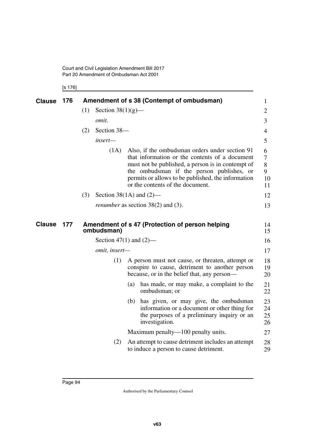[s 176]

| Clause        | 176 |     |                                         |     | Amendment of s 38 (Contempt of ombudsman)                                                                                                                                                                                                                                                    | 1                            |
|---------------|-----|-----|-----------------------------------------|-----|----------------------------------------------------------------------------------------------------------------------------------------------------------------------------------------------------------------------------------------------------------------------------------------------|------------------------------|
|               |     | (1) | Section $38(1)(g)$ —                    |     |                                                                                                                                                                                                                                                                                              | 2                            |
|               |     |     | omit.                                   |     |                                                                                                                                                                                                                                                                                              | 3                            |
|               |     | (2) | Section 38-                             |     |                                                                                                                                                                                                                                                                                              | 4                            |
|               |     |     | insert-                                 |     |                                                                                                                                                                                                                                                                                              | 5                            |
|               |     |     | (1A)                                    |     | Also, if the ombudsman orders under section 91<br>that information or the contents of a document<br>must not be published, a person is in contempt of<br>the ombudsman if the person publishes, or<br>permits or allows to be published, the information<br>or the contents of the document. | 6<br>7<br>8<br>9<br>10<br>11 |
|               |     | (3) | Section 38(1A) and $(2)$ —              |     |                                                                                                                                                                                                                                                                                              | 12                           |
|               |     |     |                                         |     | <i>renumber</i> as section $38(2)$ and (3).                                                                                                                                                                                                                                                  | 13                           |
| <b>Clause</b> | 177 |     | ombudsman)<br>Section 47(1) and $(2)$ — |     | Amendment of s 47 (Protection of person helping                                                                                                                                                                                                                                              | 14<br>15<br>16               |
|               |     |     |                                         |     |                                                                                                                                                                                                                                                                                              |                              |
|               |     |     | omit, insert-                           |     |                                                                                                                                                                                                                                                                                              | 17                           |
|               |     |     | (1)                                     |     | A person must not cause, or threaten, attempt or<br>conspire to cause, detriment to another person<br>because, or in the belief that, any person—                                                                                                                                            | 18<br>19<br>20               |
|               |     |     |                                         | (a) | has made, or may make, a complaint to the<br>ombudsman; or                                                                                                                                                                                                                                   | 21<br>22                     |
|               |     |     |                                         | (b) | has given, or may give, the ombudsman<br>information or a document or other thing for<br>the purposes of a preliminary inquiry or an<br>investigation.                                                                                                                                       | 23<br>24<br>25<br>26         |
|               |     |     |                                         |     | Maximum penalty—100 penalty units.                                                                                                                                                                                                                                                           | 27                           |
|               |     |     | (2)                                     |     | An attempt to cause detriment includes an attempt<br>to induce a person to cause detriment.                                                                                                                                                                                                  | 28<br>29                     |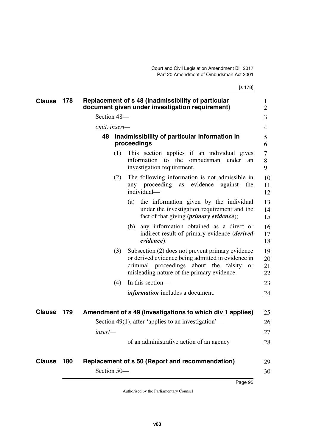| <b>Clause</b> | 178 |               | Replacement of s 48 (Inadmissibility of particular<br>document given under investigation requirement)                                                                                                      | $\mathbf{1}$<br>$\overline{2}$ |
|---------------|-----|---------------|------------------------------------------------------------------------------------------------------------------------------------------------------------------------------------------------------------|--------------------------------|
|               |     | Section 48-   |                                                                                                                                                                                                            | 3                              |
|               |     | omit, insert- |                                                                                                                                                                                                            | 4                              |
|               |     | 48            | Inadmissibility of particular information in<br>proceedings                                                                                                                                                | 5<br>6                         |
|               |     | (1)           | This section applies if an individual gives<br>the<br>ombudsman<br>information to<br>under<br>an<br>investigation requirement.                                                                             | 7<br>8<br>9                    |
|               |     | (2)           | The following information is not admissible in<br>proceeding<br>evidence<br>against<br>the<br>as<br>any<br>individual-                                                                                     | 10<br>11<br>12                 |
|               |     |               | the information given by the individual<br>(a)<br>under the investigation requirement and the<br>fact of that giving ( <i>primary evidence</i> );                                                          | 13<br>14<br>15                 |
|               |     |               | any information obtained as a direct or<br>(b)<br>indirect result of primary evidence ( <i>derived</i><br>evidence).                                                                                       | 16<br>17<br>18                 |
|               |     | (3)           | Subsection (2) does not prevent primary evidence<br>or derived evidence being admitted in evidence in<br>criminal proceedings about the falsity<br><b>or</b><br>misleading nature of the primary evidence. | 19<br>20<br>21<br>22           |
|               |     | (4)           | In this section-                                                                                                                                                                                           | 23                             |
|               |     |               | <i>information</i> includes a document.                                                                                                                                                                    | 24                             |
| <b>Clause</b> | 179 |               | Amendment of s 49 (Investigations to which div 1 applies)                                                                                                                                                  | 25                             |
|               |     |               | Section 49(1), after 'applies to an investigation'—                                                                                                                                                        | 26                             |
|               |     | insert—       |                                                                                                                                                                                                            | 27                             |
|               |     |               | of an administrative action of an agency                                                                                                                                                                   | 28                             |
| <b>Clause</b> | 180 |               | Replacement of s 50 (Report and recommendation)                                                                                                                                                            | 29                             |
|               |     | Section 50-   |                                                                                                                                                                                                            | 30                             |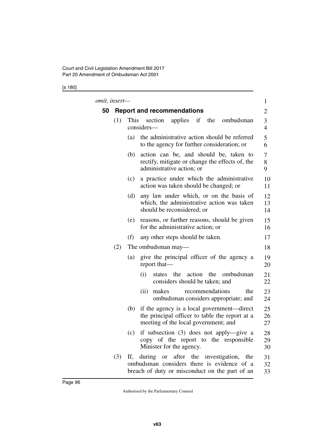[s 180]

|    | omit, insert— |                                                                                                                                             | $\mathbf{1}$        |
|----|---------------|---------------------------------------------------------------------------------------------------------------------------------------------|---------------------|
| 50 |               | <b>Report and recommendations</b>                                                                                                           | 2                   |
|    | (1)           | applies if the ombudsman<br>This<br>section<br>considers—                                                                                   | 3<br>$\overline{4}$ |
|    |               | the administrative action should be referred<br>(a)<br>to the agency for further consideration; or                                          | 6                   |
|    |               | action can be, and should be, taken to<br>(b)<br>rectify, mitigate or change the effects of, the<br>administrative action; or               | 7<br>9              |
|    |               | a practice under which the administrative<br>(c)<br>action was taken should be changed; or                                                  |                     |
|    |               | any law under which, or on the basis of<br>(d)<br>which, the administrative action was taken<br>should be reconsidered; or                  |                     |
|    |               | reasons, or further reasons, should be given<br>(e)<br>for the administrative action; or                                                    |                     |
|    |               | (f)<br>any other steps should be taken.                                                                                                     |                     |
|    | (2)           | The ombudsman may—                                                                                                                          |                     |
|    |               | give the principal officer of the agency a<br>(a)<br>report that—                                                                           |                     |
|    |               | states the action the<br>ombudsman<br>(i)<br>considers should be taken; and                                                                 |                     |
|    |               | recommendations<br>the<br>(ii)<br>makes<br>ombudsman considers appropriate; and                                                             |                     |
|    |               | if the agency is a local government—direct<br>(b)<br>the principal officer to table the report at a<br>meeting of the local government; and |                     |
|    |               | if subsection (3) does not apply—give a<br>(c)<br>copy of the report to the responsible<br>Minister for the agency.                         |                     |
|    | (3)           | If, during or after the investigation, the<br>ombudsman considers there is evidence of a<br>breach of duty or misconduct on the part of an  |                     |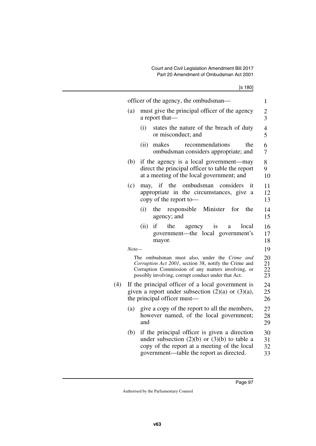|--|--|

|       | officer of the agency, the ombudsman-                                                                                                                                                                              |
|-------|--------------------------------------------------------------------------------------------------------------------------------------------------------------------------------------------------------------------|
| (a)   | must give the principal officer of the agency<br>a report that—                                                                                                                                                    |
|       | (i)<br>states the nature of the breach of duty<br>or misconduct; and                                                                                                                                               |
|       | (ii)<br>makes<br>recommendations<br>the<br>ombudsman considers appropriate; and                                                                                                                                    |
| (b)   | if the agency is a local government—may<br>direct the principal officer to table the report<br>at a meeting of the local government; and                                                                           |
| (c)   | may, if the<br>ombudsman<br>considers<br>it<br>appropriate in the circumstances, give<br>a<br>copy of the report to-                                                                                               |
|       | Minister<br>(i)<br>the<br>responsible<br>for<br>the<br>agency; and                                                                                                                                                 |
|       | if<br>(ii)<br>the<br>agency<br>local<br>1S<br>a<br>government—the local government's<br>mayor.                                                                                                                     |
| Note— |                                                                                                                                                                                                                    |
|       | The ombudsman must also, under the Crime and<br>Corruption Act 2001, section 38, notify the Crime and<br>Corruption Commission of any matters involving, or<br>possibly involving, corrupt conduct under that Act. |
|       | If the principal officer of a local government is<br>given a report under subsection $(2)(a)$ or $(3)(a)$ ,<br>the principal officer must—                                                                         |
| (a)   | give a copy of the report to all the members,<br>however named, of the local government;<br>and                                                                                                                    |
| (b)   | if the principal officer is given a direction<br>under subsection $(2)(b)$ or $(3)(b)$ to table a<br>copy of the report at a meeting of the local<br>government—table the report as directed.                      |
|       |                                                                                                                                                                                                                    |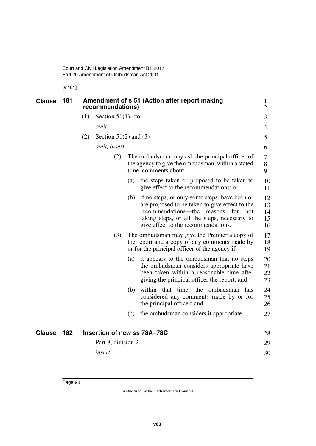[s 181]

| <b>Clause</b> | 181 | Amendment of s 51 (Action after report making<br>recommendations) |                             |                      |                                                                                                                                                                                                                                     |                            |
|---------------|-----|-------------------------------------------------------------------|-----------------------------|----------------------|-------------------------------------------------------------------------------------------------------------------------------------------------------------------------------------------------------------------------------------|----------------------------|
|               |     | (1)                                                               |                             | Section 51(1), 'to'— |                                                                                                                                                                                                                                     |                            |
|               |     |                                                                   | omit.                       |                      |                                                                                                                                                                                                                                     | 4                          |
|               |     | (2)                                                               | Section 51(2) and $(3)$ —   |                      |                                                                                                                                                                                                                                     | 5                          |
|               |     |                                                                   | omit, insert-               |                      |                                                                                                                                                                                                                                     | 6                          |
|               |     |                                                                   | (2)                         |                      | The ombudsman may ask the principal officer of<br>the agency to give the ombudsman, within a stated<br>time, comments about—                                                                                                        | 7<br>8<br>9                |
|               |     |                                                                   |                             | (a)                  | the steps taken or proposed to be taken to<br>give effect to the recommendations; or                                                                                                                                                | 10<br>11                   |
|               |     |                                                                   |                             | (b)                  | if no steps, or only some steps, have been or<br>are proposed to be taken to give effect to the<br>recommendations—the reasons<br>for<br>not<br>taking steps, or all the steps, necessary to<br>give effect to the recommendations. | 12<br>13<br>14<br>15<br>16 |
|               |     |                                                                   | (3)                         |                      | The ombudsman may give the Premier a copy of<br>the report and a copy of any comments made by<br>or for the principal officer of the agency if—                                                                                     | 17<br>18<br>19             |
|               |     |                                                                   |                             | $\left( a\right)$    | it appears to the ombudsman that no steps<br>the ombudsman considers appropriate have<br>been taken within a reasonable time after<br>giving the principal officer the report; and                                                  | 20<br>21<br>22<br>23       |
|               |     |                                                                   |                             | (b)                  | within that time, the ombudsman has<br>considered any comments made by or for<br>the principal officer; and                                                                                                                         | 24<br>25<br>26             |
|               |     |                                                                   |                             | (c)                  | the ombudsman considers it appropriate.                                                                                                                                                                                             | 27                         |
| <b>Clause</b> | 182 |                                                                   | Insertion of new ss 78A-78C |                      |                                                                                                                                                                                                                                     | 28                         |
|               |     |                                                                   | Part 8, division 2-         |                      |                                                                                                                                                                                                                                     | 29                         |
|               |     |                                                                   | insert—                     |                      |                                                                                                                                                                                                                                     | 30                         |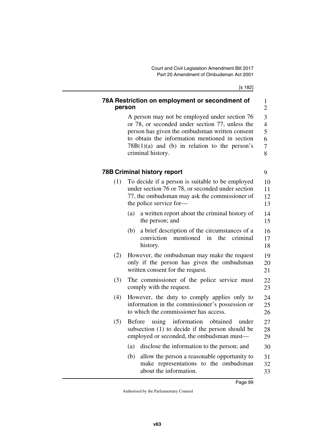[s 182]

1 2

9

21

## **78A Restriction on employment or secondment of person**

A person may not be employed under section 76 or 78, or seconded under section 77, unless the person has given the ombudsman written consent to obtain the information mentioned in section 78B(1)(a) and (b) in relation to the person's criminal history. 3 4 5 6 7 8

## **78B Criminal history report**

- (1) To decide if a person is suitable to be employed under section 76 or 78, or seconded under section 77, the ombudsman may ask the commissioner of the police service for— (a) a written report about the criminal history of the person; and (b) a brief description of the circumstances of a conviction mentioned in the criminal history. (2) However, the ombudsman may make the request only if the person has given the ombudsman 10 11 12 13 14 15 16 17 18 19 20
- (3) The commissioner of the police service must comply with the request. 22 23

written consent for the request.

- (4) However, the duty to comply applies only to information in the commissioner's possession or to which the commissioner has access. 24 25 26
- (5) Before using information obtained under subsection (1) to decide if the person should be employed or seconded, the ombudsman must— 27 28 29
	- (a) disclose the information to the person; and 30
	- (b) allow the person a reasonable opportunity to make representations to the ombudsman about the information. 31 32 33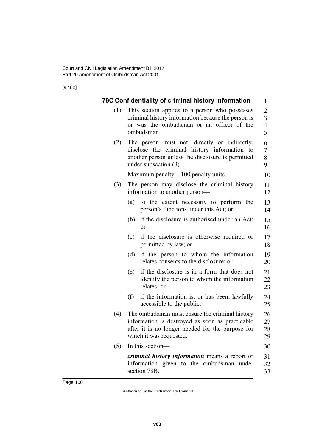[s 182]

|     | 78C Confidentiality of criminal history information                                                                                                                              | $\mathbf{1}$                                                      |
|-----|----------------------------------------------------------------------------------------------------------------------------------------------------------------------------------|-------------------------------------------------------------------|
| (1) | This section applies to a person who possesses<br>criminal history information because the person is<br>or was the ombudsman or an officer of the<br>ombudsman.                  | $\overline{2}$<br>$\overline{3}$<br>$\overline{\mathcal{A}}$<br>5 |
| (2) | The person must not, directly or indirectly,<br>disclose the criminal history information to<br>another person unless the disclosure is permitted<br>under subsection $(3)$ .    | 6<br>7<br>8<br>9                                                  |
|     | Maximum penalty—100 penalty units.                                                                                                                                               | 10                                                                |
| (3) | The person may disclose the criminal history<br>information to another person—                                                                                                   | 11<br>12                                                          |
|     | (a)<br>to the extent necessary to perform the<br>person's functions under this Act; or                                                                                           | 13<br>14                                                          |
|     | if the disclosure is authorised under an Act;<br>(b)<br><sub>or</sub>                                                                                                            | 15<br>16                                                          |
|     | (c)<br>if the disclosure is otherwise required or<br>permitted by law; or                                                                                                        | 17<br>18                                                          |
|     | if the person to whom the information<br>(d)<br>relates consents to the disclosure; or                                                                                           | 19<br>20                                                          |
|     | if the disclosure is in a form that does not<br>(e)<br>identify the person to whom the information<br>relates; or                                                                | 21<br>22<br>23                                                    |
|     | (f)<br>if the information is, or has been, lawfully<br>accessible to the public.                                                                                                 | 24<br>25                                                          |
| (4) | The ombudsman must ensure the criminal history<br>information is destroyed as soon as practicable<br>after it is no longer needed for the purpose for<br>which it was requested. | 26<br>27<br>28<br>29                                              |
| (5) | In this section-                                                                                                                                                                 | 30                                                                |
|     | <i>criminal history information</i> means a report or<br>information given to the ombudsman under<br>section 78B.                                                                | 31<br>32<br>33                                                    |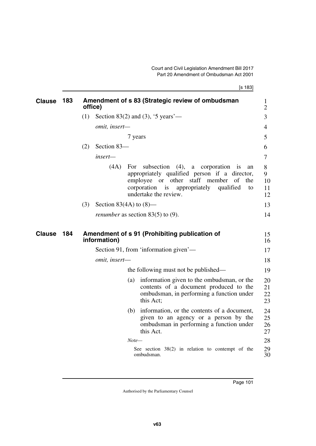[s 183]

| <b>Clause</b> | 183 | office) |                           |         | Amendment of s 83 (Strategic review of ombudsman                                                                                                                                                                                  | 1<br>$\overline{2}$      |
|---------------|-----|---------|---------------------------|---------|-----------------------------------------------------------------------------------------------------------------------------------------------------------------------------------------------------------------------------------|--------------------------|
|               |     | (1)     |                           |         | Section 83(2) and (3), '5 years'—                                                                                                                                                                                                 | 3                        |
|               |     |         | omit, insert-             |         |                                                                                                                                                                                                                                   | 4                        |
|               |     |         |                           | 7 years |                                                                                                                                                                                                                                   | 5                        |
|               |     | (2)     | Section 83-               |         |                                                                                                                                                                                                                                   | 6                        |
|               |     |         | insert-                   |         |                                                                                                                                                                                                                                   | 7                        |
|               |     |         | (4A)                      | For     | subsection $(4)$ ,<br>corporation<br>a<br>1S<br>an<br>appropriately qualified person if a director,<br>employee or other staff member of<br>the<br>corporation<br>is<br>appropriately<br>qualified<br>to<br>undertake the review. | 8<br>9<br>10<br>11<br>12 |
|               |     | (3)     | Section 83(4A) to $(8)$ — |         |                                                                                                                                                                                                                                   | 13                       |
|               |     |         |                           |         | <i>renumber</i> as section $83(5)$ to (9).                                                                                                                                                                                        | 14                       |
| Clause        | 184 |         | information)              |         | Amendment of s 91 (Prohibiting publication of                                                                                                                                                                                     | 15<br>16                 |
|               |     |         |                           |         | Section 91, from 'information given'—                                                                                                                                                                                             | 17                       |
|               |     |         | omit, insert-             |         |                                                                                                                                                                                                                                   | 18                       |
|               |     |         |                           |         | the following must not be published—                                                                                                                                                                                              | 19                       |
|               |     |         |                           | (a)     | information given to the ombudsman, or the<br>contents of a document produced to the<br>ombudsman, in performing a function under<br>this Act;                                                                                    | 20<br>21<br>22<br>23     |
|               |     |         |                           | (b)     | information, or the contents of a document,<br>given to an agency or a person by the<br>ombudsman in performing a function under<br>this Act.                                                                                     | 24<br>25<br>26<br>27     |
|               |     |         |                           | $Note-$ |                                                                                                                                                                                                                                   | 28                       |
|               |     |         |                           |         | See section $38(2)$ in relation to contempt of the<br>ombudsman.                                                                                                                                                                  | 29<br>30                 |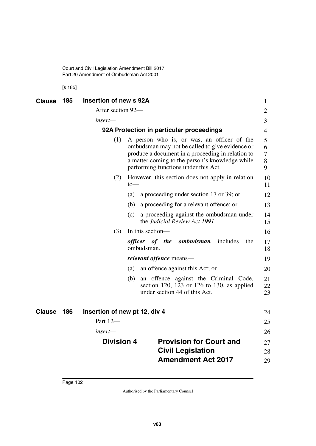Court and Civil Legislation Amendment Bill 2017 Part 20 Amendment of Ombudsman Act 2001

[s 185]

| Clause        | 185 | Insertion of new s 92A |                                                                                                                                                                                                                                               | $\mathbf{1}$          |
|---------------|-----|------------------------|-----------------------------------------------------------------------------------------------------------------------------------------------------------------------------------------------------------------------------------------------|-----------------------|
|               |     | After section 92-      |                                                                                                                                                                                                                                               | $\overline{2}$        |
|               |     | insert—                |                                                                                                                                                                                                                                               | 3                     |
|               |     |                        | 92A Protection in particular proceedings                                                                                                                                                                                                      | $\overline{4}$        |
|               |     | (1)                    | A person who is, or was, an officer of the<br>ombudsman may not be called to give evidence or<br>produce a document in a proceeding in relation to<br>a matter coming to the person's knowledge while<br>performing functions under this Act. | 5<br>6<br>7<br>8<br>9 |
|               |     | (2)                    | However, this section does not apply in relation<br>$to-$                                                                                                                                                                                     | 10<br>11              |
|               |     |                        | a proceeding under section 17 or 39; or<br>(a)                                                                                                                                                                                                | 12                    |
|               |     |                        | a proceeding for a relevant offence; or<br>(b)                                                                                                                                                                                                | 13                    |
|               |     |                        | a proceeding against the ombudsman under<br>(c)<br>the Judicial Review Act 1991.                                                                                                                                                              | 14<br>15              |
|               |     | (3)                    | In this section-                                                                                                                                                                                                                              | 16                    |
|               |     |                        | officer of the ombudsman<br>includes<br>the<br>ombudsman.                                                                                                                                                                                     | 17<br>18              |
|               |     |                        | <i>relevant offence</i> means—                                                                                                                                                                                                                | 19                    |
|               |     |                        | an offence against this Act; or<br>(a)                                                                                                                                                                                                        | 20                    |
|               |     |                        | an offence against the Criminal Code,<br>(b)<br>section 120, 123 or 126 to 130, as applied<br>under section 44 of this Act.                                                                                                                   | 21<br>22<br>23        |
| <b>Clause</b> | 186 |                        | Insertion of new pt 12, div 4                                                                                                                                                                                                                 | 24                    |
|               |     | Part 12-               |                                                                                                                                                                                                                                               | 25                    |
|               |     | insert-                |                                                                                                                                                                                                                                               | 26                    |
|               |     | <b>Division 4</b>      | <b>Provision for Court and</b>                                                                                                                                                                                                                | 27                    |
|               |     |                        | <b>Civil Legislation</b>                                                                                                                                                                                                                      | 28                    |
|               |     |                        | <b>Amendment Act 2017</b>                                                                                                                                                                                                                     | 29                    |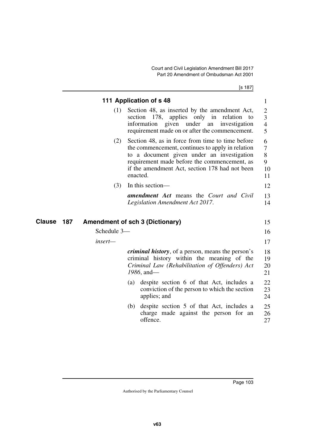[s 187]

|               |             | 111 Application of s 48                                                                                                                                                                                                                                          |
|---------------|-------------|------------------------------------------------------------------------------------------------------------------------------------------------------------------------------------------------------------------------------------------------------------------|
|               | (1)         | Section 48, as inserted by the amendment Act,<br>section 178,<br>applies only in relation to<br>information given under an investigation<br>requirement made on or after the commencement.                                                                       |
|               | (2)         | Section 48, as in force from time to time before<br>the commencement, continues to apply in relation<br>to a document given under an investigation<br>requirement made before the commencement, as<br>if the amendment Act, section 178 had not been<br>enacted. |
|               | (3)         | In this section—                                                                                                                                                                                                                                                 |
|               |             | <b>amendment Act</b> means the Court and Civil<br>Legislation Amendment Act 2017.                                                                                                                                                                                |
| 187<br>Clause |             | <b>Amendment of sch 3 (Dictionary)</b>                                                                                                                                                                                                                           |
|               | Schedule 3- |                                                                                                                                                                                                                                                                  |
|               | insert-     |                                                                                                                                                                                                                                                                  |
|               |             | <i>criminal history</i> , of a person, means the person's<br>criminal history within the meaning of the<br>Criminal Law (Rehabilitation of Offenders) Act<br>1986, and-                                                                                          |
|               |             | despite section 6 of that Act, includes a<br>(a)<br>conviction of the person to which the section<br>applies; and                                                                                                                                                |
|               |             | despite section 5 of that Act, includes a<br>(b)<br>charge made against the person for an                                                                                                                                                                        |
|               |             | offence.                                                                                                                                                                                                                                                         |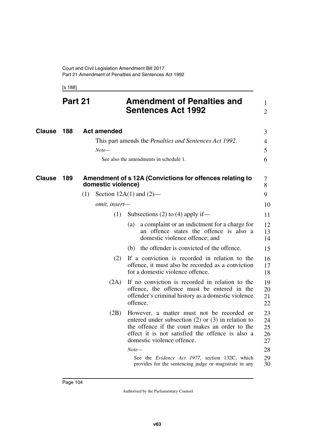[s 188]

|               | Part 21 |                    | <b>Amendment of Penalties and</b><br><b>Sentences Act 1992</b>                                                                                                                                                                          | 1<br>$\overline{2}$        |
|---------------|---------|--------------------|-----------------------------------------------------------------------------------------------------------------------------------------------------------------------------------------------------------------------------------------|----------------------------|
| <b>Clause</b> | 188     | <b>Act amended</b> |                                                                                                                                                                                                                                         | 3                          |
|               |         |                    | This part amends the Penalties and Sentences Act 1992.                                                                                                                                                                                  | 4                          |
|               |         | $Note-$            |                                                                                                                                                                                                                                         | 5                          |
|               |         |                    | See also the amendments in schedule 1.                                                                                                                                                                                                  | 6                          |
| Clause        | 189     | domestic violence) | Amendment of s 12A (Convictions for offences relating to                                                                                                                                                                                | 7<br>8                     |
|               |         | (1)                | Section $12A(1)$ and $(2)$ —                                                                                                                                                                                                            | 9                          |
|               |         | omit, insert-      |                                                                                                                                                                                                                                         | 10                         |
|               |         | (1)                | Subsections $(2)$ to $(4)$ apply if—                                                                                                                                                                                                    | 11                         |
|               |         |                    | a complaint or an indictment for a charge for<br>(a)<br>an offence states the offence is also a<br>domestic violence offence; and                                                                                                       | 12<br>13<br>14             |
|               |         |                    | the offender is convicted of the offence.<br>(b)                                                                                                                                                                                        | 15                         |
|               |         | (2)                | If a conviction is recorded in relation to the<br>offence, it must also be recorded as a conviction<br>for a domestic violence offence.                                                                                                 | 16<br>17<br>18             |
|               |         | (2A)               | If no conviction is recorded in relation to the<br>offence, the offence must be entered in the<br>offender's criminal history as a domestic violence<br>offence.                                                                        | 19<br>20<br>21<br>22       |
|               |         | (2B)               | However, a matter must not be recorded or<br>entered under subsection $(2)$ or $(3)$ in relation to<br>the offence if the court makes an order to the<br>effect it is not satisfied the offence is also a<br>domestic violence offence. | 23<br>24<br>25<br>26<br>27 |
|               |         |                    | $Note-$                                                                                                                                                                                                                                 | 28                         |
|               |         |                    | See the Evidence Act 1977, section 132C, which<br>provides for the sentencing judge or magistrate in any                                                                                                                                | 29<br>30                   |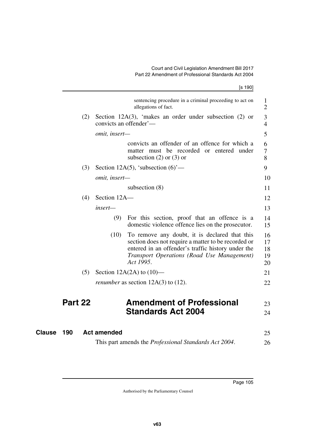| sentencing procedure in a criminal proceeding to act on<br>allegations of fact.                                                                                                                                               | 1<br>$\overline{2}$        |
|-------------------------------------------------------------------------------------------------------------------------------------------------------------------------------------------------------------------------------|----------------------------|
| Section 12A(3), 'makes an order under subsection $(2)$ or<br>(2)<br>convicts an offender'—                                                                                                                                    | 3<br>$\overline{4}$        |
| omit, insert-                                                                                                                                                                                                                 | 5                          |
| convicts an offender of an offence for which a<br>matter must be recorded or entered under<br>subsection $(2)$ or $(3)$ or                                                                                                    | 6<br>7<br>8                |
| (3)<br>Section 12A(5), 'subsection $(6)$ '—                                                                                                                                                                                   | 9                          |
| omit, insert-                                                                                                                                                                                                                 | 10                         |
| subsection $(8)$                                                                                                                                                                                                              | 11                         |
| Section 12A-<br>(4)                                                                                                                                                                                                           | 12                         |
| insert-                                                                                                                                                                                                                       | 13                         |
| (9)<br>For this section, proof that an offence is a<br>domestic violence offence lies on the prosecutor.                                                                                                                      | 14<br>15                   |
| To remove any doubt, it is declared that this<br>(10)<br>section does not require a matter to be recorded or<br>entered in an offender's traffic history under the<br>Transport Operations (Road Use Management)<br>Act 1995. | 16<br>17<br>18<br>19<br>20 |
| (5)<br>Section 12A(2A) to $(10)$ —                                                                                                                                                                                            | 21                         |
| <i>renumber</i> as section $12A(3)$ to $(12)$ .                                                                                                                                                                               | 22                         |
| Part 22<br><b>Amendment of Professional</b>                                                                                                                                                                                   | 23                         |
| <b>Standards Act 2004</b>                                                                                                                                                                                                     | 24                         |
| Clause<br>190<br><b>Act amended</b>                                                                                                                                                                                           | 25                         |

This part amends the *Professional Standards Act 2004*. 26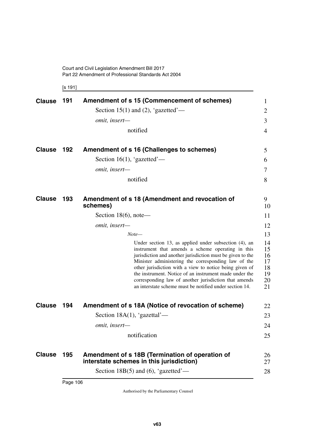[s 191]

| <b>Clause</b> | 191 | Amendment of s 15 (Commencement of schemes)                                                                                                                                                                                                                                                                                                                                                                                                                              | 1                                            |
|---------------|-----|--------------------------------------------------------------------------------------------------------------------------------------------------------------------------------------------------------------------------------------------------------------------------------------------------------------------------------------------------------------------------------------------------------------------------------------------------------------------------|----------------------------------------------|
|               |     | Section 15(1) and (2), 'gazetted'—                                                                                                                                                                                                                                                                                                                                                                                                                                       | 2                                            |
|               |     | omit, insert-                                                                                                                                                                                                                                                                                                                                                                                                                                                            | 3                                            |
|               |     | notified                                                                                                                                                                                                                                                                                                                                                                                                                                                                 | 4                                            |
| <b>Clause</b> | 192 | Amendment of s 16 (Challenges to schemes)                                                                                                                                                                                                                                                                                                                                                                                                                                | 5                                            |
|               |     | Section 16(1), 'gazetted'—                                                                                                                                                                                                                                                                                                                                                                                                                                               | 6                                            |
|               |     | omit, insert-                                                                                                                                                                                                                                                                                                                                                                                                                                                            | 7                                            |
|               |     | notified                                                                                                                                                                                                                                                                                                                                                                                                                                                                 | 8                                            |
| <b>Clause</b> | 193 | Amendment of s 18 (Amendment and revocation of<br>schemes)                                                                                                                                                                                                                                                                                                                                                                                                               | 9.<br>10                                     |
|               |     | Section $18(6)$ , note—                                                                                                                                                                                                                                                                                                                                                                                                                                                  | 11                                           |
|               |     | omit, insert-                                                                                                                                                                                                                                                                                                                                                                                                                                                            | 12                                           |
|               |     | $Note-$                                                                                                                                                                                                                                                                                                                                                                                                                                                                  | 13                                           |
|               |     | Under section 13, as applied under subsection (4), an<br>instrument that amends a scheme operating in this<br>jurisdiction and another jurisdiction must be given to the<br>Minister administering the corresponding law of the<br>other jurisdiction with a view to notice being given of<br>the instrument. Notice of an instrument made under the<br>corresponding law of another jurisdiction that amends<br>an interstate scheme must be notified under section 14. | 14<br>15<br>16<br>17<br>18<br>19<br>20<br>21 |
| <b>Clause</b> | 194 | Amendment of s 18A (Notice of revocation of scheme)                                                                                                                                                                                                                                                                                                                                                                                                                      | 22                                           |
|               |     | Section 18A $(1)$ , 'gazettal'—                                                                                                                                                                                                                                                                                                                                                                                                                                          | 23                                           |
|               |     | <i>omit, insert—</i>                                                                                                                                                                                                                                                                                                                                                                                                                                                     | 24                                           |
|               |     | notification                                                                                                                                                                                                                                                                                                                                                                                                                                                             | 25                                           |
| <b>Clause</b> | 195 | Amendment of s 18B (Termination of operation of<br>interstate schemes in this jurisdiction)                                                                                                                                                                                                                                                                                                                                                                              | 26<br>27                                     |
|               |     | Section 18B $(5)$ and $(6)$ , 'gazetted'—                                                                                                                                                                                                                                                                                                                                                                                                                                | 28                                           |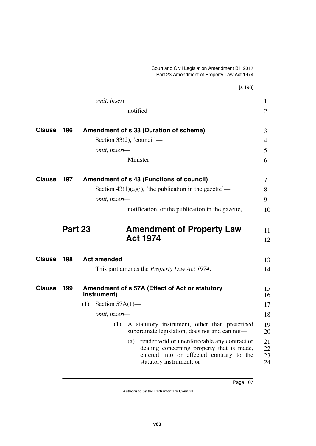|               |         | [s 196]                                                                                                                                                                  |                      |
|---------------|---------|--------------------------------------------------------------------------------------------------------------------------------------------------------------------------|----------------------|
|               |         | omit, insert-                                                                                                                                                            | $\mathbf{1}$         |
|               |         | notified                                                                                                                                                                 | $\overline{2}$       |
| <b>Clause</b> | 196     | Amendment of s 33 (Duration of scheme)                                                                                                                                   | 3                    |
|               |         | Section 33(2), 'council'—                                                                                                                                                | $\overline{4}$       |
|               |         | omit, insert-                                                                                                                                                            | 5                    |
|               |         | Minister                                                                                                                                                                 | 6                    |
| <b>Clause</b> | 197     | <b>Amendment of s 43 (Functions of council)</b>                                                                                                                          | 7                    |
|               |         | Section $43(1)(a)(i)$ , 'the publication in the gazette'—                                                                                                                | 8                    |
|               |         | omit, insert-                                                                                                                                                            | 9                    |
|               |         | notification, or the publication in the gazette,                                                                                                                         | 10                   |
|               | Part 23 | <b>Amendment of Property Law</b><br><b>Act 1974</b>                                                                                                                      | 11<br>12             |
| <b>Clause</b> | 198     | <b>Act amended</b>                                                                                                                                                       | 13                   |
|               |         | This part amends the <i>Property Law Act 1974</i> .                                                                                                                      | 14                   |
| <b>Clause</b> | 199     | Amendment of s 57A (Effect of Act or statutory<br>instrument)                                                                                                            | 15<br>16             |
|               |         | Section $57A(1)$ —<br>(1)                                                                                                                                                | 17                   |
|               |         | omit, insert-                                                                                                                                                            | 18                   |
|               |         | (1)<br>A statutory instrument, other than prescribed<br>subordinate legislation, does not and can not-                                                                   | 19<br>20             |
|               |         | render void or unenforceable any contract or<br>(a)<br>dealing concerning property that is made,<br>entered into or effected contrary to the<br>statutory instrument; or | 21<br>22<br>23<br>24 |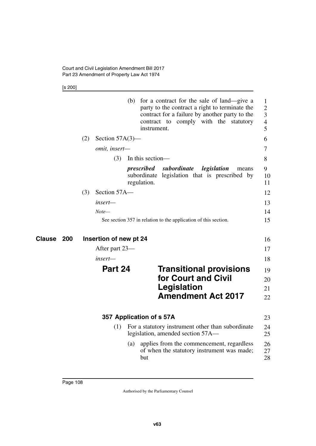[s 200]

|               |     |                        | (b)<br>for a contract for the sale of land—give a<br>party to the contract a right to terminate the<br>contract for a failure by another party to the<br>contract to comply with the statutory<br>instrument. | $\mathbf{1}$<br>$\overline{2}$<br>3<br>$\overline{4}$<br>5 |
|---------------|-----|------------------------|---------------------------------------------------------------------------------------------------------------------------------------------------------------------------------------------------------------|------------------------------------------------------------|
|               | (2) | Section $57A(3)$ —     |                                                                                                                                                                                                               | 6                                                          |
|               |     | omit, insert-          |                                                                                                                                                                                                               | $\tau$                                                     |
|               |     | (3)                    | In this section-                                                                                                                                                                                              | 8                                                          |
|               |     |                        | prescribed<br>subordinate<br>legislation<br>means<br>legislation that is prescribed by<br>subordinate<br>regulation.                                                                                          | 9<br>10<br>11                                              |
|               | (3) | Section 57A-           |                                                                                                                                                                                                               | 12                                                         |
|               |     | insert-                |                                                                                                                                                                                                               | 13                                                         |
|               |     | $Note-$                |                                                                                                                                                                                                               | 14                                                         |
|               |     |                        | See section 357 in relation to the application of this section.                                                                                                                                               | 15                                                         |
|               |     |                        |                                                                                                                                                                                                               |                                                            |
| Clause<br>200 |     | Insertion of new pt 24 |                                                                                                                                                                                                               | 16                                                         |
|               |     | After part 23—         |                                                                                                                                                                                                               | 17                                                         |
|               |     | insert—                |                                                                                                                                                                                                               | 18                                                         |
|               |     | Part 24                | <b>Transitional provisions</b><br>for Court and Civil<br><b>Legislation</b><br><b>Amendment Act 2017</b>                                                                                                      | 19<br>20<br>21<br>22                                       |
|               |     |                        |                                                                                                                                                                                                               |                                                            |
|               |     | (1)                    | 357 Application of s 57A<br>For a statutory instrument other than subordinate<br>legislation, amended section 57A—                                                                                            | 23<br>24<br>25                                             |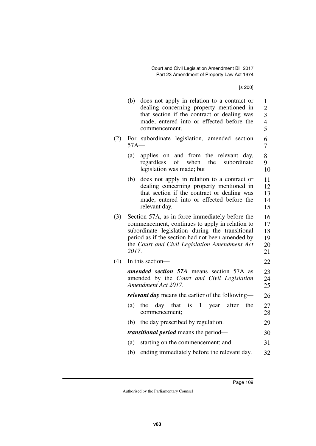[s 200]

|     | (b)                                                                                                                                                                                                                                                                 | does not apply in relation to a contract or<br>dealing concerning property mentioned in<br>that section if the contract or dealing was<br>made, entered into or effected before the<br>commencement. | $\mathbf{1}$<br>$\overline{c}$<br>3<br>$\overline{4}$<br>5 |  |
|-----|---------------------------------------------------------------------------------------------------------------------------------------------------------------------------------------------------------------------------------------------------------------------|------------------------------------------------------------------------------------------------------------------------------------------------------------------------------------------------------|------------------------------------------------------------|--|
| (2) | For<br>$57A-$                                                                                                                                                                                                                                                       | subordinate legislation, amended section                                                                                                                                                             | 6<br>7                                                     |  |
|     | (a)                                                                                                                                                                                                                                                                 | applies on<br>and from the relevant day,<br>when<br>regardless<br>of<br>the<br>subordinate<br>legislation was made; but                                                                              | 8<br>9<br>10                                               |  |
|     | (b)                                                                                                                                                                                                                                                                 | does not apply in relation to a contract or<br>dealing concerning property mentioned in<br>that section if the contract or dealing was<br>made, entered into or effected before the<br>relevant day. | 11<br>12<br>13<br>14<br>15                                 |  |
| (3) | Section 57A, as in force immediately before the<br>commencement, continues to apply in relation to<br>subordinate legislation during the transitional<br>period as if the section had not been amended by<br>the Court and Civil Legislation Amendment Act<br>2017. |                                                                                                                                                                                                      |                                                            |  |
| (4) |                                                                                                                                                                                                                                                                     | In this section-                                                                                                                                                                                     | 22                                                         |  |
|     |                                                                                                                                                                                                                                                                     | amended section 57A means section 57A as<br>amended by the Court and Civil Legislation<br>Amendment Act 2017.                                                                                        | 23<br>24<br>25                                             |  |
|     |                                                                                                                                                                                                                                                                     | <i>relevant day</i> means the earlier of the following—                                                                                                                                              | 26                                                         |  |
|     | (a)                                                                                                                                                                                                                                                                 | day that is<br>1 year<br>after<br>the<br>the<br>commencement;                                                                                                                                        | 27<br>28                                                   |  |
|     | (b)                                                                                                                                                                                                                                                                 | the day prescribed by regulation.                                                                                                                                                                    | 29                                                         |  |
|     |                                                                                                                                                                                                                                                                     | <i>transitional period</i> means the period—                                                                                                                                                         | 30                                                         |  |
|     | (a)                                                                                                                                                                                                                                                                 | starting on the commencement; and                                                                                                                                                                    | 31                                                         |  |
|     | (b)                                                                                                                                                                                                                                                                 | ending immediately before the relevant day.                                                                                                                                                          | 32                                                         |  |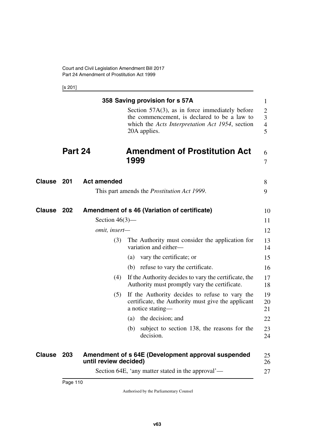[s 201]

|        |         |                       | 358 Saving provision for s 57A                                                                                                                                       | $\mathbf{1}$                  |
|--------|---------|-----------------------|----------------------------------------------------------------------------------------------------------------------------------------------------------------------|-------------------------------|
|        |         |                       | Section $57A(3)$ , as in force immediately before<br>the commencement, is declared to be a law to<br>which the Acts Interpretation Act 1954, section<br>20A applies. | 2<br>3<br>$\overline{4}$<br>5 |
|        | Part 24 |                       | <b>Amendment of Prostitution Act</b><br>1999                                                                                                                         | 6<br>7                        |
| Clause | 201     | <b>Act amended</b>    |                                                                                                                                                                      | 8                             |
|        |         |                       | This part amends the <i>Prostitution Act 1999</i> .                                                                                                                  | 9                             |
| Clause | 202     | Section $46(3)$ —     | Amendment of s 46 (Variation of certificate)                                                                                                                         | 10<br>11                      |
|        |         | omit, insert-         |                                                                                                                                                                      | 12                            |
|        |         |                       |                                                                                                                                                                      |                               |
|        |         | (3)                   | The Authority must consider the application for<br>variation and either-                                                                                             | 13<br>14                      |
|        |         |                       | vary the certificate; or<br>(a)                                                                                                                                      | 15                            |
|        |         |                       | (b) refuse to vary the certificate.                                                                                                                                  | 16                            |
|        |         | (4)                   | If the Authority decides to vary the certificate, the<br>Authority must promptly vary the certificate.                                                               | 17<br>18                      |
|        |         | (5)                   | If the Authority decides to refuse to vary the<br>certificate, the Authority must give the applicant<br>a notice stating—                                            | 19<br>20<br>21                |
|        |         |                       | the decision; and<br>(a)                                                                                                                                             | 22                            |
|        |         |                       | subject to section 138, the reasons for the<br>(b)<br>decision.                                                                                                      | 23<br>24                      |
| Clause | 203     | until review decided) | Amendment of s 64E (Development approval suspended                                                                                                                   | 25<br>26                      |
|        |         |                       | Section 64E, 'any matter stated in the approval'—                                                                                                                    | 27                            |
|        |         |                       |                                                                                                                                                                      |                               |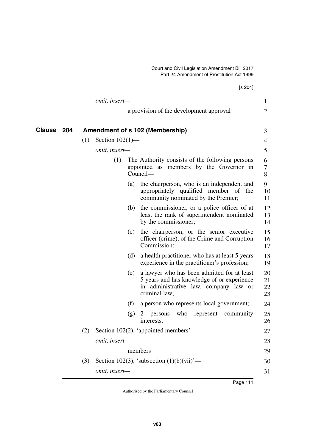|                   |     |                    |     | [s 204]                                                                                                                                             |                      |
|-------------------|-----|--------------------|-----|-----------------------------------------------------------------------------------------------------------------------------------------------------|----------------------|
|                   |     | omit, insert-      |     |                                                                                                                                                     | 1                    |
|                   |     |                    |     | a provision of the development approval                                                                                                             | 2                    |
| <b>Clause 204</b> |     |                    |     | Amendment of s 102 (Membership)                                                                                                                     | 3                    |
|                   | (1) | Section $102(1)$ — |     |                                                                                                                                                     | 4                    |
|                   |     | omit, insert-      |     |                                                                                                                                                     | 5                    |
|                   |     | (1)                |     | The Authority consists of the following persons<br>appointed as members by the Governor in<br>Council-                                              | 6<br>7<br>8          |
|                   |     |                    | (a) | the chairperson, who is an independent and<br>appropriately qualified member of<br>the<br>community nominated by the Premier;                       | 9<br>10<br>11        |
|                   |     |                    |     | (b) the commissioner, or a police officer of at<br>least the rank of superintendent nominated<br>by the commissioner;                               | 12<br>13<br>14       |
|                   |     |                    | (c) | the chairperson, or the senior executive<br>officer (crime), of the Crime and Corruption<br>Commission;                                             | 15<br>16<br>17       |
|                   |     |                    | (d) | a health practitioner who has at least 5 years<br>experience in the practitioner's profession;                                                      | 18<br>19             |
|                   |     |                    | (e) | a lawyer who has been admitted for at least<br>5 years and has knowledge of or experience<br>in administrative law, company law or<br>criminal law; | 20<br>21<br>22<br>23 |
|                   |     |                    | (f) | a person who represents local government;                                                                                                           | 24                   |
|                   |     |                    | (g) | who<br>community<br>$\mathbb{Z}$<br>persons<br>represent<br>interests.                                                                              | 25<br>26             |
|                   | (2) |                    |     | Section 102(2), 'appointed members'—                                                                                                                | 27                   |
|                   |     | omit, insert-      |     |                                                                                                                                                     | 28                   |
|                   |     |                    |     | members                                                                                                                                             | 29                   |
|                   | (3) |                    |     | Section 102(3), 'subsection $(1)(b)(vii)'$ —                                                                                                        | 30                   |
|                   |     | omit, insert-      |     |                                                                                                                                                     | 31                   |
|                   |     |                    |     |                                                                                                                                                     |                      |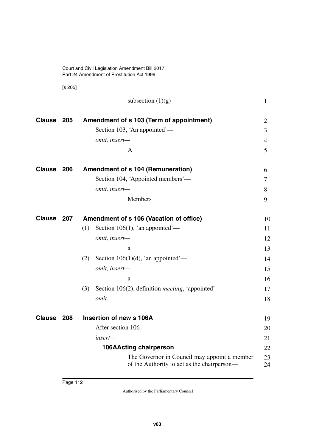[s 205]

|               |     | subsection $(1)(g)$                                                                         | $\mathbf{1}$   |
|---------------|-----|---------------------------------------------------------------------------------------------|----------------|
| <b>Clause</b> | 205 | Amendment of s 103 (Term of appointment)                                                    | 2              |
|               |     | Section 103, 'An appointed'—                                                                | 3              |
|               |     | omit, insert-                                                                               | $\overline{4}$ |
|               |     | A                                                                                           | 5              |
| <b>Clause</b> | 206 | <b>Amendment of s 104 (Remuneration)</b>                                                    | 6              |
|               |     | Section 104, 'Appointed members'—                                                           | 7              |
|               |     | omit, insert-                                                                               | 8              |
|               |     | Members                                                                                     | 9              |
| <b>Clause</b> | 207 | Amendment of s 106 (Vacation of office)                                                     | 10             |
|               |     | (1)<br>Section 106(1), 'an appointed'—                                                      | 11             |
|               |     | omit, insert-                                                                               | 12             |
|               |     | a                                                                                           | 13             |
|               |     | (2)<br>Section 106(1)(d), 'an appointed'—                                                   | 14             |
|               |     | omit, insert-                                                                               | 15             |
|               |     | a                                                                                           | 16             |
|               |     | Section 106(2), definition <i>meeting</i> , 'appointed'—<br>(3)                             | 17             |
|               |     | omit.                                                                                       | 18             |
| <b>Clause</b> | 208 | Insertion of new s 106A                                                                     | 19             |
|               |     | After section 106-                                                                          | 20             |
|               |     | insert-                                                                                     | 21             |
|               |     | <b>106AActing chairperson</b>                                                               | 22             |
|               |     | The Governor in Council may appoint a member<br>of the Authority to act as the chairperson— | 23<br>24       |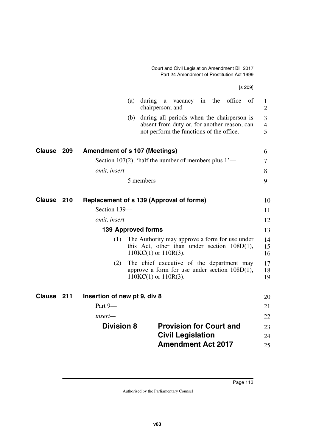#### Court and Civil Legislation Amendment Bill 2017 Part 24 Amendment of Prostitution Act 1999

|               |     |                                                         |     |                            |   |                                                                                                                                        |    |     |        | [s 209]                              |
|---------------|-----|---------------------------------------------------------|-----|----------------------------|---|----------------------------------------------------------------------------------------------------------------------------------------|----|-----|--------|--------------------------------------|
|               |     |                                                         | (a) | during<br>chairperson; and | a | vacancy                                                                                                                                | in | the | office | of<br>$\mathbf{1}$<br>$\overline{2}$ |
|               |     |                                                         | (b) |                            |   | during all periods when the chairperson is<br>absent from duty or, for another reason, can<br>not perform the functions of the office. |    |     |        | 3<br>$\overline{4}$<br>5             |
| <b>Clause</b> | 209 | <b>Amendment of s 107 (Meetings)</b>                    |     |                            |   |                                                                                                                                        |    |     |        | 6                                    |
|               |     | Section 107(2), 'half the number of members plus $1'$ — |     |                            |   |                                                                                                                                        |    |     |        | 7                                    |
|               |     | omit, insert-                                           |     |                            |   |                                                                                                                                        |    |     |        | 8                                    |
|               |     |                                                         |     | 5 members                  |   |                                                                                                                                        |    |     |        | 9                                    |
| <b>Clause</b> | 210 | <b>Replacement of s 139 (Approval of forms)</b>         |     |                            |   |                                                                                                                                        |    |     |        | 10                                   |
|               |     | Section 139-                                            |     |                            |   |                                                                                                                                        |    |     |        | 11                                   |
|               |     | omit, insert-                                           |     |                            |   |                                                                                                                                        |    |     |        | 12                                   |
|               |     | <b>139 Approved forms</b>                               |     |                            |   |                                                                                                                                        |    |     |        | 13                                   |
|               |     | (1)                                                     |     | $110KC(1)$ or $110R(3)$ .  |   | The Authority may approve a form for use under<br>this Act, other than under section $108D(1)$ ,                                       |    |     |        | 14<br>15<br>16                       |
|               |     | (2)                                                     |     | $110KC(1)$ or $110R(3)$ .  |   | The chief executive of the department may<br>approve a form for use under section $108D(1)$ ,                                          |    |     |        | 17<br>18<br>19                       |
| <b>Clause</b> | 211 | Insertion of new pt 9, div 8                            |     |                            |   |                                                                                                                                        |    |     |        | 20                                   |
|               |     | Part 9-                                                 |     |                            |   |                                                                                                                                        |    |     |        | 21                                   |
|               |     | insert—                                                 |     |                            |   |                                                                                                                                        |    |     |        | 22                                   |
|               |     | <b>Division 8</b>                                       |     |                            |   | <b>Provision for Court and</b>                                                                                                         |    |     |        | 23                                   |
|               |     |                                                         |     |                            |   | <b>Civil Legislation</b>                                                                                                               |    |     |        | 24                                   |
|               |     |                                                         |     |                            |   | <b>Amendment Act 2017</b>                                                                                                              |    |     |        | 25                                   |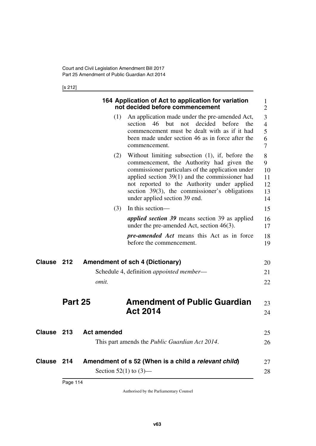[s 212]

|        |                |                    | 164 Application of Act to application for variation<br>not decided before commencement                                                                                                                                                                                                                                                    | 1<br>$\overline{2}$                  |
|--------|----------------|--------------------|-------------------------------------------------------------------------------------------------------------------------------------------------------------------------------------------------------------------------------------------------------------------------------------------------------------------------------------------|--------------------------------------|
|        |                | (1)                | An application made under the pre-amended Act,<br>decided<br>section<br>46<br><b>but</b><br>before<br>not<br>the<br>commencement must be dealt with as if it had<br>been made under section 46 as in force after the<br>commencement.                                                                                                     | 3<br>$\overline{4}$<br>5<br>6<br>7   |
|        |                | (2)                | Without limiting subsection $(1)$ , if, before the<br>commencement, the Authority had given the<br>commissioner particulars of the application under<br>applied section $39(1)$ and the commissioner had<br>not reported to the Authority under applied<br>section 39(3), the commissioner's obligations<br>under applied section 39 end. | 8<br>9<br>10<br>11<br>12<br>13<br>14 |
|        |                | (3)                | In this section-                                                                                                                                                                                                                                                                                                                          | 15                                   |
|        |                |                    | <i>applied section 39</i> means section 39 as applied<br>under the pre-amended Act, section $46(3)$ .                                                                                                                                                                                                                                     | 16<br>17                             |
|        |                |                    | <i>pre-amended Act</i> means this Act as in force<br>before the commencement.                                                                                                                                                                                                                                                             | 18<br>19                             |
| Clause | 212            |                    | <b>Amendment of sch 4 (Dictionary)</b>                                                                                                                                                                                                                                                                                                    | 20                                   |
|        |                |                    | Schedule 4, definition <i>appointed member</i> —                                                                                                                                                                                                                                                                                          | 21                                   |
|        |                | omit.              |                                                                                                                                                                                                                                                                                                                                           | 22                                   |
|        | <b>Part 25</b> |                    | <b>Amendment of Public Guardian</b>                                                                                                                                                                                                                                                                                                       | 23                                   |
|        |                |                    | <b>Act 2014</b>                                                                                                                                                                                                                                                                                                                           | 24                                   |
| Clause | 213            | <b>Act amended</b> |                                                                                                                                                                                                                                                                                                                                           | 25                                   |
|        |                |                    | This part amends the <i>Public Guardian Act 2014</i> .                                                                                                                                                                                                                                                                                    | 26                                   |
| Clause | 214            |                    | Amendment of s 52 (When is a child a relevant child)<br>Section 52(1) to $(3)$ —                                                                                                                                                                                                                                                          | 27<br>28                             |
|        |                |                    |                                                                                                                                                                                                                                                                                                                                           |                                      |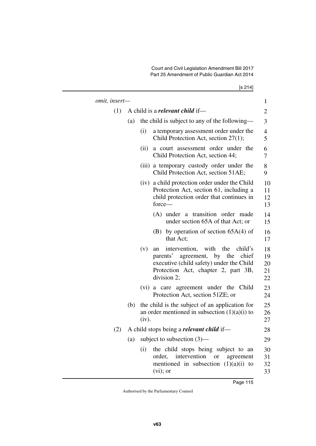Court and Civil Legislation Amendment Bill 2017 Part 25 Amendment of Public Guardian Act 2014

| omit, insert- |     |       |                                                                                                                                                                                     | $\mathbf{1}$               |
|---------------|-----|-------|-------------------------------------------------------------------------------------------------------------------------------------------------------------------------------------|----------------------------|
| (1)           |     |       | A child is a <b><i>relevant child</i></b> if—                                                                                                                                       | $\overline{c}$             |
|               | (a) |       | the child is subject to any of the following—                                                                                                                                       | 3                          |
|               |     | (i)   | a temporary assessment order under the<br>Child Protection Act, section 27(1);                                                                                                      | 4<br>5                     |
|               |     | (ii)  | a court assessment order under the<br>Child Protection Act, section 44;                                                                                                             | 6<br>7                     |
|               |     |       | (iii) a temporary custody order under the<br>Child Protection Act, section 51AE;                                                                                                    | 8<br>9                     |
|               |     |       | (iv) a child protection order under the Child<br>Protection Act, section 61, including a<br>child protection order that continues in<br>force—                                      | 10<br>11<br>12<br>13       |
|               |     |       | (A) under a transition order made<br>under section 65A of that Act; or                                                                                                              | 14<br>15                   |
|               |     |       | (B) by operation of section $65A(4)$ of<br>that Act;                                                                                                                                | 16<br>17                   |
|               |     | (v)   | intervention, with<br>the<br>child's<br>an<br>parents' agreement, by the<br>chief<br>executive (child safety) under the Child<br>Protection Act, chapter 2, part 3B,<br>division 2; | 18<br>19<br>20<br>21<br>22 |
|               |     |       | (vi) a care agreement under the Child<br>Protection Act, section 51ZE; or                                                                                                           | 23<br>24                   |
|               | (b) | (iv). | the child is the subject of an application for<br>an order mentioned in subsection $(1)(a)(i)$ to                                                                                   | 25<br>26<br>27             |
| (2)           |     |       | A child stops being a <i>relevant child</i> if—                                                                                                                                     | 28                         |
|               | (a) |       | subject to subsection $(3)$ —                                                                                                                                                       | 29                         |
|               |     | (i)   | the child stops being subject to an<br>order,<br>intervention<br><sub>or</sub><br>agreement<br>mentioned in subsection $(1)(a)(i)$ to<br>$(vi)$ ; or                                | 30<br>31<br>32<br>33       |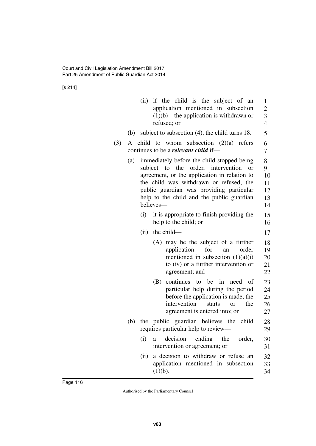[s 214]

|     |     | if the child is the subject of an<br>(ii)<br>application mentioned in subsection<br>$(1)(b)$ —the application is withdrawn or<br>refused; or                                                                                                                                                        | $\mathbf{1}$<br>$\overline{c}$<br>3<br>$\overline{4}$ |
|-----|-----|-----------------------------------------------------------------------------------------------------------------------------------------------------------------------------------------------------------------------------------------------------------------------------------------------------|-------------------------------------------------------|
|     | (b) | subject to subsection $(4)$ , the child turns 18.                                                                                                                                                                                                                                                   | 5                                                     |
| (3) |     | A child to whom subsection $(2)(a)$ refers<br>continues to be a <b><i>relevant</i></b> child if-                                                                                                                                                                                                    | 6<br>7                                                |
|     | (a) | immediately before the child stopped being<br>order,<br>subject<br>to<br>the<br>intervention<br>or<br>agreement, or the application in relation to<br>the child was withdrawn or refused, the<br>public guardian was providing particular<br>help to the child and the public guardian<br>believes- | 8<br>9<br>10<br>11<br>12<br>13<br>14                  |
|     |     | (i)<br>it is appropriate to finish providing the<br>help to the child; or                                                                                                                                                                                                                           | 15<br>16                                              |
|     |     | the child-<br>(ii)                                                                                                                                                                                                                                                                                  | 17                                                    |
|     |     | (A) may be the subject of a further<br>for<br>application<br>order<br>an<br>mentioned in subsection $(1)(a)(i)$<br>to (iv) or a further intervention or<br>agreement; and                                                                                                                           | 18<br>19<br>20<br>21<br>22                            |
|     |     | continues to be<br>in<br>(B)<br>need<br>of<br>particular help during the period<br>before the application is made, the<br>intervention<br>starts<br>the<br>or<br>agreement is entered into; or                                                                                                      | 23<br>24<br>25<br>26<br>27                            |
|     | (b) | the public guardian believes the child<br>requires particular help to review—                                                                                                                                                                                                                       | 28<br>29                                              |
|     |     | decision<br>(i)<br>ending<br>the<br>order,<br>a<br>intervention or agreement; or                                                                                                                                                                                                                    | 30<br>31                                              |
|     |     | a decision to withdraw or refuse an<br>(ii)<br>application mentioned in subsection<br>(1)(b).                                                                                                                                                                                                       | 32<br>33<br>34                                        |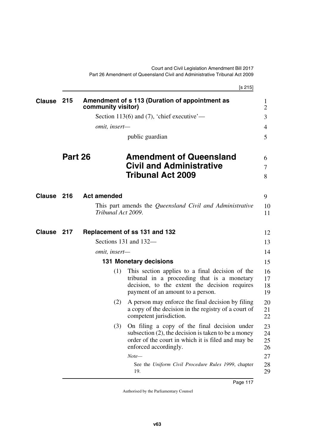|               |         |                    | [s 215]                                                                                                                                                                               |                      |
|---------------|---------|--------------------|---------------------------------------------------------------------------------------------------------------------------------------------------------------------------------------|----------------------|
| <b>Clause</b> | 215     | community visitor) | Amendment of s 113 (Duration of appointment as                                                                                                                                        | 1<br>$\overline{2}$  |
|               |         |                    | Section 113(6) and (7), 'chief executive'—                                                                                                                                            | 3                    |
|               |         | omit, insert-      |                                                                                                                                                                                       | 4                    |
|               |         |                    | public guardian                                                                                                                                                                       | 5                    |
|               | Part 26 |                    | <b>Amendment of Queensland</b>                                                                                                                                                        | 6                    |
|               |         |                    | <b>Civil and Administrative</b>                                                                                                                                                       | 7                    |
|               |         |                    | <b>Tribunal Act 2009</b>                                                                                                                                                              | 8                    |
| Clause 216    |         | <b>Act amended</b> |                                                                                                                                                                                       | 9                    |
|               |         | Tribunal Act 2009. | This part amends the Queensland Civil and Administrative                                                                                                                              | 10<br>11             |
| <b>Clause</b> | 217     |                    | Replacement of ss 131 and 132                                                                                                                                                         | 12                   |
|               |         |                    | Sections 131 and 132-                                                                                                                                                                 | 13                   |
|               |         | omit, insert-      |                                                                                                                                                                                       | 14                   |
|               |         |                    | <b>131 Monetary decisions</b>                                                                                                                                                         | 15                   |
|               |         | (1)                | This section applies to a final decision of the<br>tribunal in a proceeding that is a monetary<br>decision, to the extent the decision requires<br>payment of an amount to a person.  | 16<br>17<br>18<br>19 |
|               |         | (2)                | A person may enforce the final decision by filing<br>a copy of the decision in the registry of a court of<br>competent jurisdiction.                                                  | 20<br>21<br>22       |
|               |         | (3)                | On filing a copy of the final decision under<br>subsection $(2)$ , the decision is taken to be a money<br>order of the court in which it is filed and may be<br>enforced accordingly. | 23<br>24<br>25<br>26 |
|               |         |                    | $Note-$                                                                                                                                                                               | 27                   |
|               |         |                    | See the Uniform Civil Procedure Rules 1999, chapter<br>19.                                                                                                                            | 28<br>29             |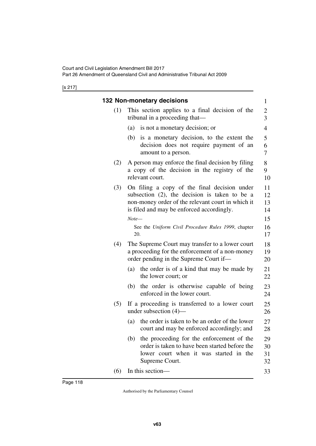[s 217]

|     | 132 Non-monetary decisions                                                                                                                                                                      | $\mathbf{1}$                              |
|-----|-------------------------------------------------------------------------------------------------------------------------------------------------------------------------------------------------|-------------------------------------------|
| (1) | This section applies to a final decision of the<br>tribunal in a proceeding that—                                                                                                               | $\overline{\mathbf{c}}$<br>$\overline{3}$ |
|     | (a)<br>is not a monetary decision; or                                                                                                                                                           | 4                                         |
|     | is a monetary decision, to the extent the<br>(b)<br>decision does not require payment of an<br>amount to a person.                                                                              | 5<br>6<br>7                               |
| (2) | A person may enforce the final decision by filing<br>a copy of the decision in the registry of the<br>relevant court.                                                                           | 8<br>9<br>10                              |
| (3) | On filing a copy of the final decision under<br>subsection (2), the decision is taken to be a<br>non-money order of the relevant court in which it<br>is filed and may be enforced accordingly. | 11<br>12<br>13<br>14                      |
|     | $Note-$<br>See the Uniform Civil Procedure Rules 1999, chapter<br>20.                                                                                                                           | 15<br>16<br>17                            |
| (4) | The Supreme Court may transfer to a lower court<br>a proceeding for the enforcement of a non-money<br>order pending in the Supreme Court if—                                                    | 18<br>19<br>20                            |
|     | the order is of a kind that may be made by<br>(a)<br>the lower court; or                                                                                                                        | 21<br>22                                  |
|     | the order is otherwise capable of being<br>(b)<br>enforced in the lower court.                                                                                                                  | 23<br>24                                  |
| (5) | If a proceeding is transferred to a lower court<br>under subsection $(4)$ —                                                                                                                     | 25<br>26                                  |
|     | the order is taken to be an order of the lower<br>(a)<br>court and may be enforced accordingly; and                                                                                             | 27<br>28                                  |
|     | the proceeding for the enforcement of the<br>(b)<br>order is taken to have been started before the<br>lower court when it was started in the<br>Supreme Court.                                  | 29<br>30<br>31<br>32                      |
| (6) | In this section-                                                                                                                                                                                | 33                                        |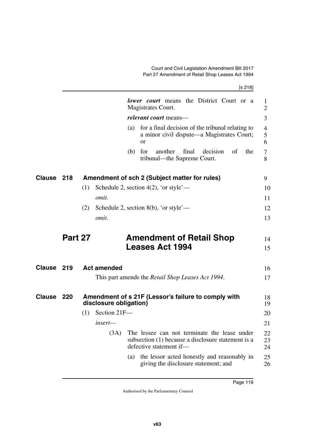|        |         | [s 218]                                                                                                                               |
|--------|---------|---------------------------------------------------------------------------------------------------------------------------------------|
|        |         | <b><i>lower court</i></b> means the District Court or a<br>Magistrates Court.                                                         |
|        |         | relevant court means-                                                                                                                 |
|        |         | for a final decision of the tribunal relating to<br>(a)<br>a minor civil dispute—a Magistrates Court;<br><sub>or</sub>                |
|        |         | another<br>final<br>decision<br>of<br>the<br>for<br>(b)<br>tribunal—the Supreme Court.                                                |
| Clause | 218     | Amendment of sch 2 (Subject matter for rules)                                                                                         |
|        |         | Schedule 2, section 4(2), 'or style'—<br>(1)                                                                                          |
|        |         | omit.                                                                                                                                 |
|        |         | Schedule 2, section 8(b), 'or style'—<br>(2)                                                                                          |
|        |         | <i>omit.</i>                                                                                                                          |
|        | Part 27 | <b>Amendment of Retail Shop</b>                                                                                                       |
|        |         | <b>Leases Act 1994</b>                                                                                                                |
| Clause | 219     | <b>Act amended</b>                                                                                                                    |
|        |         | This part amends the <i>Retail Shop Leases Act 1994</i> .                                                                             |
| Clause | 220     | Amendment of s 21F (Lessor's failure to comply with<br>disclosure obligation)                                                         |
|        |         | Section 21F-<br>(1)                                                                                                                   |
|        |         | $insert-$                                                                                                                             |
|        |         | The lessee can not terminate the lease under<br>(3A)<br>subsection (1) because a disclosure statement is a<br>defective statement if- |
|        |         | the lessor acted honestly and reasonably in<br>(a)<br>giving the disclosure statement; and                                            |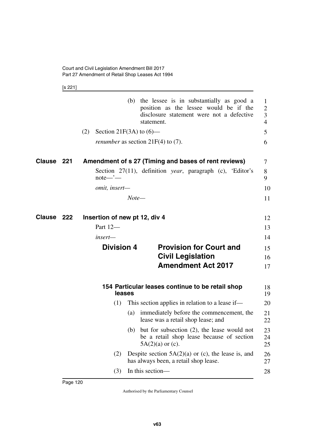[s 221]

|                   |                                      | statement.                                  | (b) the lessee is in substantially as good a<br>position as the lessee would be if the<br>disclosure statement were not a defective | 1<br>$\overline{2}$<br>3<br>$\overline{4}$ |
|-------------------|--------------------------------------|---------------------------------------------|-------------------------------------------------------------------------------------------------------------------------------------|--------------------------------------------|
|                   | (2)<br>Section 21 $F(3A)$ to $(6)$ — |                                             |                                                                                                                                     | 5                                          |
|                   |                                      | <i>renumber</i> as section $21F(4)$ to (7). |                                                                                                                                     | 6                                          |
| Clause 221        |                                      |                                             | Amendment of s 27 (Timing and bases of rent reviews)                                                                                | 7                                          |
|                   | $note$ — $\ddot{}$ —                 |                                             | Section 27(11), definition year, paragraph (c), 'Editor's                                                                           | 8<br>9                                     |
|                   | omit, insert-                        |                                             |                                                                                                                                     | 10                                         |
|                   |                                      | Note—                                       |                                                                                                                                     | 11                                         |
| <b>Clause 222</b> | Insertion of new pt 12, div 4        |                                             |                                                                                                                                     | 12                                         |
|                   | Part 12-                             |                                             |                                                                                                                                     | 13                                         |
|                   | insert—                              |                                             |                                                                                                                                     | 14                                         |
|                   | <b>Division 4</b>                    |                                             | <b>Provision for Court and</b>                                                                                                      | 15                                         |
|                   |                                      |                                             | <b>Civil Legislation</b>                                                                                                            | 16                                         |
|                   |                                      |                                             | <b>Amendment Act 2017</b>                                                                                                           | 17                                         |
|                   | leases                               |                                             | 154 Particular leases continue to be retail shop                                                                                    | 18<br>19                                   |
|                   | (1)                                  |                                             | This section applies in relation to a lease if—                                                                                     | 20                                         |
|                   | (a)                                  |                                             | immediately before the commencement, the<br>lease was a retail shop lease; and                                                      | 21<br>22                                   |
|                   |                                      | $5A(2)(a)$ or (c).                          | (b) but for subsection $(2)$ , the lease would not<br>be a retail shop lease because of section                                     | 23<br>24<br>25                             |
|                   | (2)                                  |                                             | Despite section $5A(2)(a)$ or (c), the lease is, and<br>has always been, a retail shop lease.                                       | 26<br>27                                   |
|                   | (3)                                  | In this section-                            |                                                                                                                                     | 28                                         |
|                   |                                      |                                             |                                                                                                                                     |                                            |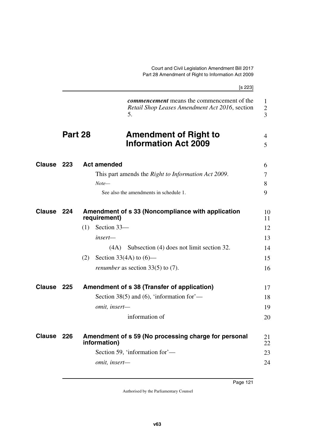|               |         | [s 223]                                                                                                   |
|---------------|---------|-----------------------------------------------------------------------------------------------------------|
|               |         | <i>commencement</i> means the commencement of the<br>Retail Shop Leases Amendment Act 2016, section<br>5. |
|               | Part 28 | <b>Amendment of Right to</b><br><b>Information Act 2009</b>                                               |
| Clause        | 223     | <b>Act amended</b>                                                                                        |
|               |         | This part amends the <i>Right to Information Act 2009</i> .                                               |
|               |         | $Note-$                                                                                                   |
|               |         | See also the amendments in schedule 1.                                                                    |
| <b>Clause</b> | -224    | Amendment of s 33 (Noncompliance with application<br>requirement)                                         |
|               |         | Section 33-<br>(1)                                                                                        |
|               |         | insert—                                                                                                   |
|               |         | Subsection (4) does not limit section 32.<br>(4A)                                                         |
|               |         | Section 33(4A) to $(6)$ —<br>(2)                                                                          |
|               |         | <i>renumber</i> as section $33(5)$ to (7).                                                                |
| Clause        | 225     | Amendment of s 38 (Transfer of application)                                                               |
|               |         | Section 38(5) and (6), 'information for'—                                                                 |
|               |         | omit, insert-                                                                                             |
|               |         | information of                                                                                            |
| Clause 226    |         | Amendment of s 59 (No processing charge for personal<br>information)                                      |
|               |         | Section 59, 'information for'—                                                                            |
|               |         | omit, insert-                                                                                             |
|               |         |                                                                                                           |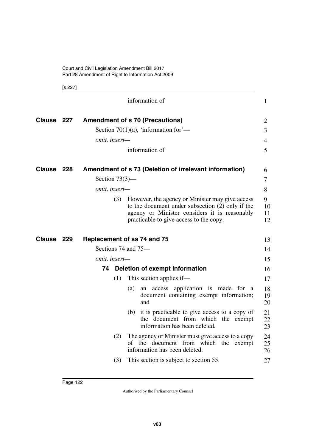[s 227]

|                   |     |                   | information of                                                                                                                                                                                  | $\mathbf{1}$        |
|-------------------|-----|-------------------|-------------------------------------------------------------------------------------------------------------------------------------------------------------------------------------------------|---------------------|
| Clause 227        |     |                   | <b>Amendment of s 70 (Precautions)</b>                                                                                                                                                          | 2                   |
|                   |     |                   | Section 70(1)(a), 'information for'—                                                                                                                                                            | $\overline{3}$      |
|                   |     | omit, insert-     |                                                                                                                                                                                                 | $\overline{4}$      |
|                   |     |                   | information of                                                                                                                                                                                  | 5                   |
| Clause            | 228 |                   | Amendment of s 73 (Deletion of irrelevant information)                                                                                                                                          | 6                   |
|                   |     | Section $73(3)$ — |                                                                                                                                                                                                 | $\overline{7}$      |
|                   |     | omit, insert-     |                                                                                                                                                                                                 | 8                   |
|                   |     | (3)               | However, the agency or Minister may give access<br>to the document under subsection (2) only if the<br>agency or Minister considers it is reasonably<br>practicable to give access to the copy. | 9<br>10<br>11<br>12 |
| <b>Clause 229</b> |     |                   | Replacement of ss 74 and 75                                                                                                                                                                     | 13                  |
|                   |     |                   | Sections 74 and 75-                                                                                                                                                                             | 14                  |
|                   |     | omit, insert-     |                                                                                                                                                                                                 | 15                  |
|                   |     |                   | 74 Deletion of exempt information                                                                                                                                                               | 16                  |
|                   |     | (1)               | This section applies if—                                                                                                                                                                        | 17                  |
|                   |     |                   | an access application is made for a<br>(a)<br>document containing exempt information;<br>and                                                                                                    | 18<br>19<br>20      |
|                   |     |                   | (b) it is practicable to give access to a copy of<br>the document from which the exempt<br>information has been deleted.                                                                        | 21<br>22<br>23      |
|                   |     | (2)               | The agency or Minister must give access to a copy<br>of the document from which the<br>exempt<br>information has been deleted.                                                                  | 24<br>25<br>26      |
|                   |     | (3)               | This section is subject to section 55.                                                                                                                                                          | 27                  |
|                   |     |                   |                                                                                                                                                                                                 |                     |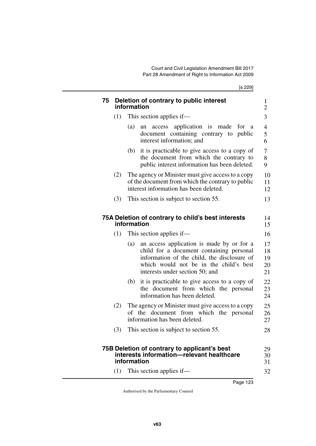[s 229]

|     | information                                                                                                                                      |
|-----|--------------------------------------------------------------------------------------------------------------------------------------------------|
| (1) | This section applies if—                                                                                                                         |
|     | an access application is made for<br>(a)<br><sub>a</sub><br>document containing contrary to public<br>interest information; and                  |
|     | it is practicable to give access to a copy of<br>(b)<br>the document from which the contrary to<br>public interest information has been deleted. |
| (2) | The agency or Minister must give access to a copy<br>of the document from which the contrary to public<br>interest information has been deleted. |
| (3) | This section is subject to section 55.                                                                                                           |
|     |                                                                                                                                                  |
| (1) | information<br>This section applies if—<br>an access application is made by or for a<br>(a)<br>child for a document containing personal          |
|     | information of the child, the disclosure of                                                                                                      |
|     | which would not be in the child's best<br>interests under section 50; and                                                                        |
|     | (b) it is practicable to give access to a copy of<br>the document from which the personal<br>information has been deleted.                       |
| (2) | The agency or Minister must give access to a copy<br>of the document from which the personal<br>information has been deleted.                    |
|     | (3) This section is subject to section 55.                                                                                                       |
|     |                                                                                                                                                  |
|     | 75B Deletion of contrary to applicant's best<br>interests information-relevant healthcare                                                        |
| (1) | information<br>This section applies if—                                                                                                          |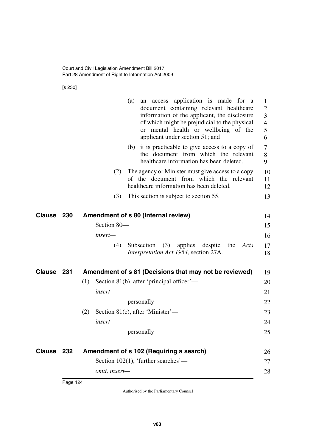[s 230]

|            |     | an access application is made for a<br>(a)<br>document containing relevant healthcare<br>information of the applicant, the disclosure<br>of which might be prejudicial to the physical<br>or mental health or wellbeing of the<br>applicant under section 51; and<br>(b) it is practicable to give access to a copy of<br>the document from which the relevant<br>healthcare information has been deleted.<br>The agency or Minister must give access to a copy<br>(2) | 1<br>$\overline{2}$<br>3<br>$\overline{4}$<br>5<br>6<br>$\tau$<br>8<br>9<br>10 |
|------------|-----|------------------------------------------------------------------------------------------------------------------------------------------------------------------------------------------------------------------------------------------------------------------------------------------------------------------------------------------------------------------------------------------------------------------------------------------------------------------------|--------------------------------------------------------------------------------|
|            |     | of the document from which the relevant<br>healthcare information has been deleted.                                                                                                                                                                                                                                                                                                                                                                                    | 11<br>12                                                                       |
|            |     | (3)<br>This section is subject to section 55.                                                                                                                                                                                                                                                                                                                                                                                                                          | 13                                                                             |
| Clause     | 230 | Amendment of s 80 (Internal review)                                                                                                                                                                                                                                                                                                                                                                                                                                    | 14                                                                             |
|            |     | Section 80-                                                                                                                                                                                                                                                                                                                                                                                                                                                            | 15                                                                             |
|            |     | insert-                                                                                                                                                                                                                                                                                                                                                                                                                                                                | 16                                                                             |
|            |     | (3)<br>(4)<br>Subsection<br>applies<br>despite<br>the<br>Acts<br>Interpretation Act 1954, section 27A.                                                                                                                                                                                                                                                                                                                                                                 | 17<br>18                                                                       |
| Clause     | 231 | Amendment of s 81 (Decisions that may not be reviewed)                                                                                                                                                                                                                                                                                                                                                                                                                 | 19                                                                             |
|            |     | Section 81(b), after 'principal officer'—<br>(1)                                                                                                                                                                                                                                                                                                                                                                                                                       | 20                                                                             |
|            |     | insert—                                                                                                                                                                                                                                                                                                                                                                                                                                                                | 21                                                                             |
|            |     | personally                                                                                                                                                                                                                                                                                                                                                                                                                                                             | 22                                                                             |
|            |     | (2)<br>Section 81(c), after 'Minister'—                                                                                                                                                                                                                                                                                                                                                                                                                                | 23                                                                             |
|            |     | insert-                                                                                                                                                                                                                                                                                                                                                                                                                                                                | 24                                                                             |
|            |     | personally                                                                                                                                                                                                                                                                                                                                                                                                                                                             | 25                                                                             |
| Clause 232 |     | Amendment of s 102 (Requiring a search)                                                                                                                                                                                                                                                                                                                                                                                                                                | 26                                                                             |
|            |     | Section 102(1), 'further searches'—                                                                                                                                                                                                                                                                                                                                                                                                                                    | 27                                                                             |
|            |     | omit, insert-                                                                                                                                                                                                                                                                                                                                                                                                                                                          | 28                                                                             |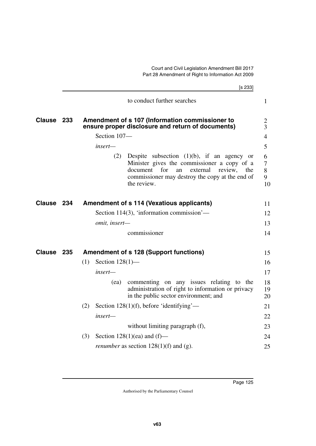|               |     |     |                    | [s 233]                                                                                                                                                                                                               |                                     |  |
|---------------|-----|-----|--------------------|-----------------------------------------------------------------------------------------------------------------------------------------------------------------------------------------------------------------------|-------------------------------------|--|
|               |     |     |                    | to conduct further searches                                                                                                                                                                                           | $\mathbf{1}$                        |  |
| <b>Clause</b> | 233 |     |                    | Amendment of s 107 (Information commissioner to<br>ensure proper disclosure and return of documents)                                                                                                                  |                                     |  |
|               |     |     | Section 107-       |                                                                                                                                                                                                                       | $\overline{4}$                      |  |
|               |     |     | insert—            |                                                                                                                                                                                                                       | 5                                   |  |
|               |     |     | (2)                | Despite subsection $(1)(b)$ , if an agency or<br>Minister gives the commissioner a copy of a<br>for<br>external<br>review.<br>document<br>an<br>the<br>commissioner may destroy the copy at the end of<br>the review. | 6<br>$\overline{7}$<br>8<br>9<br>10 |  |
| <b>Clause</b> | 234 |     |                    | <b>Amendment of s 114 (Vexatious applicants)</b>                                                                                                                                                                      | 11                                  |  |
|               |     |     |                    | Section 114(3), 'information commission'—                                                                                                                                                                             | 12                                  |  |
|               |     |     | omit, insert-      |                                                                                                                                                                                                                       | 13                                  |  |
|               |     |     |                    | commissioner                                                                                                                                                                                                          | 14                                  |  |
| <b>Clause</b> | 235 |     |                    | <b>Amendment of s 128 (Support functions)</b>                                                                                                                                                                         | 15                                  |  |
|               |     | (1) | Section $128(1)$ — |                                                                                                                                                                                                                       | 16                                  |  |
|               |     |     | insert—            |                                                                                                                                                                                                                       | 17                                  |  |
|               |     |     | (ea)               | commenting on any issues relating to the<br>administration of right to information or privacy<br>in the public sector environment; and                                                                                | 18<br>19<br>20                      |  |
|               |     | (2) |                    | Section $128(1)(f)$ , before 'identifying'—                                                                                                                                                                           | 21                                  |  |
|               |     |     | insert-            |                                                                                                                                                                                                                       | 22                                  |  |
|               |     |     |                    | without limiting paragraph (f),                                                                                                                                                                                       | 23                                  |  |
|               |     | (3) |                    | Section $128(1)(ea)$ and $(f)$ —                                                                                                                                                                                      | 24                                  |  |
|               |     |     |                    | <i>renumber</i> as section $128(1)(f)$ and (g).                                                                                                                                                                       | 25                                  |  |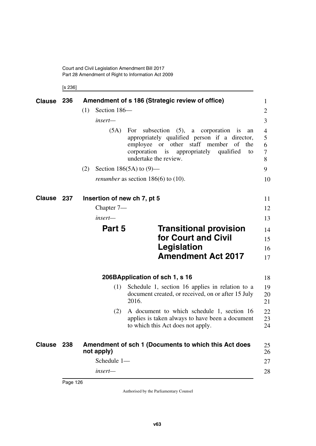[s 236]

| Clause 236    |     |            |              | Amendment of s 186 (Strategic review of office)                                                                                                                                                                                    | 1                     |
|---------------|-----|------------|--------------|------------------------------------------------------------------------------------------------------------------------------------------------------------------------------------------------------------------------------------|-----------------------|
|               |     | (1)        | Section 186- |                                                                                                                                                                                                                                    | $\overline{2}$        |
|               |     |            | insert—      |                                                                                                                                                                                                                                    | 3                     |
|               |     |            | (5A)         | subsection $(5)$ , a corporation is<br>For<br>an<br>appropriately qualified person if a director,<br>employee or other staff member<br>of<br>the<br>corporation<br>is<br>appropriately<br>qualified<br>to<br>undertake the review. | 4<br>5<br>6<br>7<br>8 |
|               |     | (2)        |              | Section 186(5A) to $(9)$ —                                                                                                                                                                                                         | 9                     |
|               |     |            |              | <i>renumber</i> as section $186(6)$ to $(10)$ .                                                                                                                                                                                    | 10                    |
| <b>Clause</b> | 237 |            |              | Insertion of new ch 7, pt 5                                                                                                                                                                                                        | 11                    |
|               |     |            | Chapter $7-$ |                                                                                                                                                                                                                                    | 12                    |
|               |     |            | insert—      |                                                                                                                                                                                                                                    | 13                    |
|               |     |            | Part 5       | <b>Transitional provision</b><br>for Court and Civil<br>Legislation<br><b>Amendment Act 2017</b>                                                                                                                                   | 14<br>15<br>16<br>17  |
|               |     |            |              | 206BApplication of sch 1, s 16                                                                                                                                                                                                     | 18                    |
|               |     |            | (1)          | Schedule 1, section 16 applies in relation to a<br>document created, or received, on or after 15 July<br>2016.                                                                                                                     | 19<br>20<br>21        |
|               |     |            | (2)          | A document to which schedule 1, section 16<br>applies is taken always to have been a document<br>to which this Act does not apply.                                                                                                 | 22<br>23<br>24        |
| <b>Clause</b> | 238 | not apply) |              | Amendment of sch 1 (Documents to which this Act does                                                                                                                                                                               | 25<br>26              |
|               |     |            | Schedule 1-  |                                                                                                                                                                                                                                    | 27                    |
|               |     |            | insert-      |                                                                                                                                                                                                                                    | 28                    |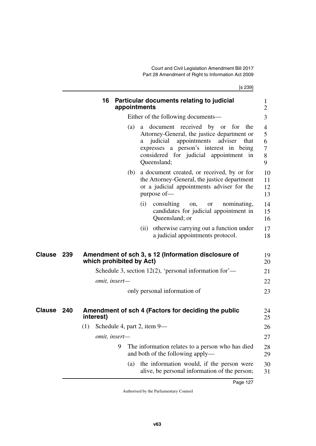[s 239]

**16 Particular documents relating to judicial appointments** Either of the following documents— (a) a document received by or for the Attorney-General, the justice department or a judicial appointments adviser that expresses a person's interest in being considered for judicial appointment in Queensland; (b) a document created, or received, by or for the Attorney-General, the justice department or a judicial appointments adviser for the purpose of— (i) consulting on, or nominating, candidates for judicial appointment in Queensland; or (ii) otherwise carrying out a function under a judicial appointments protocol. **Clause 239 Amendment of sch 3, s 12 (Information disclosure of**  $19$ **which prohibited by Act)** Schedule 3, section 12(2), 'personal information for' *omit, insert* only personal information of **240 Amendment of sch 4 (Factors for deciding the public Clause** 24 **interest)** (1) Schedule 4, part 2, item 9 *omit, insert—* 9 The information relates to a person who has died and both of the following apply— (a) the information would, if the person were alive, be personal information of the person; 1  $\mathcal{D}_{\mathcal{L}}$ 3 4 5 6 7 8 9 10 11 12 13 14 15 16 17 18 20  $21$ 22 23 25 26 27 28 29 30 31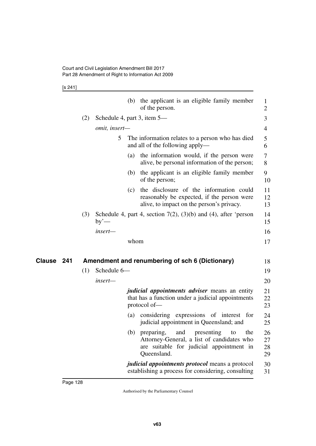[s 241]

|            |     |                             |      | (b) the applicant is an eligible family member<br>of the person.                                                                              | 1<br>$\overline{c}$  |
|------------|-----|-----------------------------|------|-----------------------------------------------------------------------------------------------------------------------------------------------|----------------------|
|            | (2) | Schedule 4, part 3, item 5— |      |                                                                                                                                               | 3                    |
|            |     | omit, insert-               |      |                                                                                                                                               | 4                    |
|            |     | 5                           |      | The information relates to a person who has died<br>and all of the following apply—                                                           | 5<br>6               |
|            |     |                             | (a)  | the information would, if the person were<br>alive, be personal information of the person;                                                    | 7<br>8               |
|            |     |                             | (b)  | the applicant is an eligible family member<br>of the person;                                                                                  | 9<br>10              |
|            |     |                             | (c)  | the disclosure of the information could<br>reasonably be expected, if the person were<br>alive, to impact on the person's privacy.            | 11<br>12<br>13       |
|            | (3) | $by'$ —                     |      | Schedule 4, part 4, section $7(2)$ , $(3)(b)$ and $(4)$ , after 'person                                                                       | 14<br>15             |
|            |     | insert-                     |      |                                                                                                                                               | 16                   |
|            |     |                             | whom |                                                                                                                                               | 17                   |
| Clause 241 |     |                             |      | Amendment and renumbering of sch 6 (Dictionary)                                                                                               |                      |
|            | (1) | Schedule 6-                 |      |                                                                                                                                               | 18<br>19             |
|            |     | insert-                     |      |                                                                                                                                               | 20                   |
|            |     |                             |      | <i>judicial appointments adviser</i> means an entity<br>that has a function under a judicial appointments<br>protocol of-                     | 21<br>22<br>23       |
|            |     |                             |      | (a) considering expressions of interest for<br>judicial appointment in Queensland; and                                                        | 24<br>25             |
|            |     |                             |      | (b) preparing, and presenting to the<br>Attorney-General, a list of candidates who<br>are suitable for judicial appointment in<br>Queensland. | 26<br>27<br>28<br>29 |
|            |     |                             |      | <i>judicial appointments protocol</i> means a protocol<br>establishing a process for considering, consulting                                  | 30<br>31             |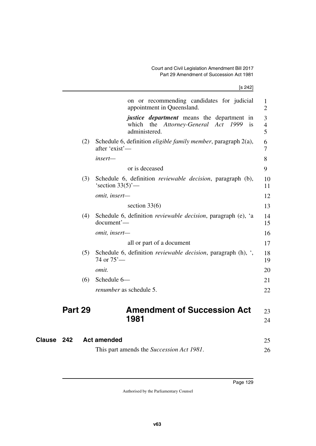| (4)<br>(5)<br>(6) | section $33(6)$<br>Schedule 6, definition <i>reviewable decision</i> , paragraph (e), 'a<br>document'-<br>omit, insert-<br>all or part of a document<br>Schedule 6, definition <i>reviewable decision</i> , paragraph $(h)$ , $\cdot$ ,<br>74 or $75'$ —<br>omit.<br>Schedule 6-<br><i>renumber</i> as schedule 5. | 13<br>14<br>15<br>16<br>17<br>18<br>19<br>20<br>21<br>22 |
|-------------------|--------------------------------------------------------------------------------------------------------------------------------------------------------------------------------------------------------------------------------------------------------------------------------------------------------------------|----------------------------------------------------------|
|                   |                                                                                                                                                                                                                                                                                                                    |                                                          |
|                   |                                                                                                                                                                                                                                                                                                                    |                                                          |
|                   |                                                                                                                                                                                                                                                                                                                    |                                                          |
|                   |                                                                                                                                                                                                                                                                                                                    |                                                          |
|                   |                                                                                                                                                                                                                                                                                                                    |                                                          |
|                   |                                                                                                                                                                                                                                                                                                                    |                                                          |
|                   |                                                                                                                                                                                                                                                                                                                    |                                                          |
|                   |                                                                                                                                                                                                                                                                                                                    |                                                          |
|                   | omit, insert-                                                                                                                                                                                                                                                                                                      | 12                                                       |
| (3)               | Schedule 6, definition <i>reviewable decision</i> , paragraph (b),<br>'section $33(5)$ '—                                                                                                                                                                                                                          | 10<br>11                                                 |
|                   | or is deceased                                                                                                                                                                                                                                                                                                     | 9                                                        |
|                   | insert-                                                                                                                                                                                                                                                                                                            | 8                                                        |
| (2)               | Schedule 6, definition <i>eligible family member</i> , paragraph 2(a),<br>after 'exist'—                                                                                                                                                                                                                           | 6<br>7                                                   |
|                   | <i>justice department</i> means the department in<br>which the Attorney-General Act<br>1999<br>is<br>administered.                                                                                                                                                                                                 | 3<br>4<br>5                                              |
|                   | on or recommending candidates for judicial<br>appointment in Queensland.                                                                                                                                                                                                                                           | $\mathbf{1}$<br>$\overline{2}$                           |
|                   |                                                                                                                                                                                                                                                                                                                    |                                                          |

| This part amends the <i>Succession Act 1981</i> . |  |
|---------------------------------------------------|--|
|---------------------------------------------------|--|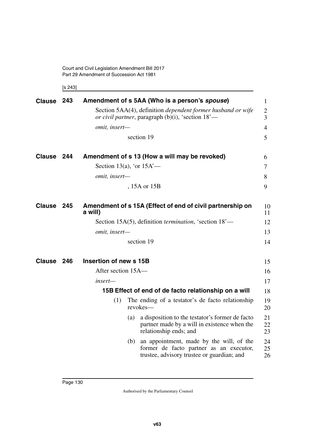Court and Civil Legislation Amendment Bill 2017 Part 29 Amendment of Succession Act 1981

[s 243]

| <b>Clause</b> | 243 |                             |     | Amendment of s 5AA (Who is a person's spouse)                                                                                     | 1                     |
|---------------|-----|-----------------------------|-----|-----------------------------------------------------------------------------------------------------------------------------------|-----------------------|
|               |     |                             |     | Section 5AA(4), definition <i>dependent former husband or wife</i><br>or civil partner, paragraph $(b)(i)$ , 'section $18'$ —     | $\boldsymbol{2}$<br>3 |
|               |     | omit, insert-               |     |                                                                                                                                   | 4                     |
|               |     |                             |     | section 19                                                                                                                        | 5                     |
| <b>Clause</b> | 244 |                             |     | Amendment of s 13 (How a will may be revoked)                                                                                     | 6                     |
|               |     | Section 13(a), 'or $15A'$ — |     |                                                                                                                                   | 7                     |
|               |     | omit, insert-               |     |                                                                                                                                   | 8                     |
|               |     |                             |     | , 15A or 15B                                                                                                                      | 9                     |
| <b>Clause</b> | 245 | a will)                     |     | Amendment of s 15A (Effect of end of civil partnership on                                                                         | 10<br>11              |
|               |     |                             |     | Section 15A(5), definition <i>termination</i> , 'section 18'—                                                                     | 12                    |
|               |     | omit, insert-               |     |                                                                                                                                   | 13                    |
|               |     |                             |     | section 19                                                                                                                        | 14                    |
| <b>Clause</b> | 246 | Insertion of new s 15B      |     |                                                                                                                                   | 15                    |
|               |     | After section 15A—          |     |                                                                                                                                   | 16                    |
|               |     | insert—                     |     |                                                                                                                                   | 17                    |
|               |     |                             |     | 15B Effect of end of de facto relationship on a will                                                                              | 18                    |
|               |     | (1)                         |     | The ending of a testator's de facto relationship<br>revokes-                                                                      | 19<br>20              |
|               |     |                             | (a) | a disposition to the testator's former de facto<br>partner made by a will in existence when the<br>relationship ends; and         | 21<br>22<br>23        |
|               |     |                             | (b) | an appointment, made by the will, of the<br>former de facto partner as an executor,<br>trustee, advisory trustee or guardian; and | 24<br>25<br>26        |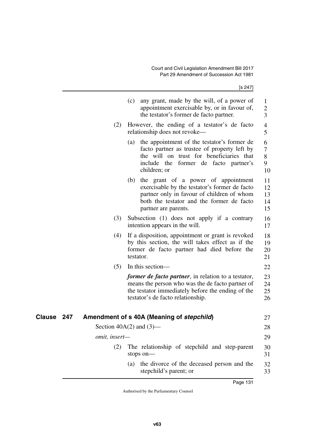[s 247]

|               |     |                      | (c)<br>any grant, made by the will, of a power of<br>appointment exercisable by, or in favour of,<br>the testator's former de facto partner.                                                                   | 1<br>$\overline{c}$<br>$\overline{\mathbf{3}}$ |
|---------------|-----|----------------------|----------------------------------------------------------------------------------------------------------------------------------------------------------------------------------------------------------------|------------------------------------------------|
|               |     | (2)                  | However, the ending of a testator's de facto<br>relationship does not revoke—                                                                                                                                  | $\overline{4}$<br>5                            |
|               |     |                      | the appointment of the testator's former de<br>(a)<br>facto partner as trustee of property left by<br>the will on trust for beneficiaries that<br>include the former de facto partner's<br>children; or        | 6<br>$\tau$<br>8<br>9<br>10                    |
|               |     |                      | the grant of a power of appointment<br>(b)<br>exercisable by the testator's former de facto<br>partner only in favour of children of whom<br>both the testator and the former de facto<br>partner are parents. | 11<br>12<br>13<br>14<br>15                     |
|               |     | (3)                  | Subsection (1) does not apply if a contrary<br>intention appears in the will.                                                                                                                                  | 16<br>17                                       |
|               |     | (4)                  | If a disposition, appointment or grant is revoked<br>by this section, the will takes effect as if the<br>former de facto partner had died before the<br>testator.                                              | 18<br>19<br>20<br>21                           |
|               |     | (5)                  | In this section-                                                                                                                                                                                               | 22                                             |
|               |     |                      | <i>former de facto partner</i> , in relation to a testator,<br>means the person who was the de facto partner of<br>the testator immediately before the ending of the<br>testator's de facto relationship.      | 23<br>24<br>25<br>26                           |
| <b>Clause</b> | 247 |                      | Amendment of s 40A (Meaning of stepchild)                                                                                                                                                                      | 27                                             |
|               |     |                      | Section $40A(2)$ and $(3)$ —                                                                                                                                                                                   | 28                                             |
|               |     | <i>omit, insert—</i> |                                                                                                                                                                                                                | 29                                             |
|               |     | (2)                  | The relationship of stepchild and step-parent<br>stops on-                                                                                                                                                     | 30<br>31                                       |
|               |     |                      | the divorce of the deceased person and the<br>(a)<br>stepchild's parent; or                                                                                                                                    | 32<br>33                                       |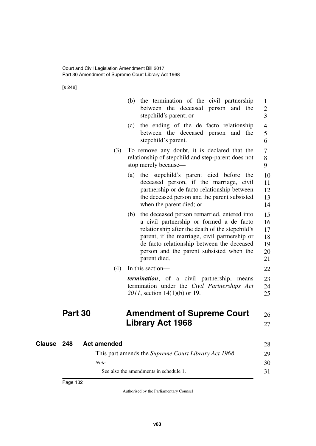[s 248]

|            |                    |     | (b) the termination of the civil partnership<br>between the deceased person and the<br>stepchild's parent; or                                                                                                                                                                                             | $\mathbf{1}$<br>$\overline{c}$<br>3    |
|------------|--------------------|-----|-----------------------------------------------------------------------------------------------------------------------------------------------------------------------------------------------------------------------------------------------------------------------------------------------------------|----------------------------------------|
|            |                    |     | the ending of the de facto relationship<br>(c)<br>between the deceased person and the<br>stepchild's parent.                                                                                                                                                                                              | $\overline{4}$<br>5<br>6               |
|            |                    | (3) | To remove any doubt, it is declared that the<br>relationship of stepchild and step-parent does not<br>stop merely because—                                                                                                                                                                                | 7<br>8<br>9                            |
|            |                    |     | (a) the stepchild's parent died before the<br>deceased person, if the marriage, civil<br>partnership or de facto relationship between<br>the deceased person and the parent subsisted<br>when the parent died; or                                                                                         | 10<br>11<br>12<br>13<br>14             |
|            |                    |     | (b) the deceased person remarried, entered into<br>a civil partnership or formed a de facto<br>relationship after the death of the stepchild's<br>parent, if the marriage, civil partnership or<br>de facto relationship between the deceased<br>person and the parent subsisted when the<br>parent died. | 15<br>16<br>17<br>18<br>19<br>20<br>21 |
|            |                    | (4) | In this section—                                                                                                                                                                                                                                                                                          | 22                                     |
|            |                    |     | <i>termination</i> , of a civil partnership, means<br>termination under the Civil Partnerships Act<br>2011, section 14(1)(b) or 19.                                                                                                                                                                       | 23<br>24<br>25                         |
|            | Part 30            |     | <b>Amendment of Supreme Court</b><br><b>Library Act 1968</b>                                                                                                                                                                                                                                              | 26<br>27                               |
| Clause 248 | <b>Act amended</b> |     |                                                                                                                                                                                                                                                                                                           | 28                                     |
|            |                    |     | This part amends the Supreme Court Library Act 1968.                                                                                                                                                                                                                                                      | 29                                     |
|            | $Note-$            |     |                                                                                                                                                                                                                                                                                                           | 30                                     |
|            |                    |     | See also the amendments in schedule 1.                                                                                                                                                                                                                                                                    | 31                                     |
|            |                    |     |                                                                                                                                                                                                                                                                                                           |                                        |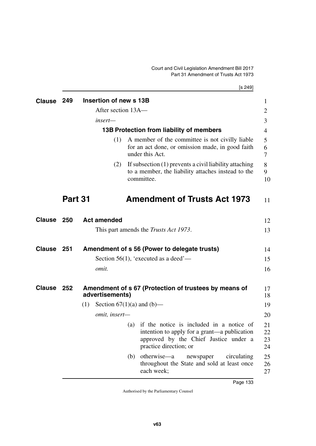| <b>Clause</b> | 249     |     | Insertion of new s 13B         |     |                                                                                                                                                             | $\mathbf{1}$         |
|---------------|---------|-----|--------------------------------|-----|-------------------------------------------------------------------------------------------------------------------------------------------------------------|----------------------|
|               |         |     | After section 13A-             |     |                                                                                                                                                             | 2                    |
|               |         |     | insert—                        |     |                                                                                                                                                             | 3                    |
|               |         |     |                                |     | 13B Protection from liability of members                                                                                                                    | 4                    |
|               |         |     | (1)                            |     | A member of the committee is not civilly liable<br>for an act done, or omission made, in good faith<br>under this Act.                                      | 5<br>6<br>7          |
|               |         |     | (2)                            |     | If subsection (1) prevents a civil liability attaching<br>to a member, the liability attaches instead to the<br>committee.                                  | 8<br>9<br>10         |
|               | Part 31 |     |                                |     | <b>Amendment of Trusts Act 1973</b>                                                                                                                         | 11                   |
| <b>Clause</b> | 250     |     | <b>Act amended</b>             |     |                                                                                                                                                             | 12                   |
|               |         |     |                                |     | This part amends the <i>Trusts Act 1973</i> .                                                                                                               | 13                   |
| <b>Clause</b> | - 251   |     |                                |     | Amendment of s 56 (Power to delegate trusts)                                                                                                                | 14                   |
|               |         |     |                                |     | Section 56(1), 'executed as a deed'—                                                                                                                        | 15                   |
|               |         |     | omit.                          |     |                                                                                                                                                             | 16                   |
| <b>Clause</b> | 252     |     | advertisements)                |     | Amendment of s 67 (Protection of trustees by means of                                                                                                       | 17<br>18             |
|               |         | (1) | Section $67(1)(a)$ and $(b)$ — |     |                                                                                                                                                             | 19                   |
|               |         |     | omit, insert-                  |     |                                                                                                                                                             | 20                   |
|               |         |     |                                | (a) | if the notice is included in a notice of<br>intention to apply for a grant—a publication<br>approved by the Chief Justice under a<br>practice direction; or | 21<br>22<br>23<br>24 |
|               |         |     |                                | (b) | otherwise—a<br>circulating<br>newspaper<br>throughout the State and sold at least once<br>each week;                                                        | 25<br>26<br>27       |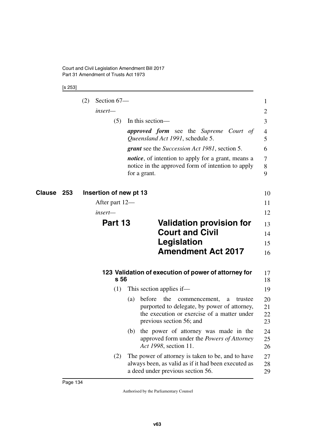[s 253]

|                   | (2) | Section 67-            |                                                                                                                                                                                  | 1                    |
|-------------------|-----|------------------------|----------------------------------------------------------------------------------------------------------------------------------------------------------------------------------|----------------------|
|                   |     | insert—                |                                                                                                                                                                                  | 2                    |
|                   |     | (5)                    | In this section—                                                                                                                                                                 | 3                    |
|                   |     |                        | <b>approved form</b> see the Supreme Court of<br>Queensland Act 1991, schedule 5.                                                                                                | 4<br>5               |
|                   |     |                        | <b>grant</b> see the <i>Succession Act 1981</i> , section 5.                                                                                                                     | 6                    |
|                   |     |                        | <i>notice</i> , of intention to apply for a grant, means a<br>notice in the approved form of intention to apply<br>for a grant.                                                  | 7<br>8<br>9          |
| <b>Clause 253</b> |     | Insertion of new pt 13 |                                                                                                                                                                                  | 10                   |
|                   |     | After part 12—         |                                                                                                                                                                                  | 11                   |
|                   |     | insert—                |                                                                                                                                                                                  | 12                   |
|                   |     | Part 13                | <b>Validation provision for</b>                                                                                                                                                  | 13                   |
|                   |     |                        | <b>Court and Civil</b>                                                                                                                                                           | 14                   |
|                   |     |                        | Legislation                                                                                                                                                                      | 15                   |
|                   |     |                        | <b>Amendment Act 2017</b>                                                                                                                                                        | 16                   |
|                   |     | s 56                   | 123 Validation of execution of power of attorney for                                                                                                                             | 17<br>18             |
|                   |     | (1)                    | This section applies if—                                                                                                                                                         | 19                   |
|                   |     |                        | before<br>the<br>commencement,<br>(a)<br>trustee<br>a<br>purported to delegate, by power of attorney,<br>the execution or exercise of a matter under<br>previous section 56; and | 20<br>21<br>22<br>23 |
|                   |     |                        | (b) the power of attorney was made in the<br>approved form under the Powers of Attorney<br>Act 1998, section 11.                                                                 | 24<br>25<br>26       |
|                   |     | (2)                    | The power of attorney is taken to be, and to have<br>always been, as valid as if it had been executed as<br>a deed under previous section 56.                                    | 27<br>28<br>29       |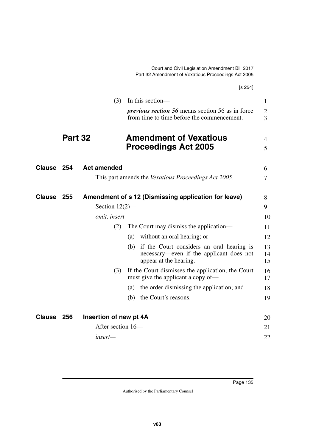|               |         |                        | [s 254]                                                                                                                |                                  |
|---------------|---------|------------------------|------------------------------------------------------------------------------------------------------------------------|----------------------------------|
|               |         | (3)                    | In this section-                                                                                                       | $\mathbf{1}$                     |
|               |         |                        | <i>previous section</i> 56 means section 56 as in force<br>from time to time before the commencement.                  | $\overline{c}$<br>$\overline{3}$ |
|               | Part 32 |                        | <b>Amendment of Vexatious</b><br><b>Proceedings Act 2005</b>                                                           | 4<br>5                           |
| <b>Clause</b> | 254     | <b>Act amended</b>     |                                                                                                                        | 6                                |
|               |         |                        | This part amends the <i>Vexatious Proceedings Act 2005</i> .                                                           | 7                                |
| <b>Clause</b> | 255     |                        | Amendment of s 12 (Dismissing application for leave)                                                                   | 8                                |
|               |         | Section $12(2)$ —      |                                                                                                                        | 9                                |
|               |         | omit, insert-          |                                                                                                                        | 10                               |
|               |         | (2)                    | The Court may dismiss the application—                                                                                 | 11                               |
|               |         |                        | (a) without an oral hearing; or                                                                                        | 12                               |
|               |         |                        | if the Court considers an oral hearing is<br>(b)<br>necessary—even if the applicant does not<br>appear at the hearing. | 13<br>14<br>15                   |
|               |         | (3)                    | If the Court dismisses the application, the Court<br>must give the applicant a copy of—                                | 16<br>17                         |
|               |         |                        | the order dismissing the application; and<br>(a)                                                                       | 18                               |
|               |         |                        | the Court's reasons.<br>(b)                                                                                            | 19                               |
| <b>Clause</b> | 256     | Insertion of new pt 4A |                                                                                                                        | 20                               |
|               |         | After section 16-      |                                                                                                                        | 21                               |
|               |         | insert—                |                                                                                                                        | 22                               |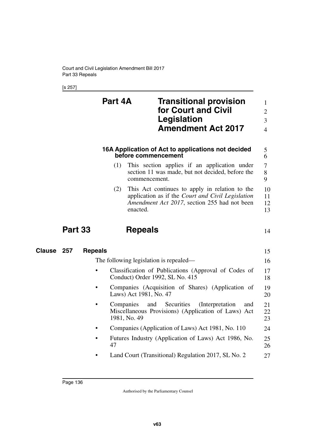[s 257]

|        |                | Part 4A        |                                  | <b>Transitional provision</b><br>for Court and Civil<br>Legislation<br><b>Amendment Act 2017</b>                                                    | $\mathbf{1}$<br>$\overline{2}$<br>$\overline{3}$<br>$\overline{4}$ |
|--------|----------------|----------------|----------------------------------|-----------------------------------------------------------------------------------------------------------------------------------------------------|--------------------------------------------------------------------|
|        |                |                | before commencement              | 16A Application of Act to applications not decided                                                                                                  | 5<br>6                                                             |
|        |                | (1)            | commencement.                    | This section applies if an application under<br>section 11 was made, but not decided, before the                                                    | $\overline{\mathcal{L}}$<br>8<br>9                                 |
|        |                | (2)            | enacted.                         | This Act continues to apply in relation to the<br>application as if the Court and Civil Legislation<br>Amendment Act 2017, section 255 had not been | 10<br>11<br>12<br>13                                               |
|        | <b>Part 33</b> |                | <b>Repeals</b>                   |                                                                                                                                                     | 14                                                                 |
| Clause | 257            | <b>Repeals</b> |                                  |                                                                                                                                                     | 15                                                                 |
|        |                |                |                                  | The following legislation is repealed—                                                                                                              | 16                                                                 |
|        |                |                |                                  | Classification of Publications (Approval of Codes of<br>Conduct) Order 1992, SL No. 415                                                             | 17<br>18                                                           |
|        |                |                | Laws) Act 1981, No. 47           | Companies (Acquisition of Shares) (Application of                                                                                                   | 19<br>20                                                           |
|        |                |                | Companies<br>and<br>1981, No. 49 | Securities<br>(Interpretation)<br>and<br>Miscellaneous Provisions) (Application of Laws) Act                                                        | 21<br>22<br>23                                                     |
|        |                | ٠              |                                  | Companies (Application of Laws) Act 1981, No. 110                                                                                                   | 24                                                                 |
|        |                | 47             |                                  | Futures Industry (Application of Laws) Act 1986, No.                                                                                                | 25<br>26                                                           |
|        |                |                |                                  | Land Court (Transitional) Regulation 2017, SL No. 2                                                                                                 | 27                                                                 |
|        |                |                |                                  |                                                                                                                                                     |                                                                    |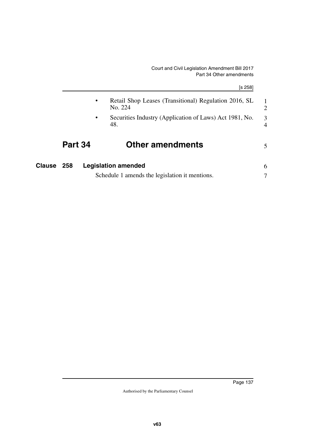1 2

3 4

5

| Part 34   | <b>Other amendments</b>                                          |
|-----------|------------------------------------------------------------------|
| $\bullet$ | Securities Industry (Application of Laws) Act 1981, No.<br>48.   |
| $\bullet$ | Retail Shop Leases (Transitional) Regulation 2016, SL<br>No. 224 |
|           | [s 258]                                                          |

| <b>Clause 258</b> | <b>Legislation amended</b>                     |  |
|-------------------|------------------------------------------------|--|
|                   | Schedule 1 amends the legislation it mentions. |  |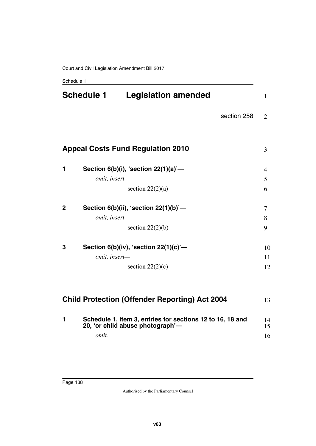|              | <b>Schedule 1</b> | <b>Legislation amended</b>                                                                    |             | $\mathbf{1}$   |
|--------------|-------------------|-----------------------------------------------------------------------------------------------|-------------|----------------|
|              |                   |                                                                                               | section 258 | $\overline{2}$ |
|              |                   |                                                                                               |             |                |
|              |                   | <b>Appeal Costs Fund Regulation 2010</b>                                                      |             | 3              |
| 1            |                   | Section $6(b)(i)$ , 'section $22(1)(a)'$ —                                                    |             | $\overline{4}$ |
|              | omit, insert-     |                                                                                               |             | 5              |
|              |                   | section $22(2)(a)$                                                                            |             | 6              |
| $\mathbf{2}$ |                   | Section $6(b)(ii)$ , 'section $22(1)(b)'$ —                                                   |             | 7              |
|              | omit, insert-     |                                                                                               |             | 8              |
|              |                   | section $22(2)(b)$                                                                            |             | 9              |
| 3            |                   | Section $6(b)(iv)$ , 'section $22(1)(c)'$ —                                                   |             | 10             |
|              | omit, insert-     |                                                                                               |             | 11             |
|              |                   | section $22(2)(c)$                                                                            |             | 12             |
|              |                   |                                                                                               |             |                |
|              |                   | <b>Child Protection (Offender Reporting) Act 2004</b>                                         |             | 13             |
| 1            |                   | Schedule 1, item 3, entries for sections 12 to 16, 18 and<br>20, 'or child abuse photograph'- |             | 14<br>15       |
|              | omit.             |                                                                                               |             | 16             |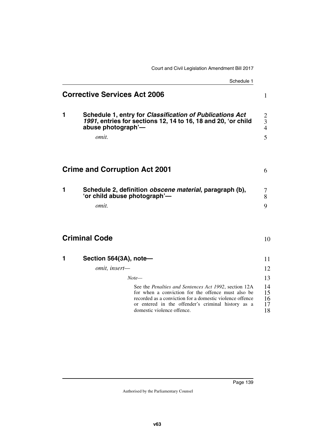# Schedule 1 **Corrective Services Act 2006 1 Schedule 1, entry for** *Classification of Publications Act 1991***, entries for sections 12, 14 to 16, 18 and 20, 'or child abuse photograph'** *omit.*

## **Crime and Corruption Act 2001**

| Schedule 2, definition <i>obscene material</i> , paragraph (b),<br>'or child abuse photograph'— |  |
|-------------------------------------------------------------------------------------------------|--|
| omit.                                                                                           |  |

### **Criminal Code**

| Section 564(3A), note-                                                                                                                                                                                                                                              |                            |
|---------------------------------------------------------------------------------------------------------------------------------------------------------------------------------------------------------------------------------------------------------------------|----------------------------|
| omit, insert-                                                                                                                                                                                                                                                       | 12                         |
| Note—                                                                                                                                                                                                                                                               | 13                         |
| See the <i>Penalties and Sentences Act 1992</i> , section 12A<br>for when a conviction for the offence must also be<br>recorded as a conviction for a domestic violence offence<br>or entered in the offender's criminal history as a<br>domestic violence offence. | 14<br>15<br>16<br>17<br>18 |

1

6

10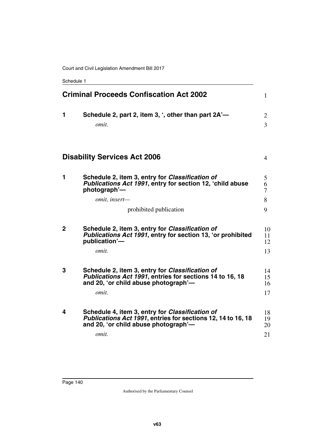|              | <b>Criminal Proceeds Confiscation Act 2002</b>                                                                                                                          | $\mathbf{1}$                     |
|--------------|-------------------------------------------------------------------------------------------------------------------------------------------------------------------------|----------------------------------|
| 1            | Schedule 2, part 2, item 3, ', other than part 2A'-<br>omit.                                                                                                            | $\overline{2}$<br>$\overline{3}$ |
|              | <b>Disability Services Act 2006</b>                                                                                                                                     | $\overline{4}$                   |
| 1            | Schedule 2, item 3, entry for Classification of<br>Publications Act 1991, entry for section 12, 'child abuse<br>photograph'—<br>omit, insert-<br>prohibited publication | 5<br>6<br>7<br>8<br>9            |
| $\mathbf{2}$ | Schedule 2, item 3, entry for Classification of<br>Publications Act 1991, entry for section 13, 'or prohibited<br>publication'-<br>omit.                                | 10<br>11<br>12<br>13             |
| 3            | Schedule 2, item 3, entry for Classification of<br>Publications Act 1991, entries for sections 14 to 16, 18<br>and 20, 'or child abuse photograph'-<br>omit.            | 14<br>15<br>16<br>17             |
| 4            | Schedule 4, item 3, entry for Classification of<br>Publications Act 1991, entries for sections 12, 14 to 16, 18<br>and 20, 'or child abuse photograph'-<br>omit.        | 18<br>19<br>20<br>21             |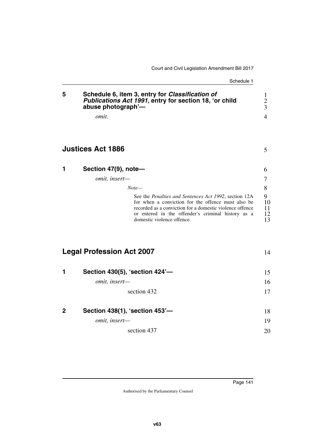| 5            | Schedule 6, item 3, entry for Classification of<br>Publications Act 1991, entry for section 18, 'or child<br>abuse photograph'-<br><i>omit.</i>                                                                                                             | 1<br>$\mathbf{2}$<br>3<br>4 |
|--------------|-------------------------------------------------------------------------------------------------------------------------------------------------------------------------------------------------------------------------------------------------------------|-----------------------------|
|              | <b>Justices Act 1886</b>                                                                                                                                                                                                                                    | 5                           |
| 1            | Section 47(9), note-                                                                                                                                                                                                                                        | 6                           |
|              | omit, insert-                                                                                                                                                                                                                                               | 7                           |
|              | $Note-$                                                                                                                                                                                                                                                     | 8                           |
|              | See the Penalties and Sentences Act 1992, section 12A<br>for when a conviction for the offence must also be<br>recorded as a conviction for a domestic violence offence<br>or entered in the offender's criminal history as a<br>domestic violence offence. | 9<br>10<br>11<br>12<br>13   |
|              | <b>Legal Profession Act 2007</b>                                                                                                                                                                                                                            | 14                          |
| 1            | Section 430(5), 'section 424'-                                                                                                                                                                                                                              | 15                          |
|              | omit, insert-                                                                                                                                                                                                                                               | 16                          |
|              | section 432                                                                                                                                                                                                                                                 | 17                          |
| $\mathbf{2}$ | Section 438(1), 'section 453'-                                                                                                                                                                                                                              | 18                          |
|              | omit, insert-                                                                                                                                                                                                                                               | 19                          |
|              | section 437                                                                                                                                                                                                                                                 | 20                          |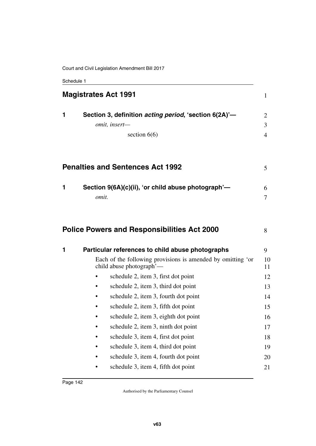Court and Civil Legislation Amendment Bill 2017

| <b>Magistrates Act 1991</b> |                                                                                                                                             |               |
|-----------------------------|---------------------------------------------------------------------------------------------------------------------------------------------|---------------|
| 1                           | Section 3, definition <i>acting period</i> , 'section 6(2A)'-<br>omit, insert-<br>section $6(6)$                                            | 2<br>3<br>4   |
|                             | <b>Penalties and Sentences Act 1992</b>                                                                                                     | 5             |
| 1                           | Section 9(6A)(c)(ii), 'or child abuse photograph'-<br>omit.                                                                                 | 6<br>7        |
|                             | <b>Police Powers and Responsibilities Act 2000</b>                                                                                          | 8             |
| 1                           | Particular references to child abuse photographs<br>Each of the following provisions is amended by omitting 'or<br>child abuse photograph'— | 9<br>10<br>11 |
|                             | schedule 2, item 3, first dot point                                                                                                         | 12            |
|                             | schedule 2, item 3, third dot point                                                                                                         | 13            |
|                             | schedule 2, item 3, fourth dot point<br>٠                                                                                                   | 14            |
|                             | schedule 2, item 3, fifth dot point                                                                                                         | 15            |
|                             | schedule 2, item 3, eighth dot point                                                                                                        | 16            |
|                             | schedule 2, item 3, ninth dot point                                                                                                         | 17            |
|                             | schedule 3, item 4, first dot point                                                                                                         | 18            |
|                             | schedule 3, item 4, third dot point                                                                                                         | 19            |
|                             | schedule 3, item 4, fourth dot point                                                                                                        | 20            |
|                             | schedule 3, item 4, fifth dot point                                                                                                         | 21            |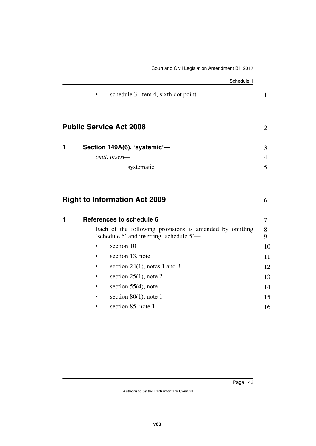|   | Schedule 1                                                                                          |                |
|---|-----------------------------------------------------------------------------------------------------|----------------|
|   | schedule 3, item 4, sixth dot point                                                                 | $\mathbf{1}$   |
|   | <b>Public Service Act 2008</b>                                                                      | $\overline{2}$ |
| 1 | Section 149A(6), 'systemic'-                                                                        | 3              |
|   | omit, insert-                                                                                       | 4              |
|   | systematic                                                                                          | 5              |
| 1 | <b>Right to Information Act 2009</b><br>References to schedule 6                                    | 6<br>7         |
|   | Each of the following provisions is amended by omitting<br>'schedule 6' and inserting 'schedule 5'- | 8<br>9         |
|   | section 10                                                                                          | 10             |
|   | section 13, note                                                                                    | 11             |
|   | section $24(1)$ , notes 1 and 3                                                                     | 12             |
|   | section $25(1)$ , note 2                                                                            | 13             |
|   | section $55(4)$ , note                                                                              | 14             |
|   | section $80(1)$ , note 1                                                                            | 15             |
|   | section 85, note 1                                                                                  | 16             |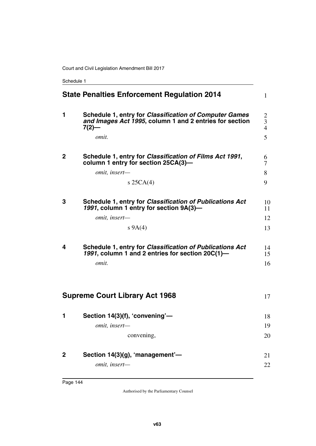Schedule 1

|   | <b>State Penalties Enforcement Regulation 2014</b>                                                                            | 1                                              |
|---|-------------------------------------------------------------------------------------------------------------------------------|------------------------------------------------|
| 1 | Schedule 1, entry for Classification of Computer Games<br>and Images Act 1995, column 1 and 2 entries for section<br>$7(2)$ — | 2<br>$\overline{\mathbf{3}}$<br>$\overline{4}$ |
|   | omit.                                                                                                                         | 5                                              |
| 2 | Schedule 1, entry for Classification of Films Act 1991,<br>column 1 entry for section 25CA(3)-                                | 6<br>7                                         |
|   | omit, insert-                                                                                                                 | 8                                              |
|   | s $25CA(4)$                                                                                                                   | 9                                              |
| 3 | Schedule 1, entry for Classification of Publications Act<br>1991, column 1 entry for section 9A(3)-                           | 10<br>11                                       |
|   | omit, insert-                                                                                                                 | 12                                             |
|   | $s\,9A(4)$                                                                                                                    | 13                                             |
|   |                                                                                                                               |                                                |
| 4 | Schedule 1, entry for Classification of Publications Act<br>1991, column 1 and 2 entries for section 20C(1)-                  | 14<br>15                                       |
|   | omit.                                                                                                                         | 16                                             |
|   | <b>Supreme Court Library Act 1968</b>                                                                                         | 17                                             |
| 1 | Section 14(3)(f), 'convening'-                                                                                                | 18                                             |
|   | <i>omit, insert—</i>                                                                                                          | 19                                             |
|   | convening,                                                                                                                    | 20                                             |
| 2 | Section 14(3)(g), 'management'-                                                                                               | 21                                             |
|   | omit, insert-                                                                                                                 | 22                                             |
|   |                                                                                                                               |                                                |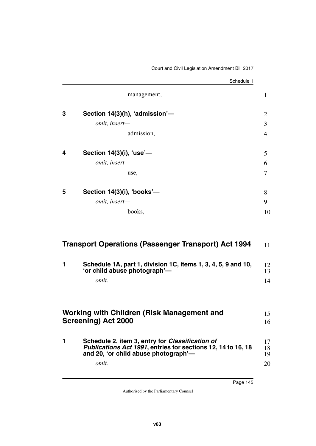|   |                                | Schedule 1     |    |
|---|--------------------------------|----------------|----|
|   | management,                    | $\mathbf{1}$   |    |
| 3 | Section 14(3)(h), 'admission'- | $\overline{2}$ |    |
|   | omit, insert-                  | 3              |    |
|   | admission,                     | 4              |    |
| 4 | Section 14(3)(i), 'use'-       | 5              |    |
|   | omit, insert-                  | 6              |    |
|   | use,                           | 7              |    |
| 5 | Section 14(3)(i), 'books'-     | 8              |    |
|   | omit, insert-                  | 9              |    |
|   | books,                         |                | 10 |
|   |                                |                |    |
|   |                                |                |    |

| <b>Transport Operations (Passenger Transport) Act 1994</b>                                    |          |
|-----------------------------------------------------------------------------------------------|----------|
| Schedule 1A, part 1, division 1C, items 1, 3, 4, 5, 9 and 10,<br>'or child abuse photograph'- | 12<br>13 |
| omit.                                                                                         | 14       |
|                                                                                               |          |

## **Working with Children (Risk Management and Screening) Act 2000** 15 16

| Schedule 2, item 3, entry for Classification of<br>Publications Act 1991, entries for sections 12, 14 to 16, 18<br>and 20, 'or child abuse photograph'— | 17<br>18<br>19 |
|---------------------------------------------------------------------------------------------------------------------------------------------------------|----------------|
| omit.                                                                                                                                                   | 20             |

*omit.*